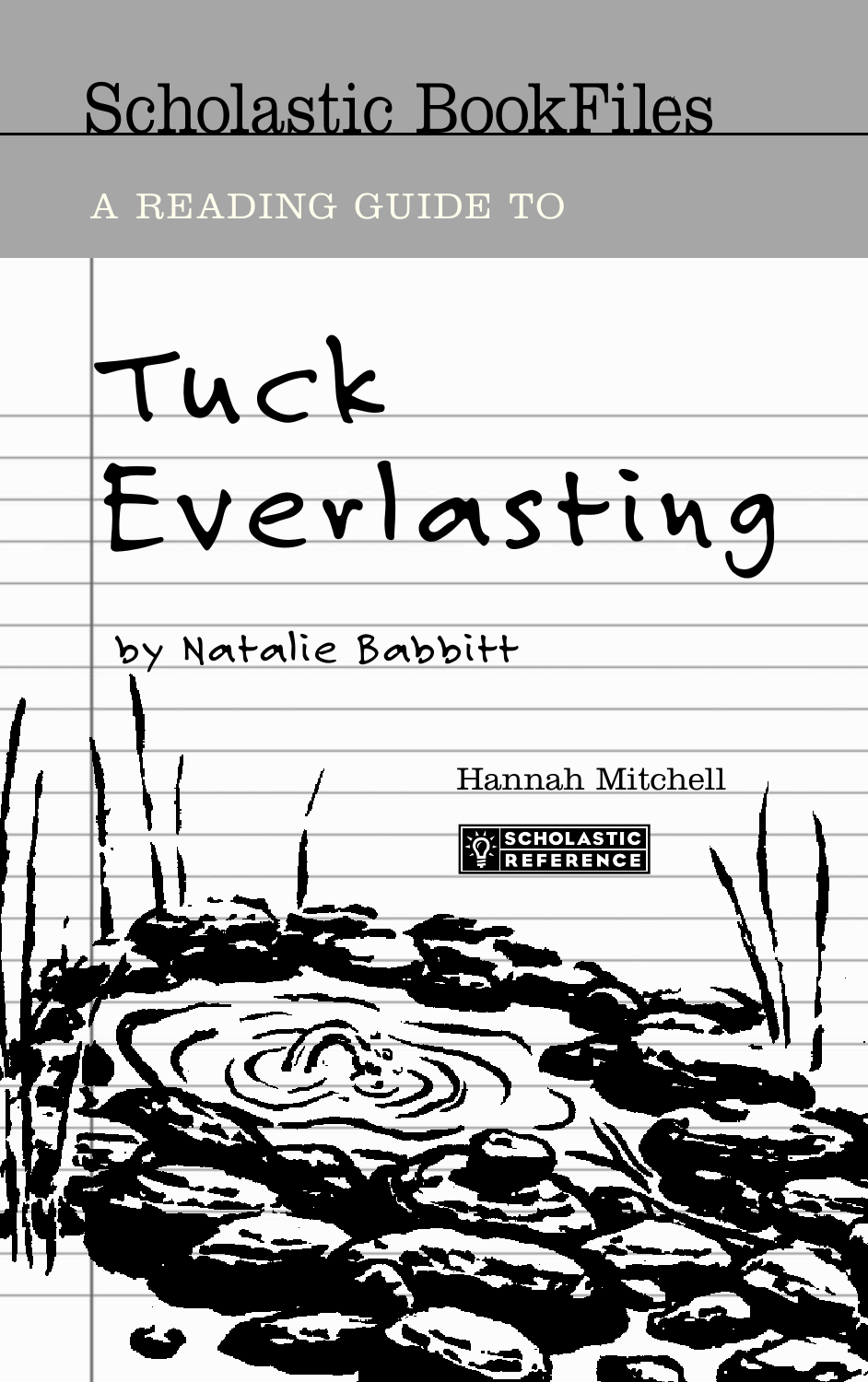# Scholastic BookFiles ™

# A READING GUIDE TO

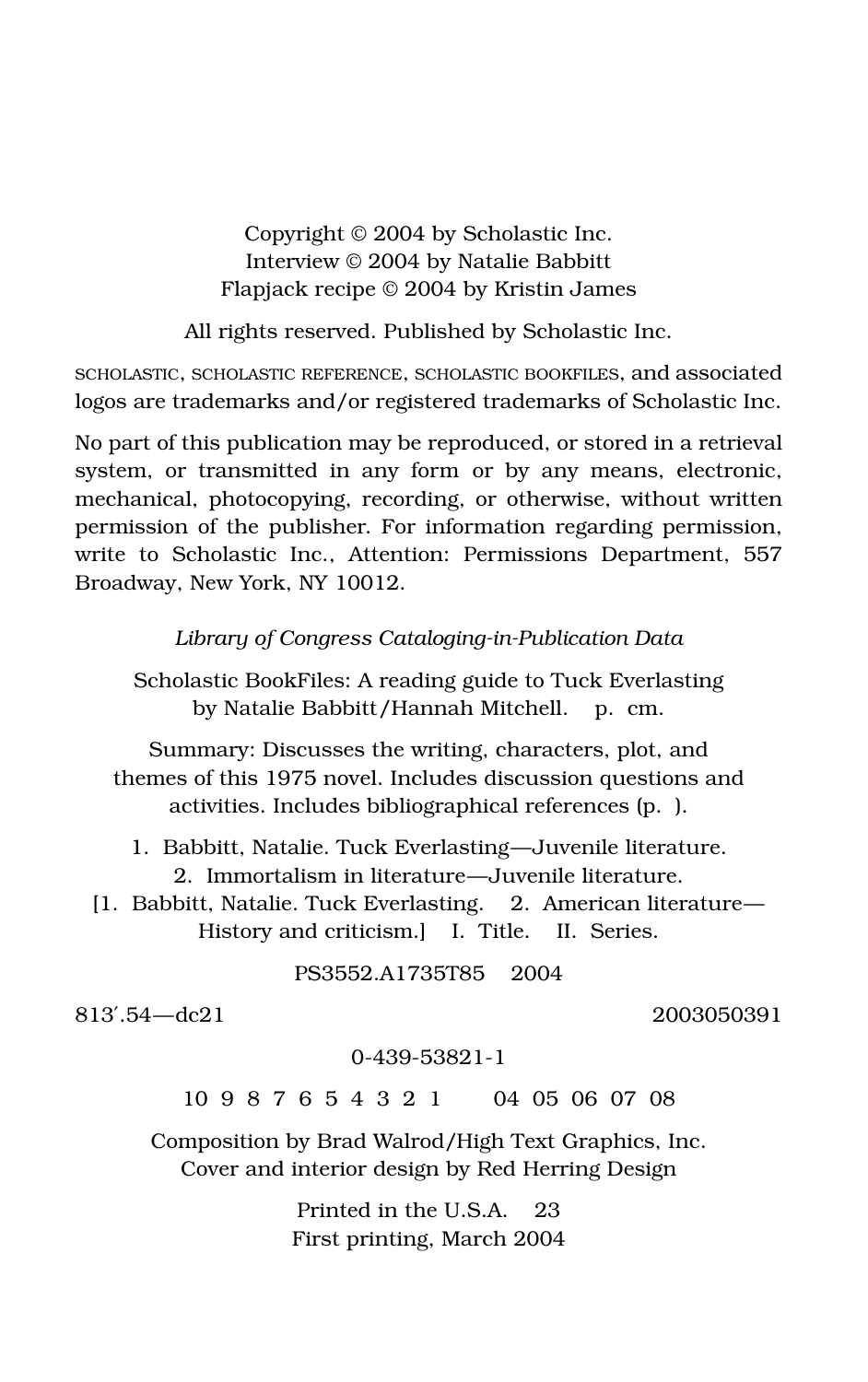Copyright © 2004 by Scholastic Inc. Interview © 2004 by Natalie Babbitt Flapjack recipe © 2004 by Kristin James

All rights reserved. Published by Scholastic Inc.

SCHOLASTIC, SCHOLASTIC REFERENCE, SCHOLASTIC BOOKFILES, and associated logos are trademarks and/or registered trademarks of Scholastic Inc.

No part of this publication may be reproduced, or stored in a retrieval system, or transmitted in any form or by any means, electronic, mechanical, photocopying, recording, or otherwise, without written permission of the publisher. For information regarding permission, write to Scholastic Inc., Attention: Permissions Department, 557 Broadway, New York, NY 10012.

*Library of Congress Cataloging-in-Publication Data*

Scholastic BookFiles: A reading guide to Tuck Everlasting by Natalie Babbitt/Hannah Mitchell. p. cm.

Summary: Discusses the writing, characters, plot, and themes of this 1975 novel. Includes discussion questions and activities. Includes bibliographical references (p. ).

1. Babbitt, Natalie. Tuck Everlasting—Juvenile literature. 2. Immortalism in literature—Juvenile literature.

[1. Babbitt, Natalie. Tuck Everlasting. 2. American literature— History and criticism.] I. Title. II. Series.

PS3552.A1735T85 2004

813′.54—dc21 2003050391

0-439-53821-1

10 9 8 7 6 5 4 3 2 1 04 05 06 07 08

Composition by Brad Walrod/High Text Graphics, Inc. Cover and interior design by Red Herring Design

> Printed in the U.S.A. 23 First printing, March 2004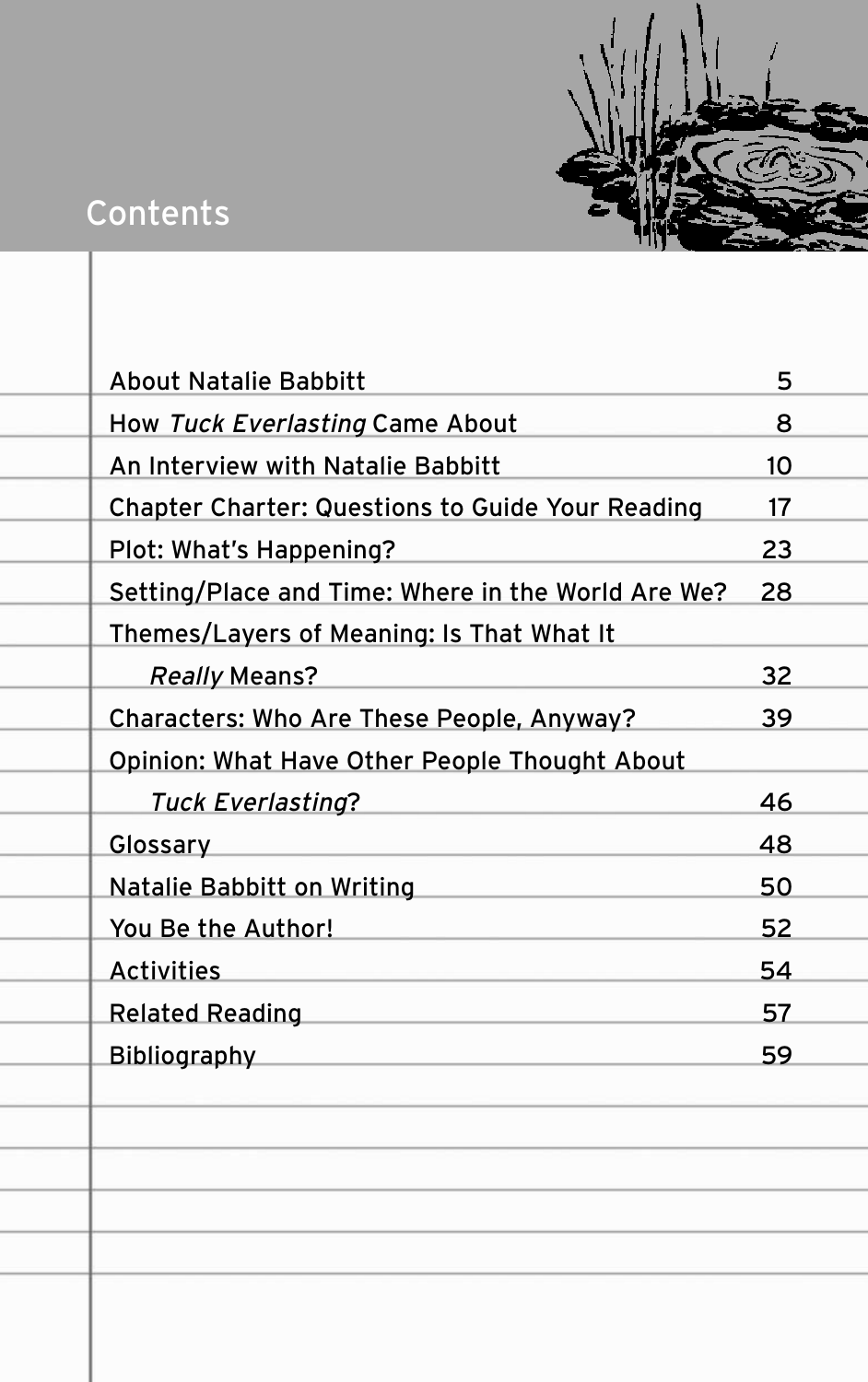

# Contents

| <b>About Natalie Babbitt</b>                            | 5               |
|---------------------------------------------------------|-----------------|
| How Tuck Everlasting Came About                         | 8               |
| An Interview with Natalie Babbitt                       | 10 <sup>1</sup> |
| <b>Chapter Charter: Questions to Guide Your Reading</b> | 17              |
| Plot: What's Happening?                                 | 23              |
| Setting/Place and Time: Where in the World Are We?      | 28              |
| Themes/Layers of Meaning: Is That What It               |                 |
| <b>Really Means?</b>                                    | 32              |
| Characters: Who Are These People, Anyway?               | 39              |
| Opinion: What Have Other People Thought About           |                 |
| <b>Tuck Everlasting?</b>                                | 46              |
| Glossary                                                | 48              |
| <b>Natalie Babbitt on Writing</b>                       | 50              |
| You Be the Author!                                      | 52              |
| <b>Activities</b>                                       | 54              |
| <b>Related Reading</b>                                  | 57              |
| Bibliography                                            | 59              |
|                                                         |                 |
|                                                         |                 |
|                                                         |                 |
|                                                         |                 |
|                                                         |                 |
|                                                         |                 |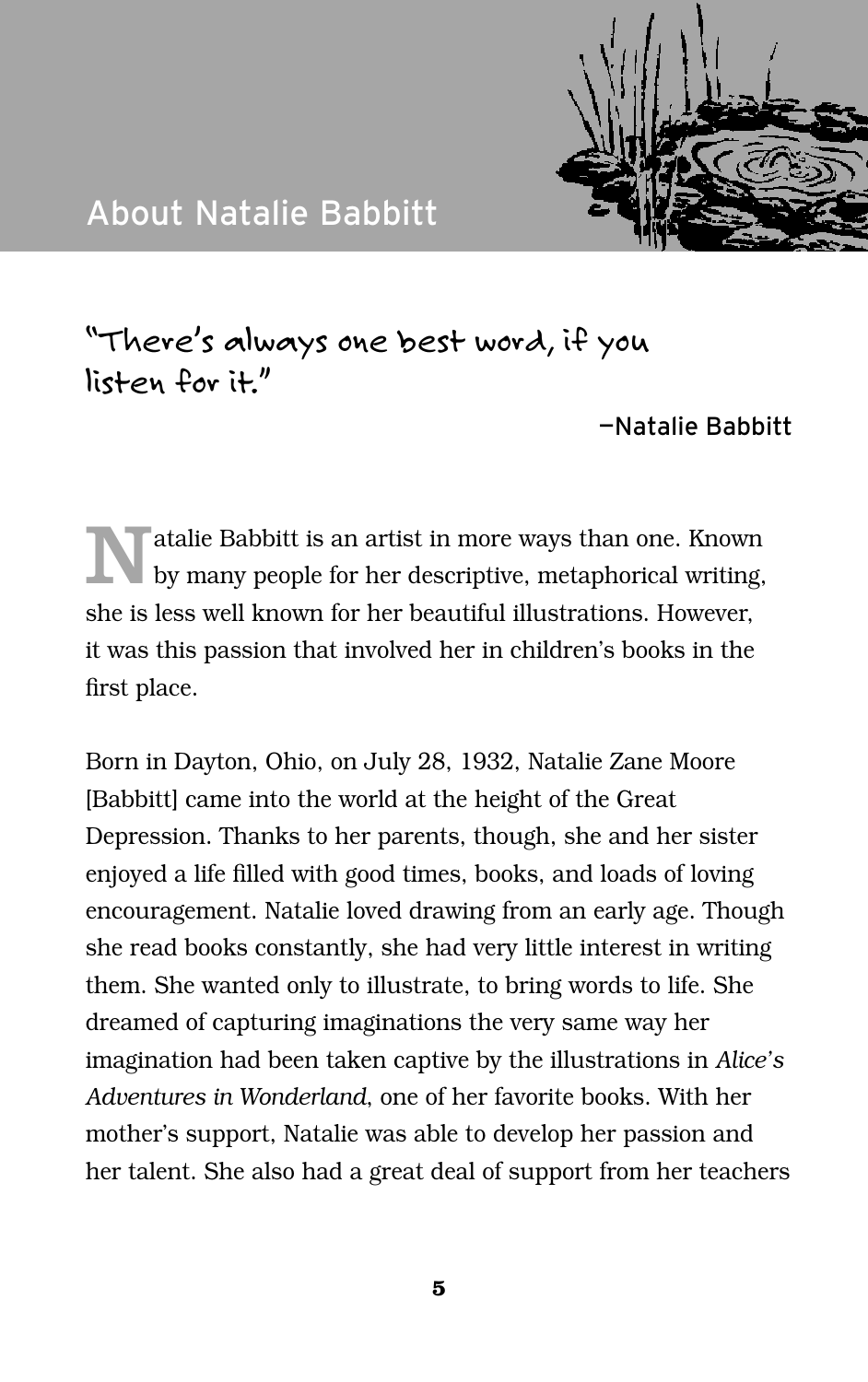

About Natalie Babbitt

## *"There's always one best word, if you listen for it."*

—Natalie Babbitt

Natalie Babbitt is an artist in more ways than one. Known by many people for her descriptive, metaphorical writing, she is less well known for her beautiful illustrations. However, it was this passion that involved her in children's books in the first place.

Born in Dayton, Ohio, on July 28, 1932, Natalie Zane Moore [Babbitt] came into the world at the height of the Great Depression. Thanks to her parents, though, she and her sister enjoyed a life filled with good times, books, and loads of loving encouragement. Natalie loved drawing from an early age. Though she read books constantly, she had very little interest in writing them. She wanted only to illustrate, to bring words to life. She dreamed of capturing imaginations the very same way her imagination had been taken captive by the illustrations in *Alice's Adventures in Wonderland*, one of her favorite books. With her mother's support, Natalie was able to develop her passion and her talent. She also had a great deal of support from her teachers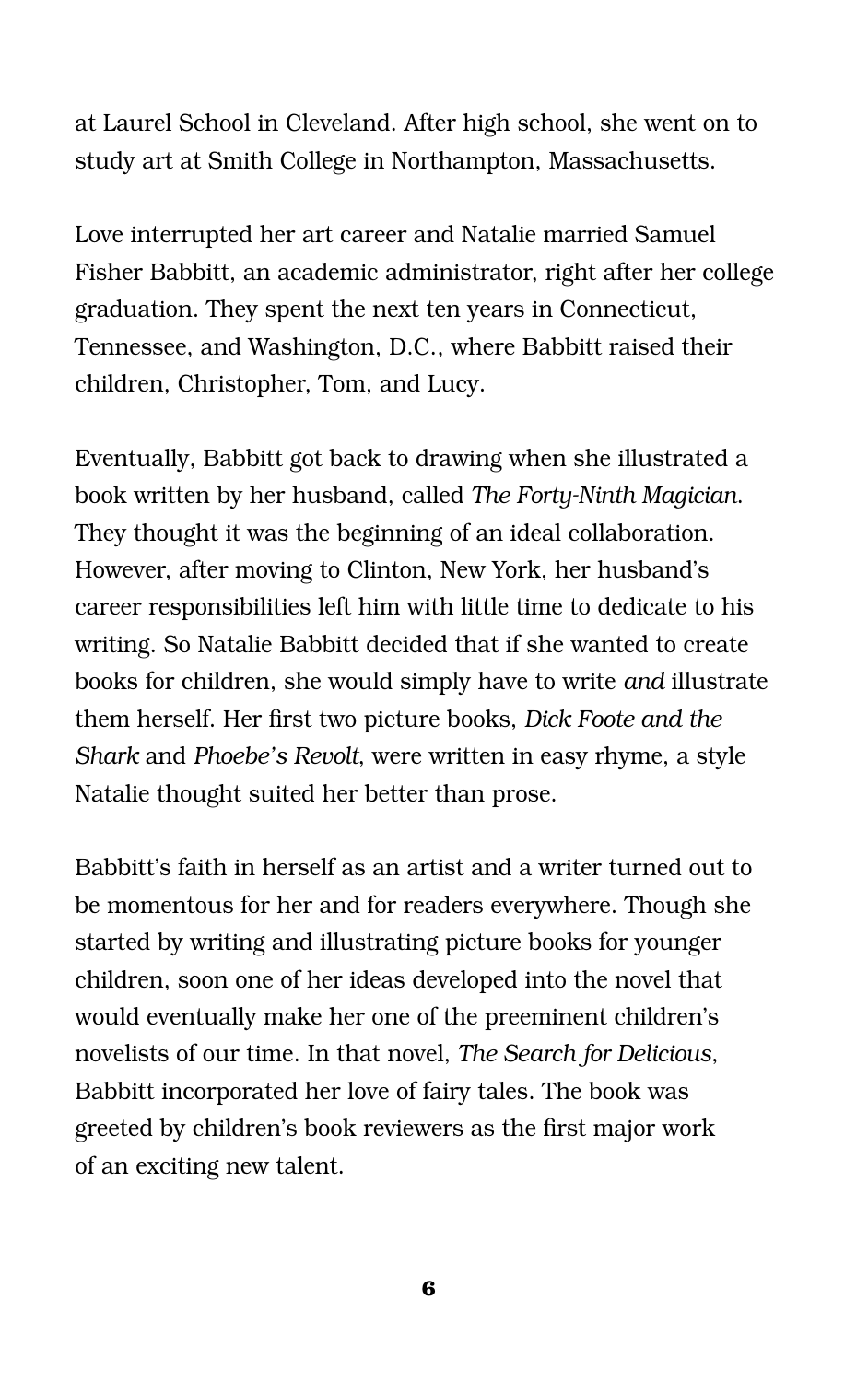at Laurel School in Cleveland. After high school, she went on to study art at Smith College in Northampton, Massachusetts.

Love interrupted her art career and Natalie married Samuel Fisher Babbitt, an academic administrator, right after her college graduation. They spent the next ten years in Connecticut, Tennessee, and Washington, D.C., where Babbitt raised their children, Christopher, Tom, and Lucy.

Eventually, Babbitt got back to drawing when she illustrated a book written by her husband, called *The Forty-Ninth Magician*. They thought it was the beginning of an ideal collaboration. However, after moving to Clinton, New York, her husband's career responsibilities left him with little time to dedicate to his writing. So Natalie Babbitt decided that if she wanted to create books for children, she would simply have to write *and* illustrate them herself. Her first two picture books, *Dick Foote and the Shark* and *Phoebe's Revolt*, were written in easy rhyme, a style Natalie thought suited her better than prose.

Babbitt's faith in herself as an artist and a writer turned out to be momentous for her and for readers everywhere. Though she started by writing and illustrating picture books for younger children, soon one of her ideas developed into the novel that would eventually make her one of the preeminent children's novelists of our time. In that novel, *The Search for Delicious*, Babbitt incorporated her love of fairy tales. The book was greeted by children's book reviewers as the first major work of an exciting new talent.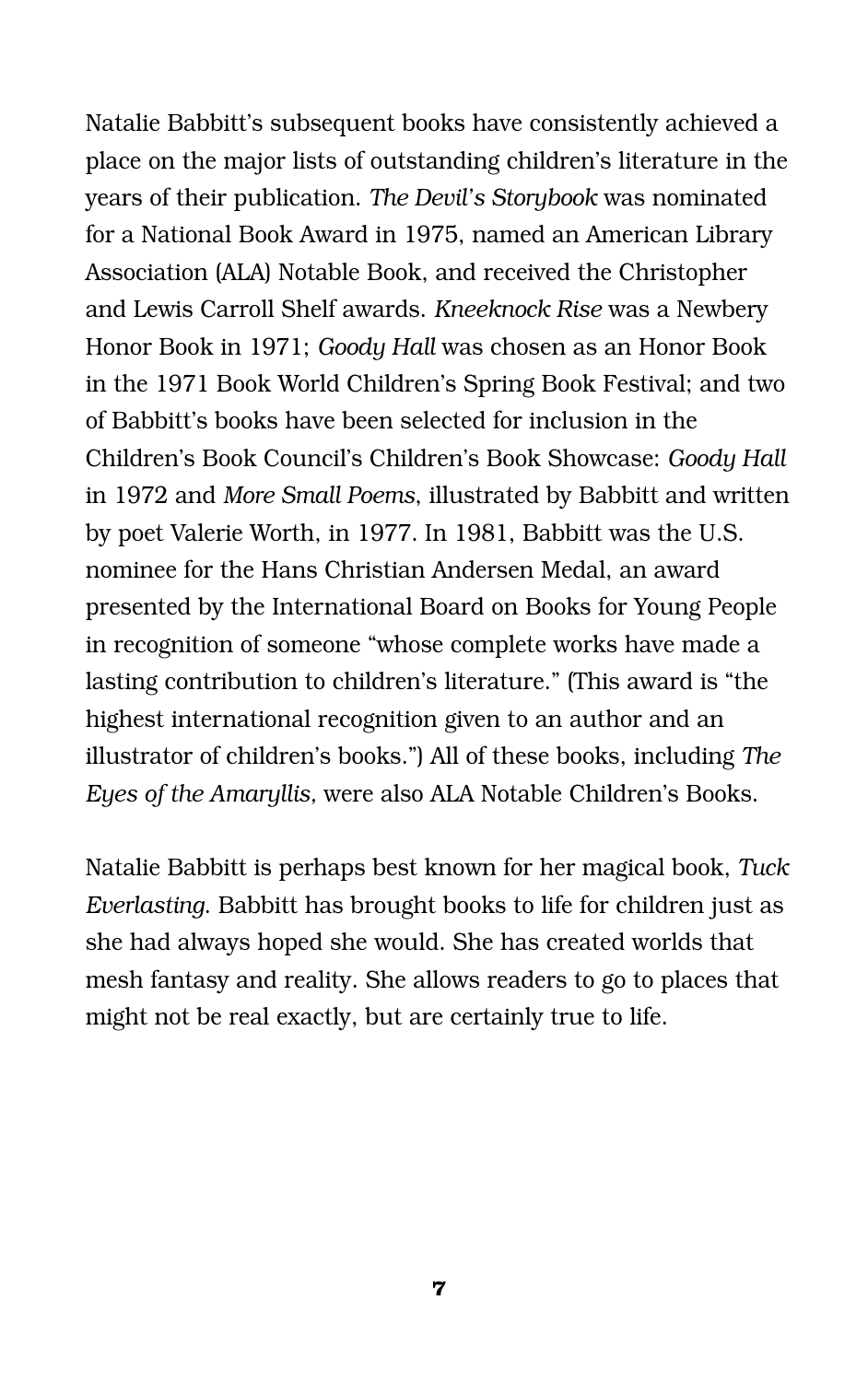Natalie Babbitt's subsequent books have consistently achieved a place on the major lists of outstanding children's literature in the years of their publication. *The Devil's Storybook* was nominated for a National Book Award in 1975, named an American Library Association (ALA) Notable Book, and received the Christopher and Lewis Carroll Shelf awards. *Kneeknock Rise* was a Newbery Honor Book in 1971; *Goody Hall* was chosen as an Honor Book in the 1971 Book World Children's Spring Book Festival; and two of Babbitt's books have been selected for inclusion in the Children's Book Council's Children's Book Showcase: *Goody Hall* in 1972 and *More Small Poems*, illustrated by Babbitt and written by poet Valerie Worth, in 1977. In 1981, Babbitt was the U.S. nominee for the Hans Christian Andersen Medal, an award presented by the International Board on Books for Young People in recognition of someone "whose complete works have made a lasting contribution to children's literature." (This award is "the highest international recognition given to an author and an illustrator of children's books.") All of these books, including *The Eyes of the Amaryllis,* were also ALA Notable Children's Books.

Natalie Babbitt is perhaps best known for her magical book, *Tuck Everlasting*. Babbitt has brought books to life for children just as she had always hoped she would. She has created worlds that mesh fantasy and reality. She allows readers to go to places that might not be real exactly, but are certainly true to life.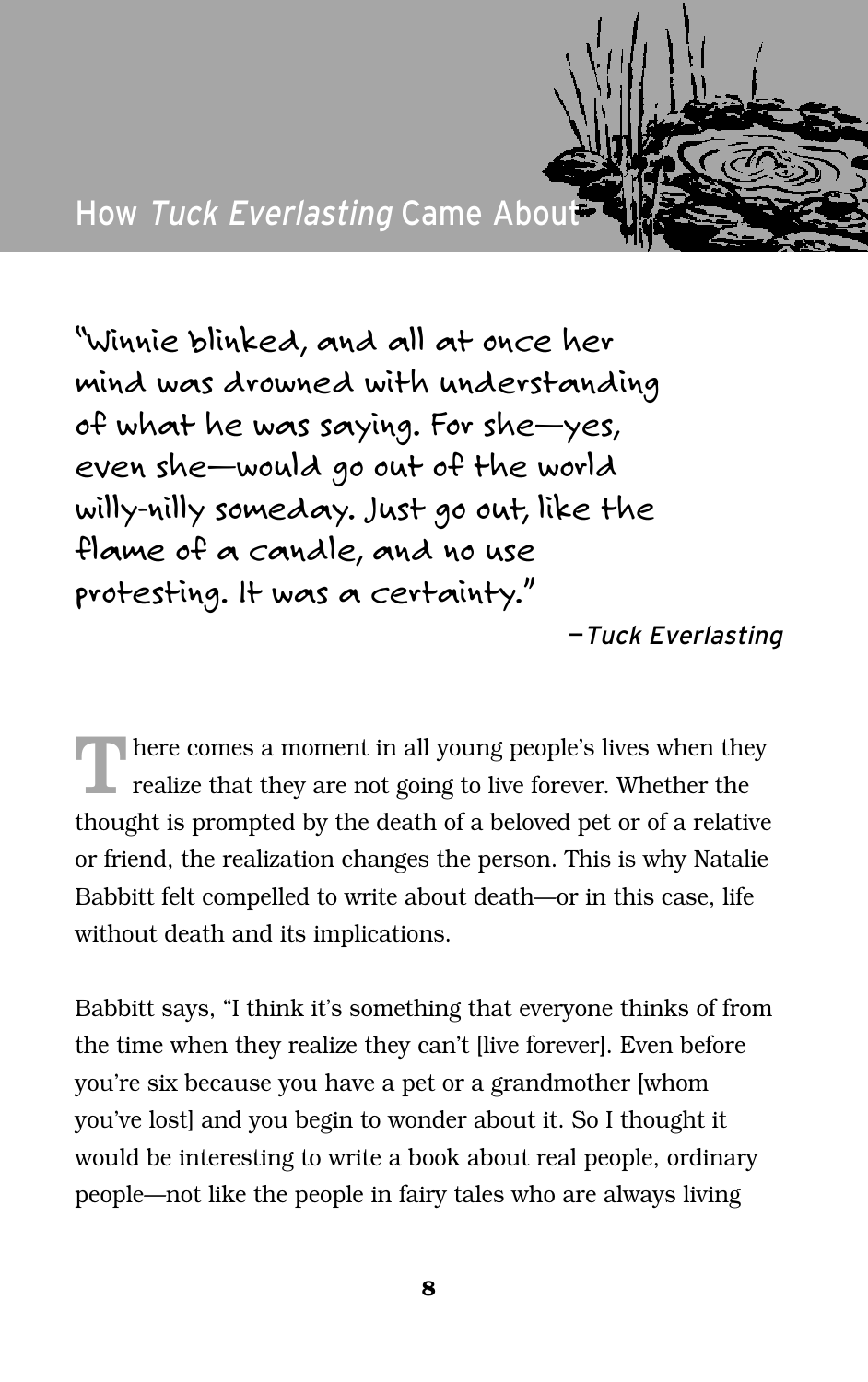

*"Winnie blinked, and all at once her mind was drowned with understanding of what he was saying. For she—yes, even she—would go out of the world willy-nilly someday. Just go out, like the flame of a candle, and no use protesting. It was a certainty."* 

—Tuck Everlasting

There comes a moment in all young people's lives when they realize that they are not going to live forever. Whether the thought is prompted by the death of a beloved pet or of a relative or friend, the realization changes the person. This is why Natalie Babbitt felt compelled to write about death—or in this case, life without death and its implications.

Babbitt says, "I think it's something that everyone thinks of from the time when they realize they can't [live forever]. Even before you're six because you have a pet or a grandmother [whom you've lost] and you begin to wonder about it. So I thought it would be interesting to write a book about real people, ordinary people—not like the people in fairy tales who are always living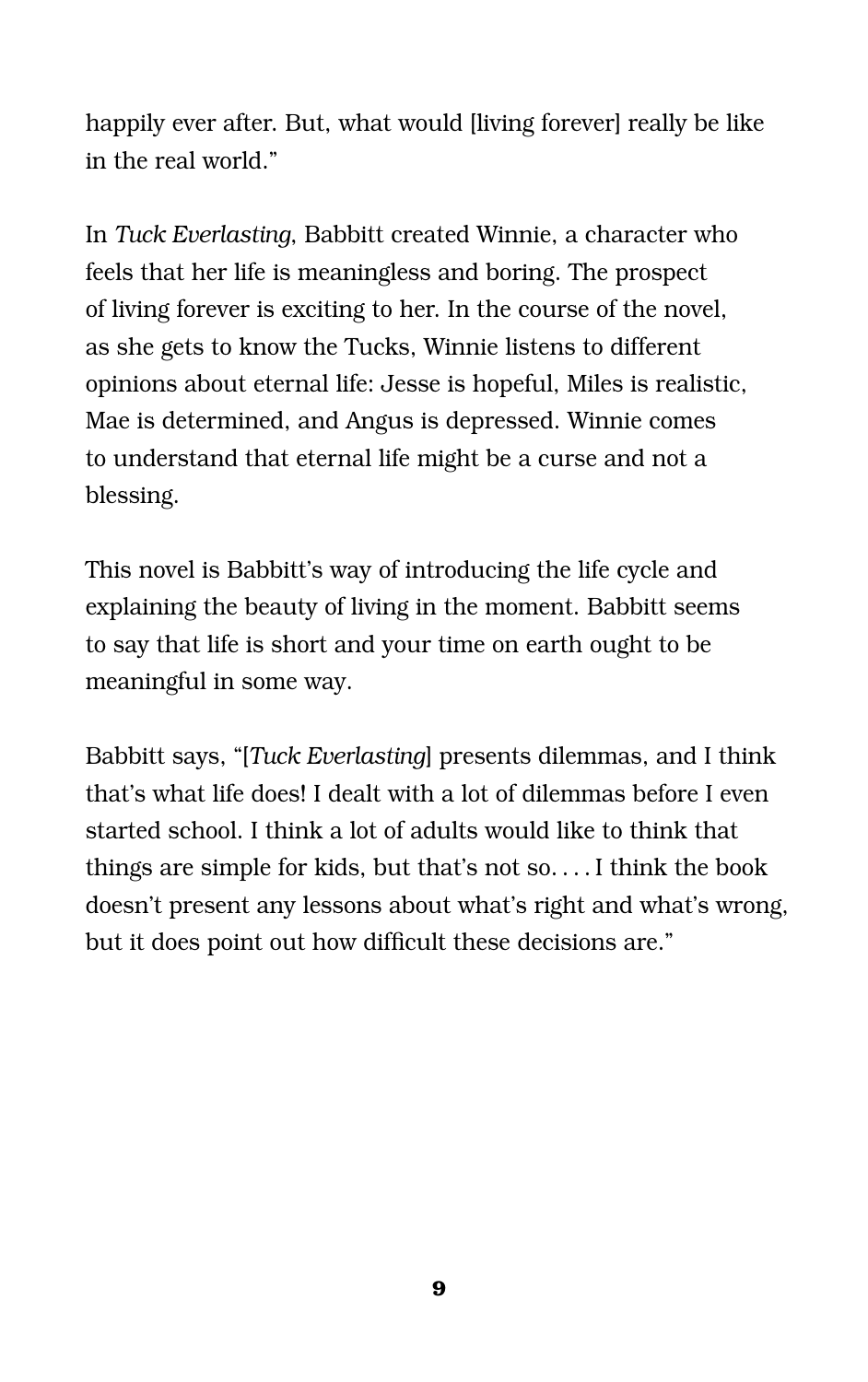happily ever after. But, what would [living forever] really be like in the real world."

In *Tuck Everlasting*, Babbitt created Winnie, a character who feels that her life is meaningless and boring. The prospect of living forever is exciting to her. In the course of the novel, as she gets to know the Tucks, Winnie listens to different opinions about eternal life: Jesse is hopeful, Miles is realistic, Mae is determined, and Angus is depressed. Winnie comes to understand that eternal life might be a curse and not a blessing.

This novel is Babbitt's way of introducing the life cycle and explaining the beauty of living in the moment. Babbitt seems to say that life is short and your time on earth ought to be meaningful in some way.

Babbitt says, "[*Tuck Everlasting*] presents dilemmas, and I think that's what life does! I dealt with a lot of dilemmas before I even started school. I think a lot of adults would like to think that things are simple for kids, but that's not so. . . . I think the book doesn't present any lessons about what's right and what's wrong, but it does point out how difficult these decisions are."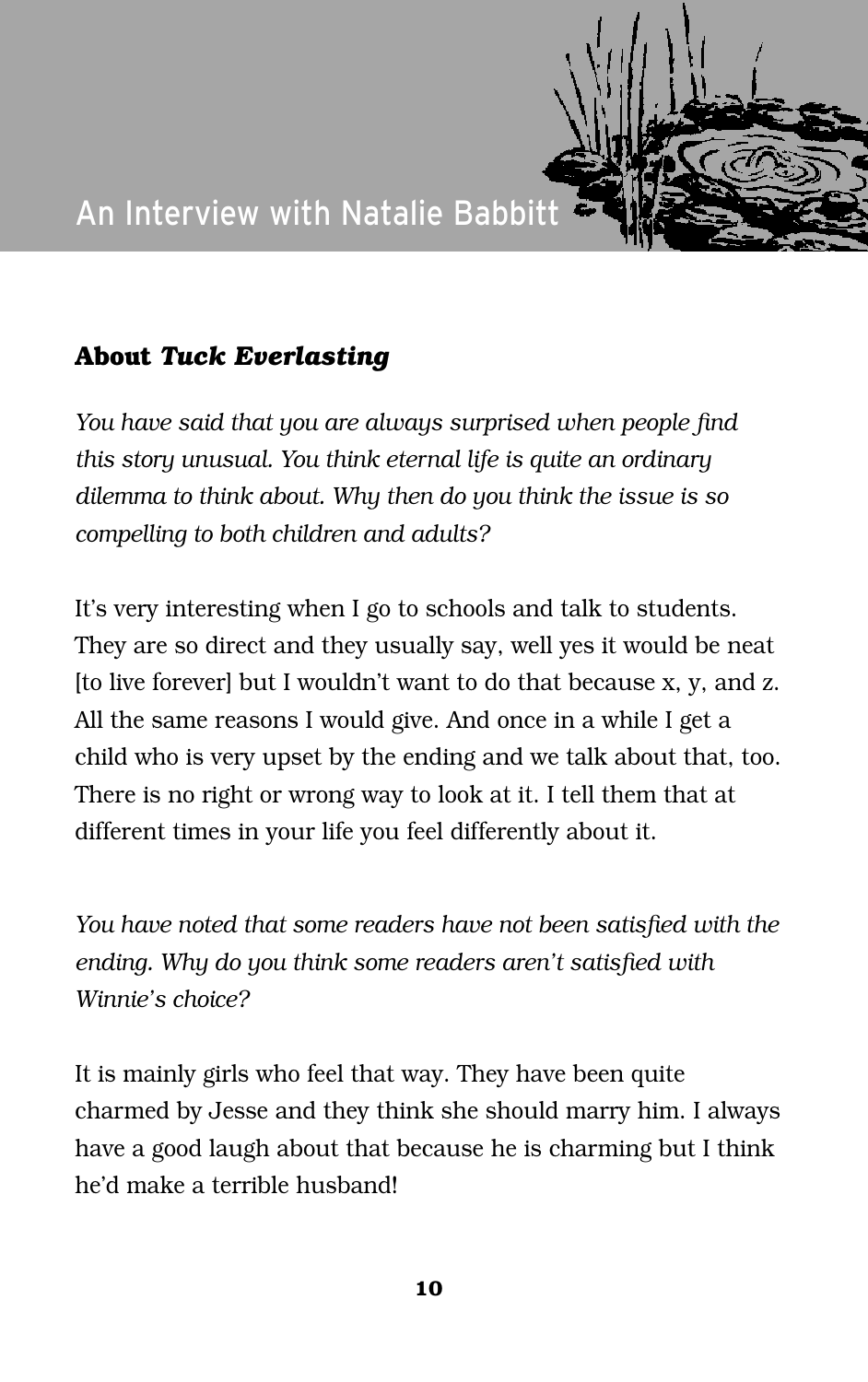#### **About** *Tuck Everlasting*

*You have said that you are always surprised when people find this story unusual. You think eternal life is quite an ordinary dilemma to think about. Why then do you think the issue is so compelling to both children and adults?*

It's very interesting when I go to schools and talk to students. They are so direct and they usually say, well yes it would be neat [to live forever] but I wouldn't want to do that because x, y, and z. All the same reasons I would give. And once in a while I get a child who is very upset by the ending and we talk about that, too. There is no right or wrong way to look at it. I tell them that at different times in your life you feel differently about it.

*You have noted that some readers have not been satisfied with the ending. Why do you think some readers aren't satisfied with Winnie's choice?*

It is mainly girls who feel that way. They have been quite charmed by Jesse and they think she should marry him. I always have a good laugh about that because he is charming but I think he'd make a terrible husband!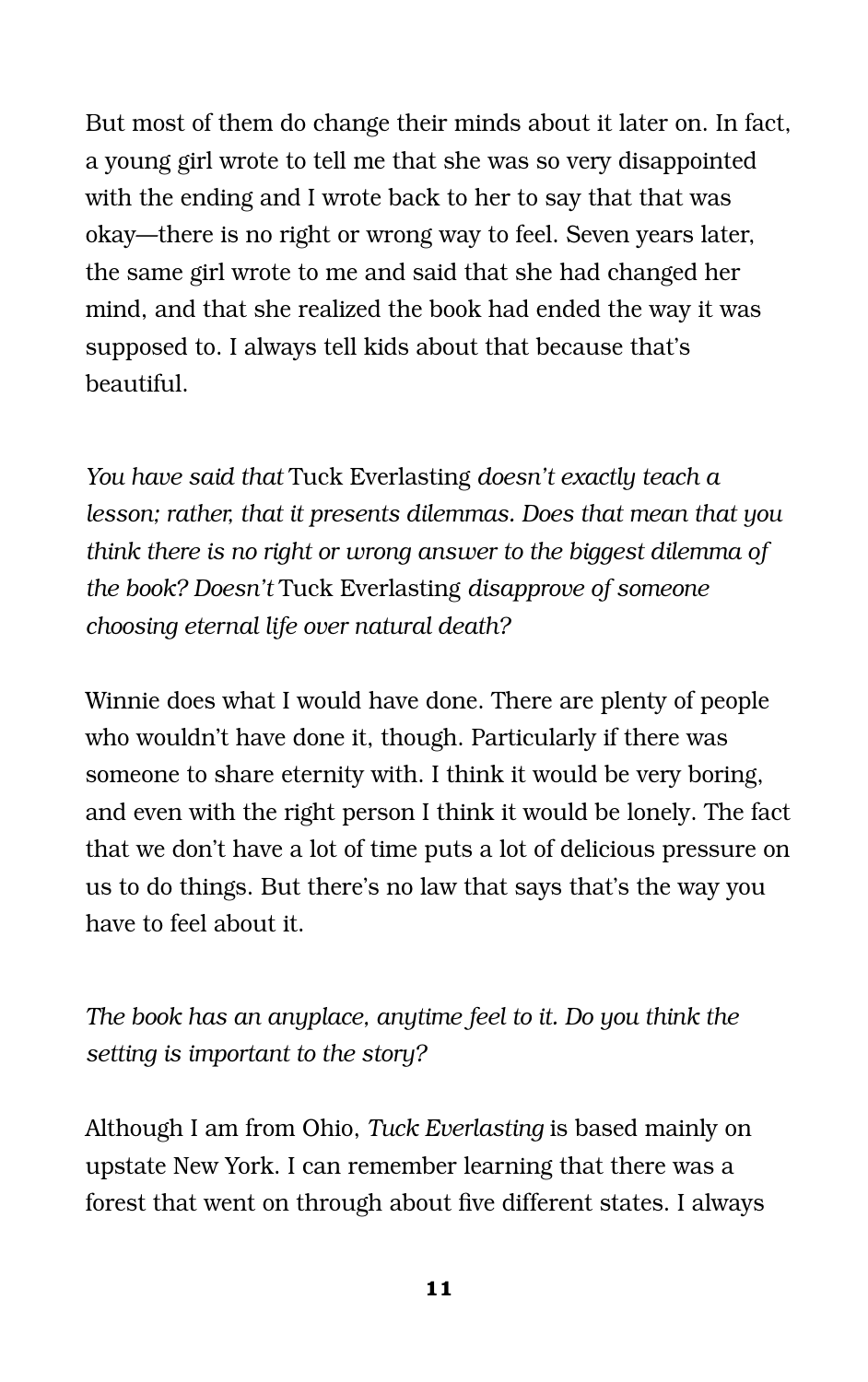But most of them do change their minds about it later on. In fact, a young girl wrote to tell me that she was so very disappointed with the ending and I wrote back to her to say that that was okay—there is no right or wrong way to feel. Seven years later, the same girl wrote to me and said that she had changed her mind, and that she realized the book had ended the way it was supposed to. I always tell kids about that because that's beautiful.

*You have said that* Tuck Everlasting *doesn't exactly teach a lesson; rather, that it presents dilemmas. Does that mean that you think there is no right or wrong answer to the biggest dilemma of the book? Doesn't* Tuck Everlasting *disapprove of someone choosing eternal life over natural death?*

Winnie does what I would have done. There are plenty of people who wouldn't have done it, though. Particularly if there was someone to share eternity with. I think it would be very boring, and even with the right person I think it would be lonely. The fact that we don't have a lot of time puts a lot of delicious pressure on us to do things. But there's no law that says that's the way you have to feel about it.

*The book has an anyplace, anytime feel to it. Do you think the setting is important to the story?*

Although I am from Ohio, *Tuck Everlasting* is based mainly on upstate New York. I can remember learning that there was a forest that went on through about five different states. I always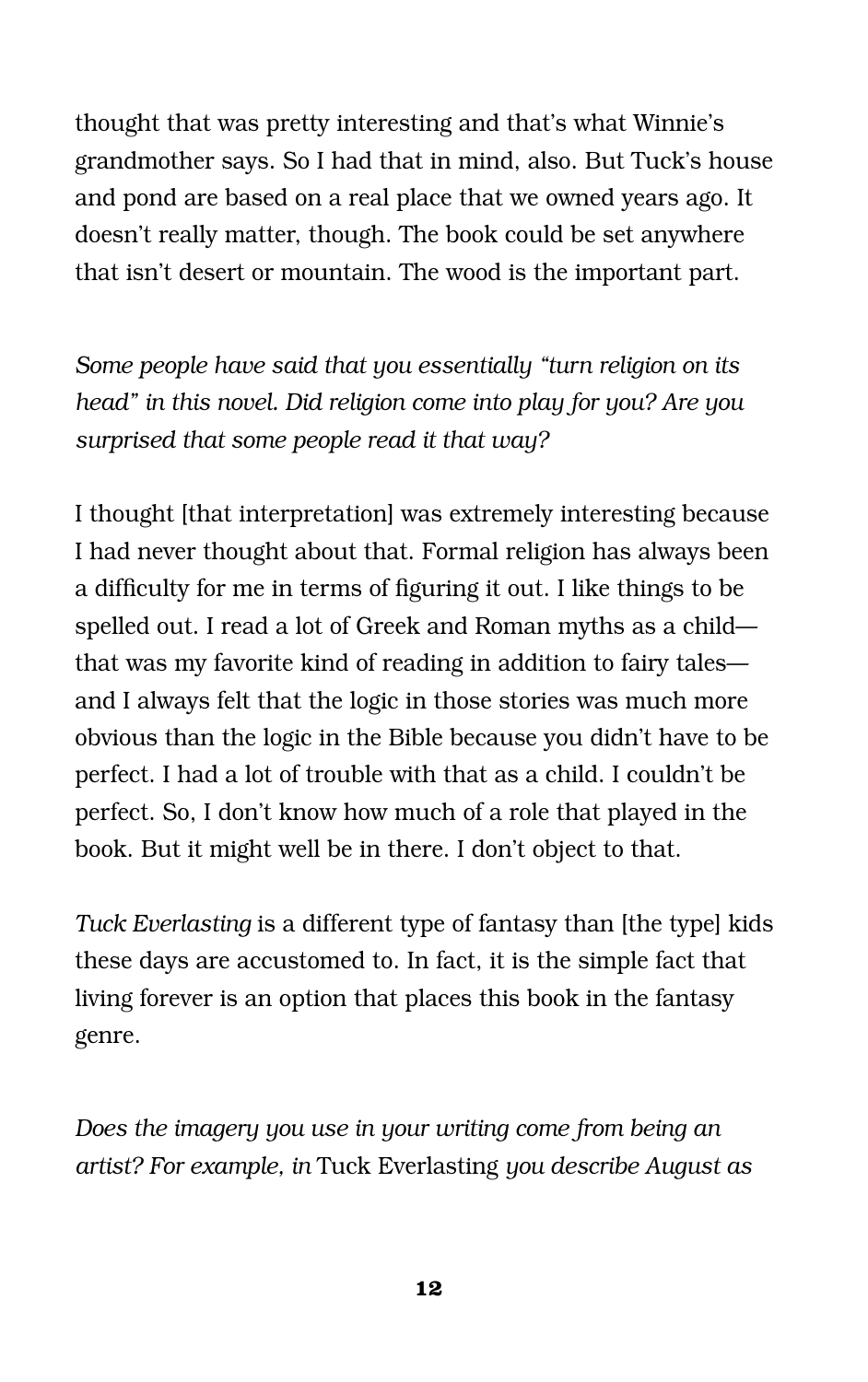thought that was pretty interesting and that's what Winnie's grandmother says. So I had that in mind, also. But Tuck's house and pond are based on a real place that we owned years ago. It doesn't really matter, though. The book could be set anywhere that isn't desert or mountain. The wood is the important part.

*Some people have said that you essentially "turn religion on its head" in this novel. Did religion come into play for you? Are you surprised that some people read it that way?*

I thought [that interpretation] was extremely interesting because I had never thought about that. Formal religion has always been a difficulty for me in terms of figuring it out. I like things to be spelled out. I read a lot of Greek and Roman myths as a child that was my favorite kind of reading in addition to fairy tales and I always felt that the logic in those stories was much more obvious than the logic in the Bible because you didn't have to be perfect. I had a lot of trouble with that as a child. I couldn't be perfect. So, I don't know how much of a role that played in the book. But it might well be in there. I don't object to that.

*Tuck Everlasting* is a different type of fantasy than [the type] kids these days are accustomed to. In fact, it is the simple fact that living forever is an option that places this book in the fantasy genre.

*Does the imagery you use in your writing come from being an artist? For example, in* Tuck Everlasting *you describe August as*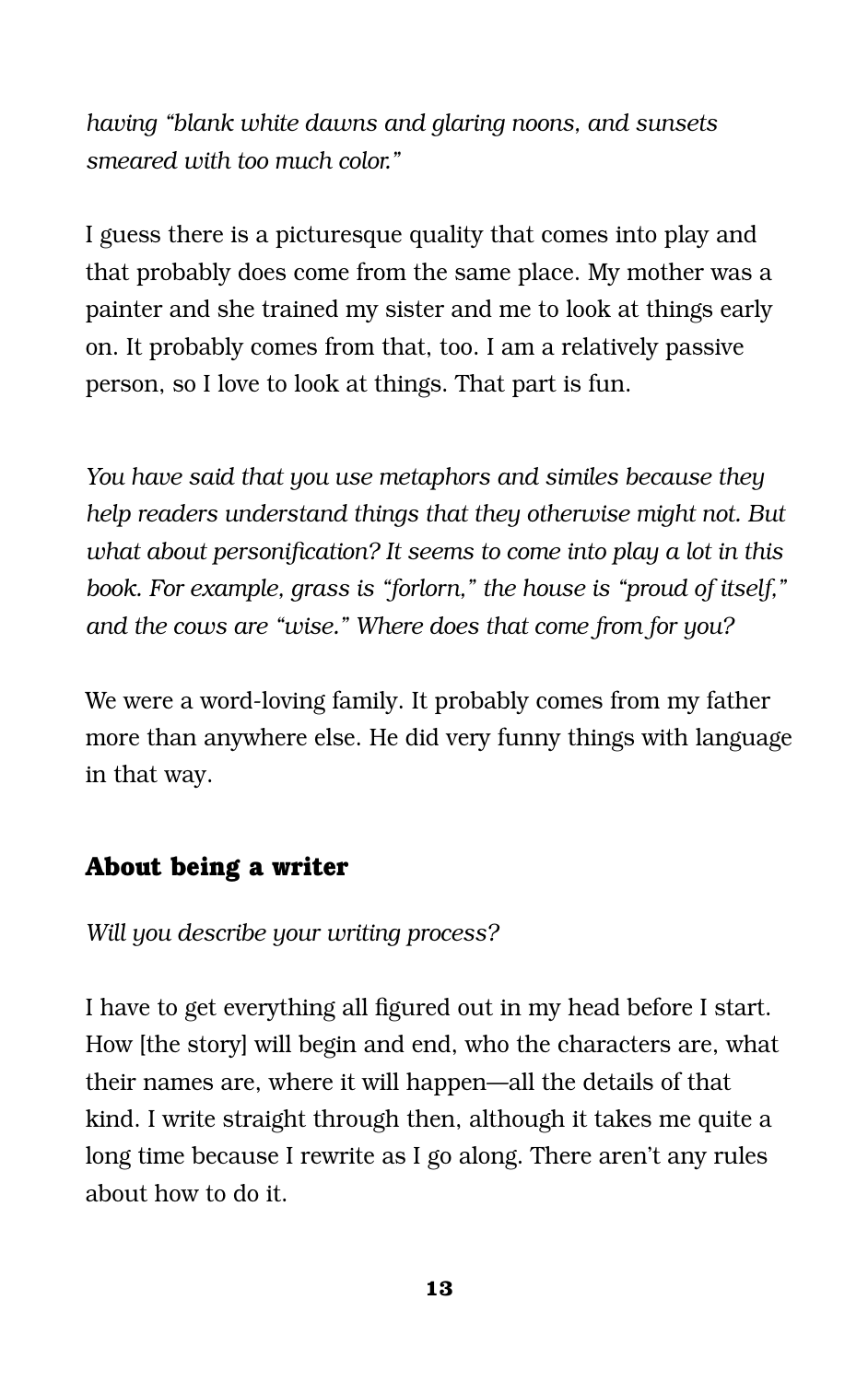*having "blank white dawns and glaring noons, and sunsets smeared with too much color."*

I guess there is a picturesque quality that comes into play and that probably does come from the same place. My mother was a painter and she trained my sister and me to look at things early on. It probably comes from that, too. I am a relatively passive person, so I love to look at things. That part is fun.

*You have said that you use metaphors and similes because they help readers understand things that they otherwise might not. But what about personification? It seems to come into play a lot in this book. For example, grass is "forlorn," the house is "proud of itself," and the cows are "wise." Where does that come from for you?*

We were a word-loving family. It probably comes from my father more than anywhere else. He did very funny things with language in that way.

#### **About being a writer**

*Will you describe your writing process?*

I have to get everything all figured out in my head before I start. How [the story] will begin and end, who the characters are, what their names are, where it will happen—all the details of that kind. I write straight through then, although it takes me quite a long time because I rewrite as I go along. There aren't any rules about how to do it.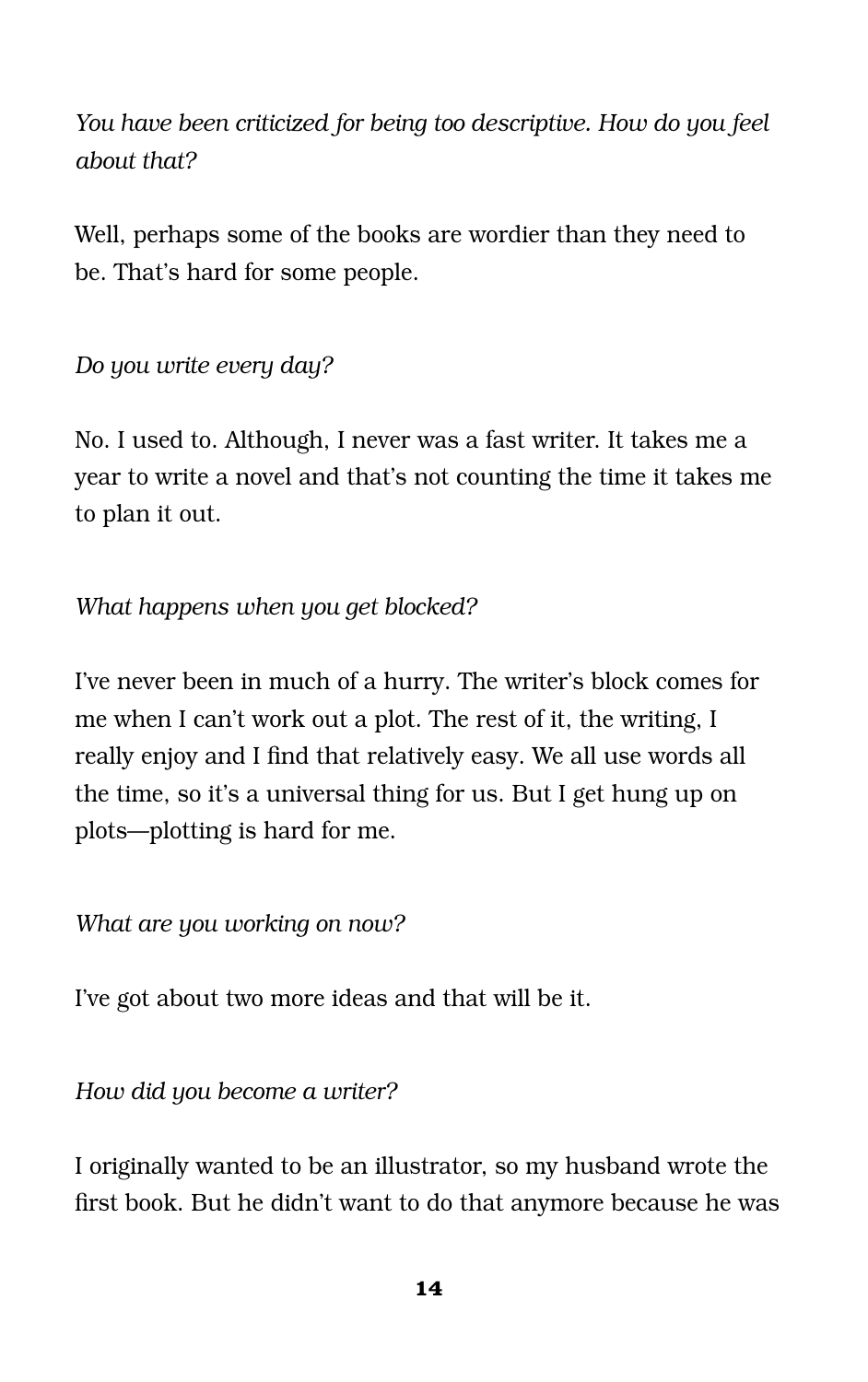#### *You have been criticized for being too descriptive. How do you feel about that?*

Well, perhaps some of the books are wordier than they need to be. That's hard for some people.

#### *Do you write every day?*

No. I used to. Although, I never was a fast writer. It takes me a year to write a novel and that's not counting the time it takes me to plan it out.

#### *What happens when you get blocked?*

I've never been in much of a hurry. The writer's block comes for me when I can't work out a plot. The rest of it, the writing, I really enjoy and I find that relatively easy. We all use words all the time, so it's a universal thing for us. But I get hung up on plots—plotting is hard for me.

*What are you working on now?*

I've got about two more ideas and that will be it.

*How did you become a writer?*

I originally wanted to be an illustrator, so my husband wrote the first book. But he didn't want to do that anymore because he was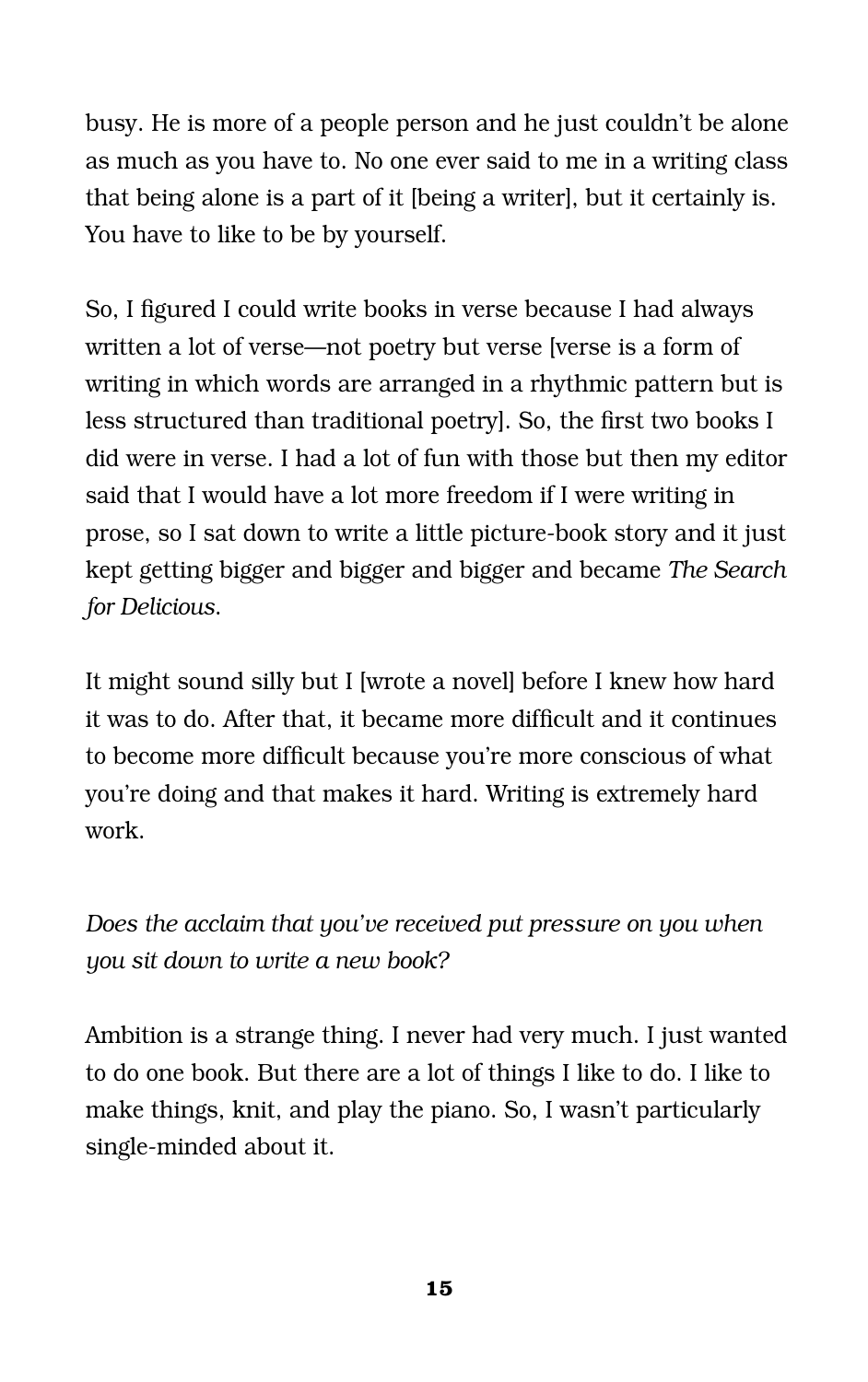busy. He is more of a people person and he just couldn't be alone as much as you have to. No one ever said to me in a writing class that being alone is a part of it [being a writer], but it certainly is. You have to like to be by yourself.

So, I figured I could write books in verse because I had always written a lot of verse—not poetry but verse [verse is a form of writing in which words are arranged in a rhythmic pattern but is less structured than traditional poetry]. So, the first two books I did were in verse. I had a lot of fun with those but then my editor said that I would have a lot more freedom if I were writing in prose, so I sat down to write a little picture-book story and it just kept getting bigger and bigger and bigger and became *The Search for Delicious*.

It might sound silly but I [wrote a novel] before I knew how hard it was to do. After that, it became more difficult and it continues to become more difficult because you're more conscious of what you're doing and that makes it hard. Writing is extremely hard work.

*Does the acclaim that you've received put pressure on you when you sit down to write a new book?*

Ambition is a strange thing. I never had very much. I just wanted to do one book. But there are a lot of things I like to do. I like to make things, knit, and play the piano. So, I wasn't particularly single-minded about it.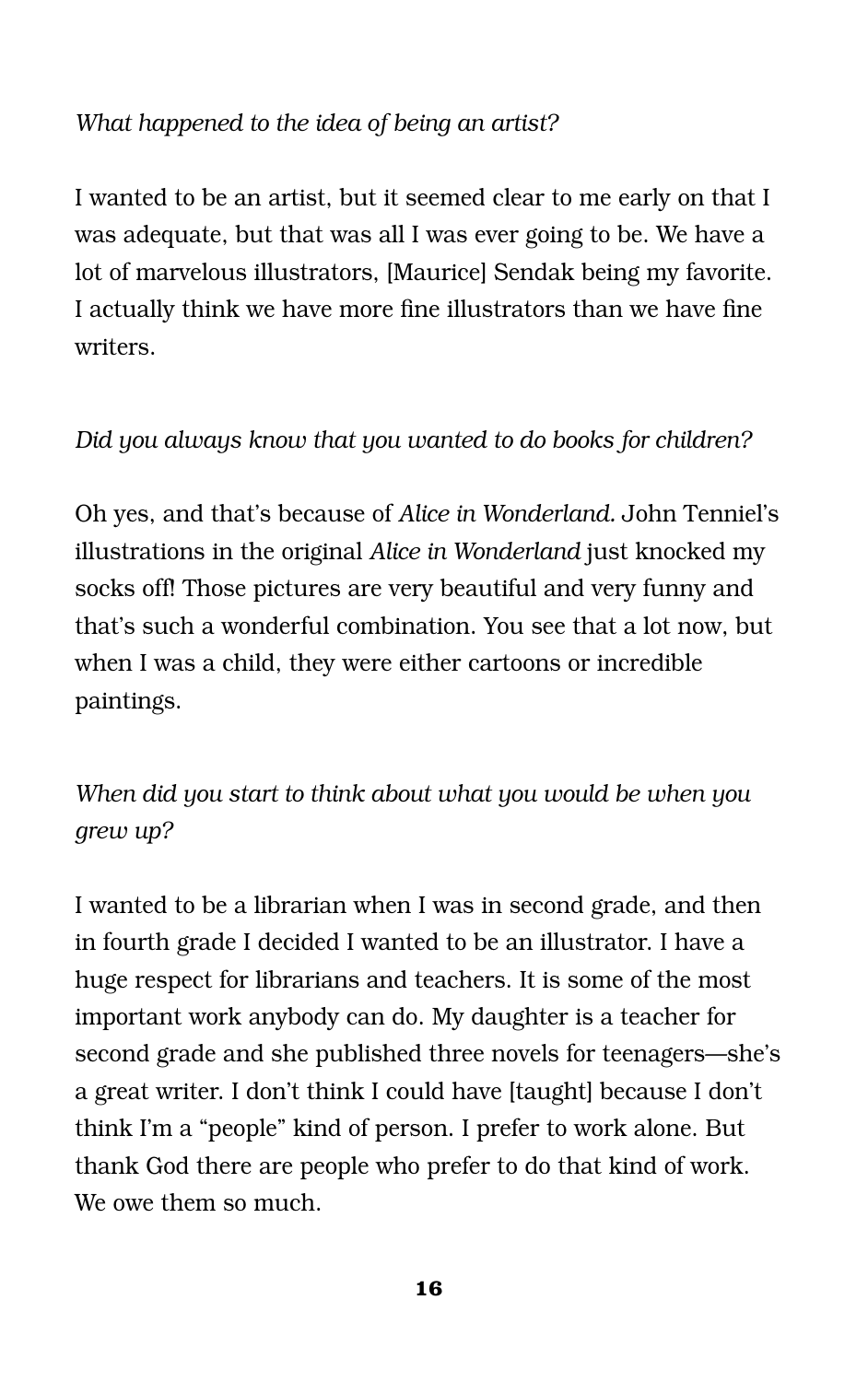#### *What happened to the idea of being an artist?*

I wanted to be an artist, but it seemed clear to me early on that I was adequate, but that was all I was ever going to be. We have a lot of marvelous illustrators, [Maurice] Sendak being my favorite. I actually think we have more fine illustrators than we have fine writers.

#### *Did you always know that you wanted to do books for children?*

Oh yes, and that's because of *Alice in Wonderland.* John Tenniel's illustrations in the original *Alice in Wonderland* just knocked my socks off! Those pictures are very beautiful and very funny and that's such a wonderful combination. You see that a lot now, but when I was a child, they were either cartoons or incredible paintings.

*When did you start to think about what you would be when you grew up?*

I wanted to be a librarian when I was in second grade, and then in fourth grade I decided I wanted to be an illustrator. I have a huge respect for librarians and teachers. It is some of the most important work anybody can do. My daughter is a teacher for second grade and she published three novels for teenagers—she's a great writer. I don't think I could have [taught] because I don't think I'm a "people" kind of person. I prefer to work alone. But thank God there are people who prefer to do that kind of work. We owe them so much.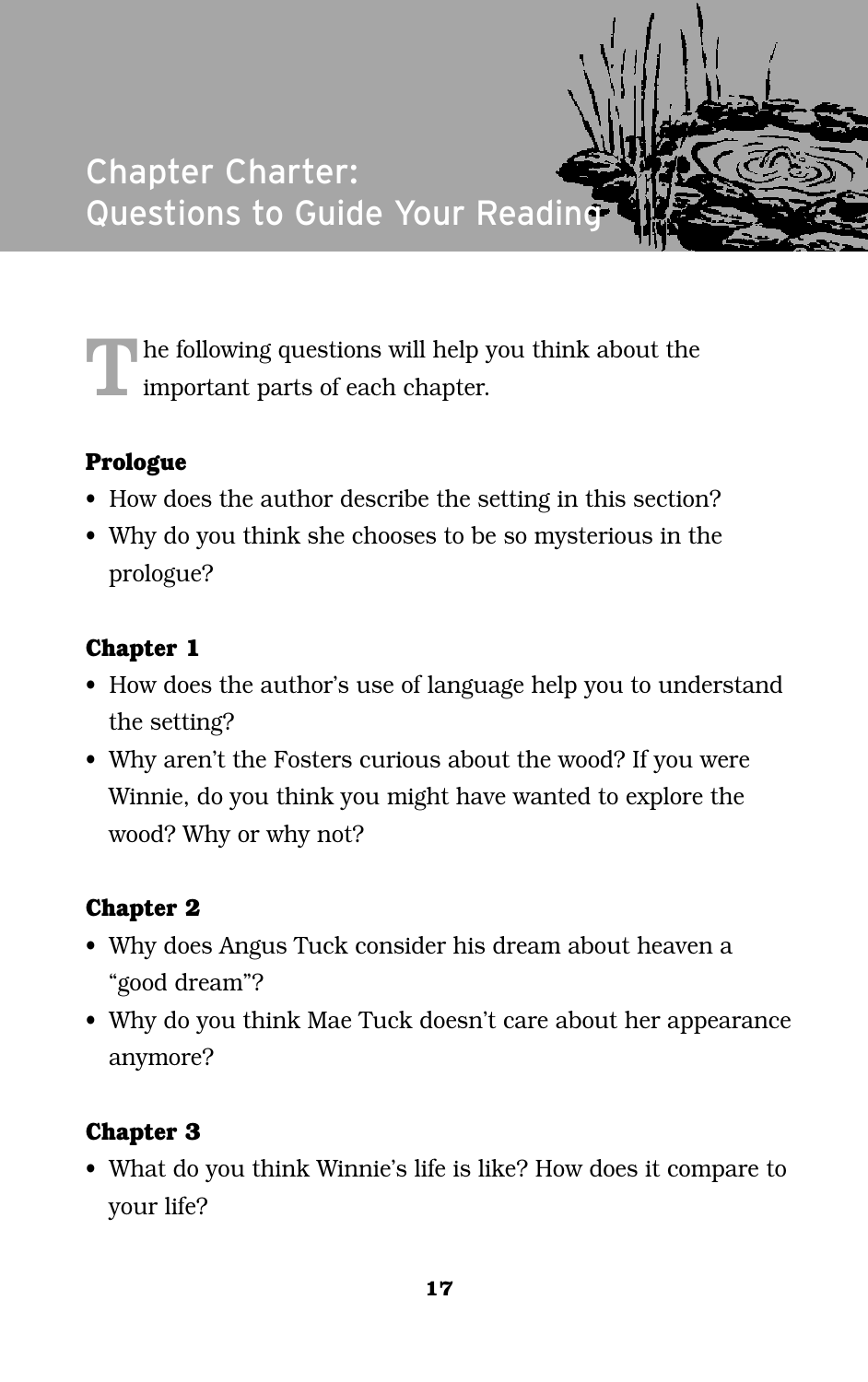

The following questions will help you think about the **important parts of each chapter.** 

#### **Prologue**

- How does the author describe the setting in this section?
- Why do you think she chooses to be so mysterious in the prologue?

#### **Chapter 1**

- How does the author's use of language help you to understand the setting?
- Why aren't the Fosters curious about the wood? If you were Winnie, do you think you might have wanted to explore the wood? Why or why not?

#### **Chapter 2**

- Why does Angus Tuck consider his dream about heaven a "good dream"?
- Why do you think Mae Tuck doesn't care about her appearance anymore?

#### **Chapter 3**

• What do you think Winnie's life is like? How does it compare to your life?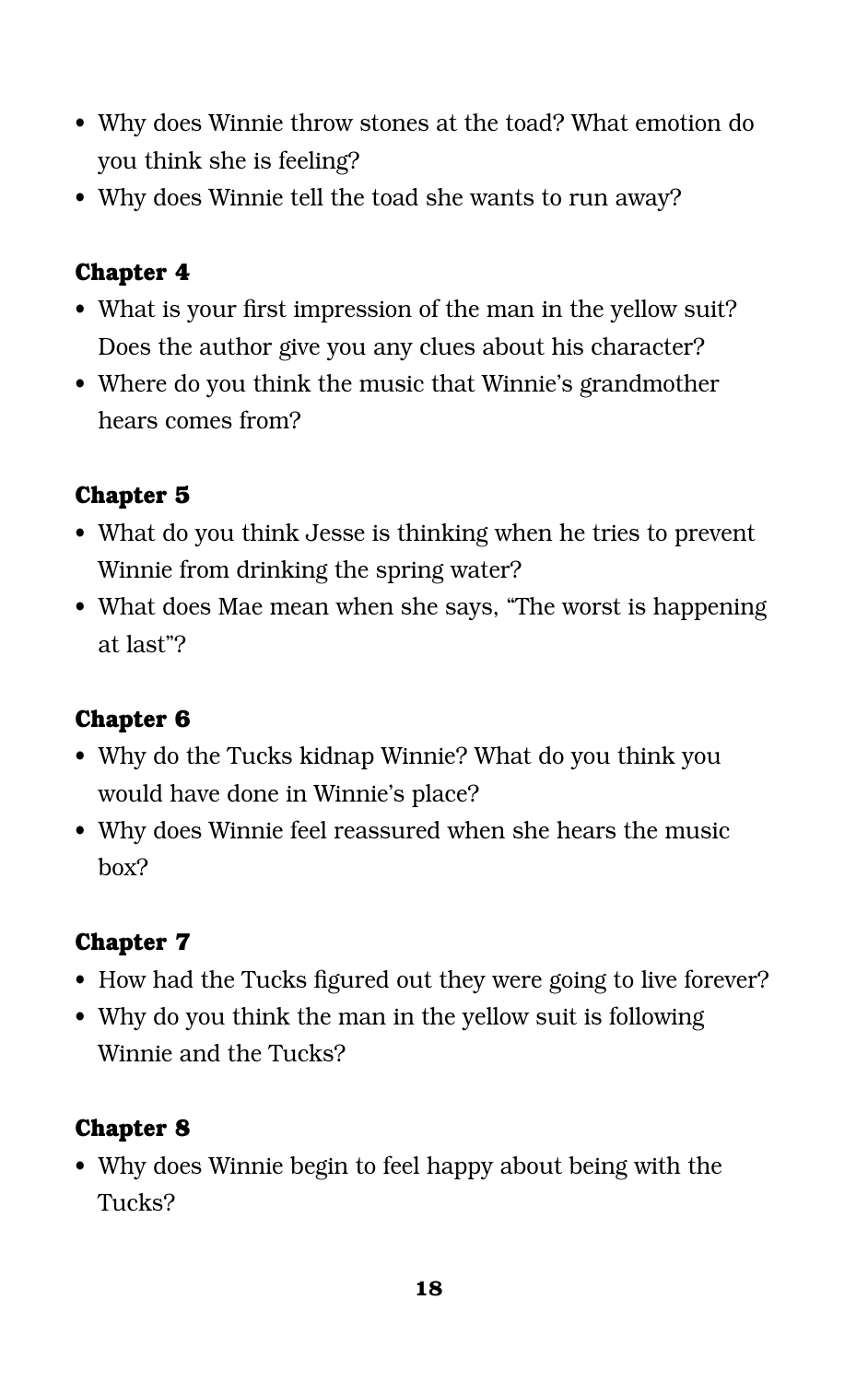- Why does Winnie throw stones at the toad? What emotion do you think she is feeling?
- Why does Winnie tell the toad she wants to run away?

#### **Chapter 4**

- What is your first impression of the man in the yellow suit? Does the author give you any clues about his character?
- Where do you think the music that Winnie's grandmother hears comes from?

#### **Chapter 5**

- What do you think Jesse is thinking when he tries to prevent Winnie from drinking the spring water?
- What does Mae mean when she says, "The worst is happening at last"?

#### **Chapter 6**

- Why do the Tucks kidnap Winnie? What do you think you would have done in Winnie's place?
- Why does Winnie feel reassured when she hears the music box?

#### **Chapter 7**

- How had the Tucks figured out they were going to live forever?
- Why do you think the man in the yellow suit is following Winnie and the Tucks?

#### **Chapter 8**

• Why does Winnie begin to feel happy about being with the Tucks?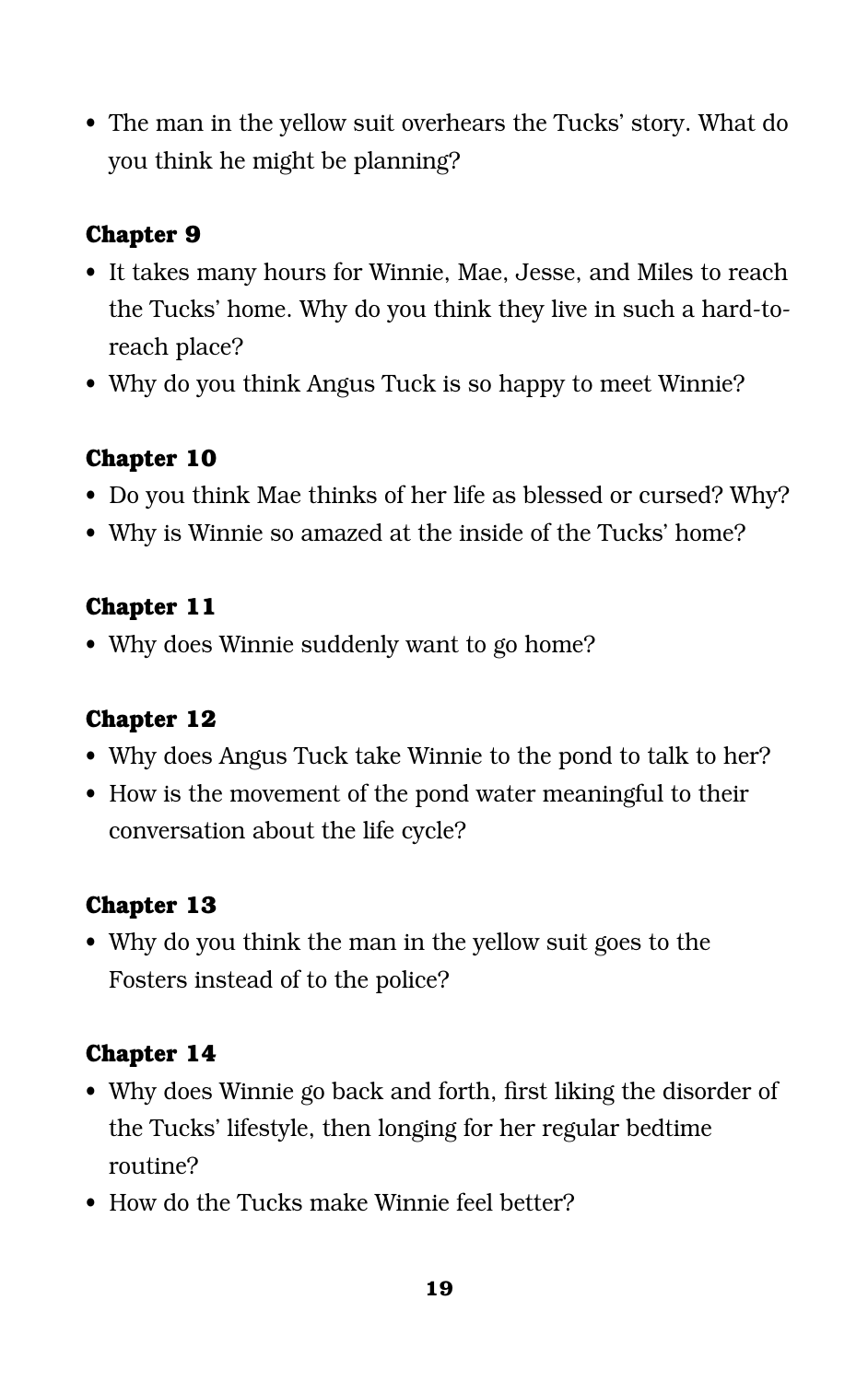• The man in the yellow suit overhears the Tucks' story. What do you think he might be planning?

#### **Chapter 9**

- It takes many hours for Winnie, Mae, Jesse, and Miles to reach the Tucks' home. Why do you think they live in such a hard-toreach place?
- Why do you think Angus Tuck is so happy to meet Winnie?

#### **Chapter 10**

- Do you think Mae thinks of her life as blessed or cursed? Why?
- Why is Winnie so amazed at the inside of the Tucks' home?

#### **Chapter 11**

• Why does Winnie suddenly want to go home?

#### **Chapter 12**

- Why does Angus Tuck take Winnie to the pond to talk to her?
- How is the movement of the pond water meaningful to their conversation about the life cycle?

#### **Chapter 13**

• Why do you think the man in the yellow suit goes to the Fosters instead of to the police?

#### **Chapter 14**

- Why does Winnie go back and forth, first liking the disorder of the Tucks' lifestyle, then longing for her regular bedtime routine?
- How do the Tucks make Winnie feel better?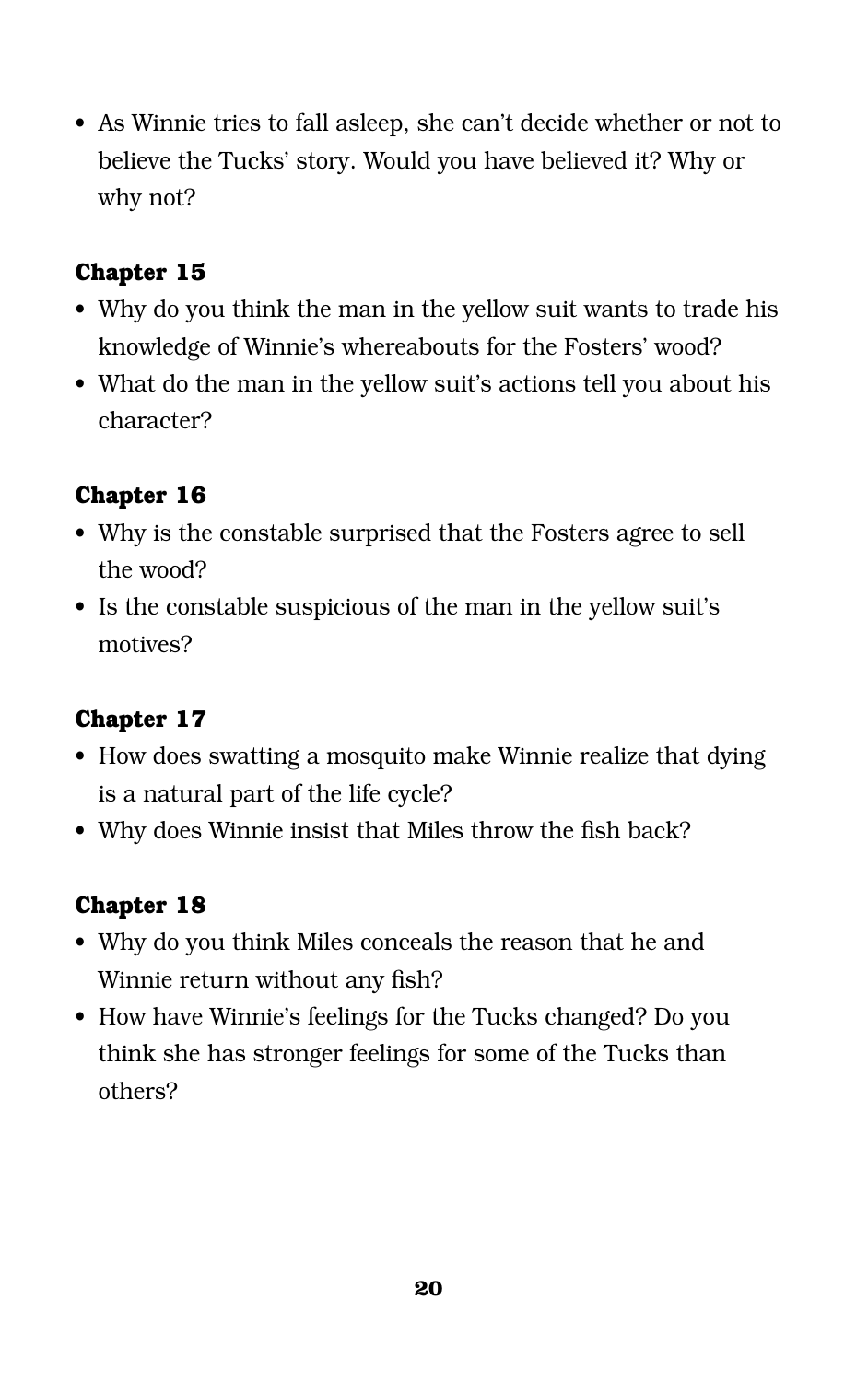• As Winnie tries to fall asleep, she can't decide whether or not to believe the Tucks' story. Would you have believed it? Why or why not?

#### **Chapter 15**

- Why do you think the man in the yellow suit wants to trade his knowledge of Winnie's whereabouts for the Fosters' wood?
- What do the man in the yellow suit's actions tell you about his character?

#### **Chapter 16**

- Why is the constable surprised that the Fosters agree to sell the wood?
- Is the constable suspicious of the man in the yellow suit's motives?

#### **Chapter 17**

- How does swatting a mosquito make Winnie realize that dying is a natural part of the life cycle?
- Why does Winnie insist that Miles throw the fish back?

#### **Chapter 18**

- Why do you think Miles conceals the reason that he and Winnie return without any fish?
- How have Winnie's feelings for the Tucks changed? Do you think she has stronger feelings for some of the Tucks than others?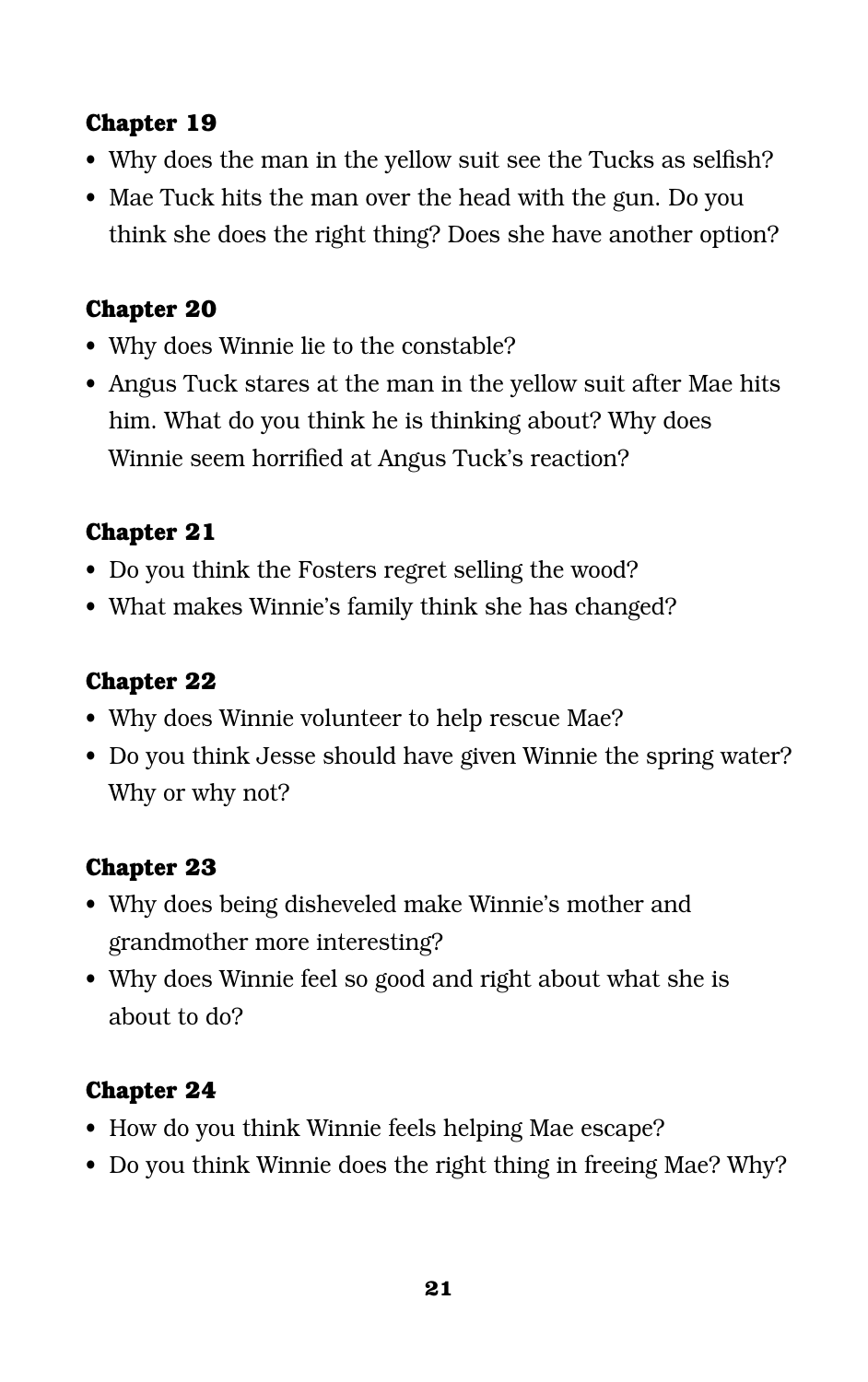#### **Chapter 19**

- Why does the man in the yellow suit see the Tucks as selfish?
- Mae Tuck hits the man over the head with the gun. Do you think she does the right thing? Does she have another option?

#### **Chapter 20**

- Why does Winnie lie to the constable?
- Angus Tuck stares at the man in the yellow suit after Mae hits him. What do you think he is thinking about? Why does Winnie seem horrified at Angus Tuck's reaction?

#### **Chapter 21**

- Do you think the Fosters regret selling the wood?
- What makes Winnie's family think she has changed?

#### **Chapter 22**

- Why does Winnie volunteer to help rescue Mae?
- Do you think Jesse should have given Winnie the spring water? Why or why not?

#### **Chapter 23**

- Why does being disheveled make Winnie's mother and grandmother more interesting?
- Why does Winnie feel so good and right about what she is about to do?

#### **Chapter 24**

- How do you think Winnie feels helping Mae escape?
- Do you think Winnie does the right thing in freeing Mae? Why?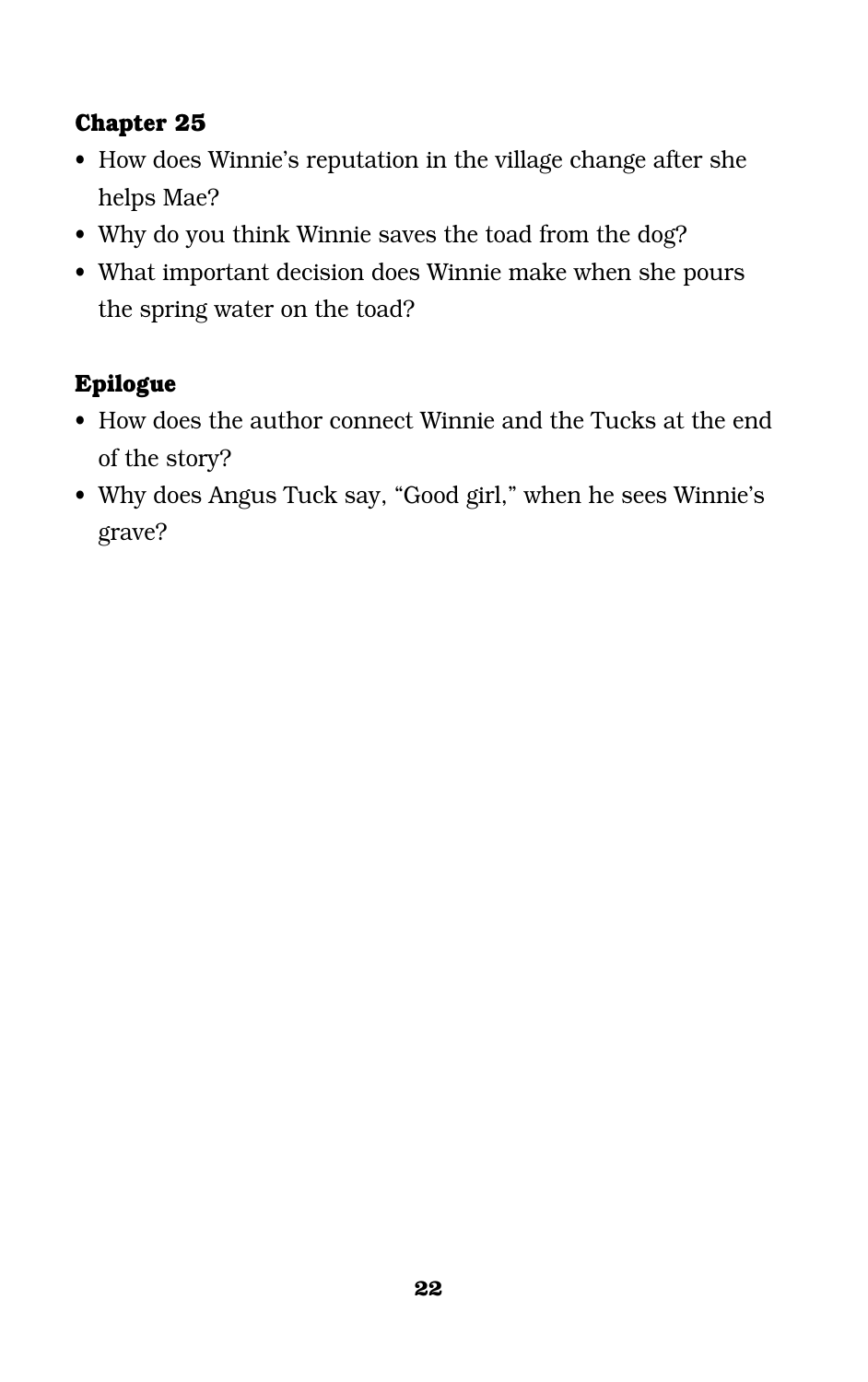#### **Chapter 25**

- How does Winnie's reputation in the village change after she helps Mae?
- Why do you think Winnie saves the toad from the dog?
- What important decision does Winnie make when she pours the spring water on the toad?

#### **Epilogue**

- How does the author connect Winnie and the Tucks at the end of the story?
- Why does Angus Tuck say, "Good girl," when he sees Winnie's grave?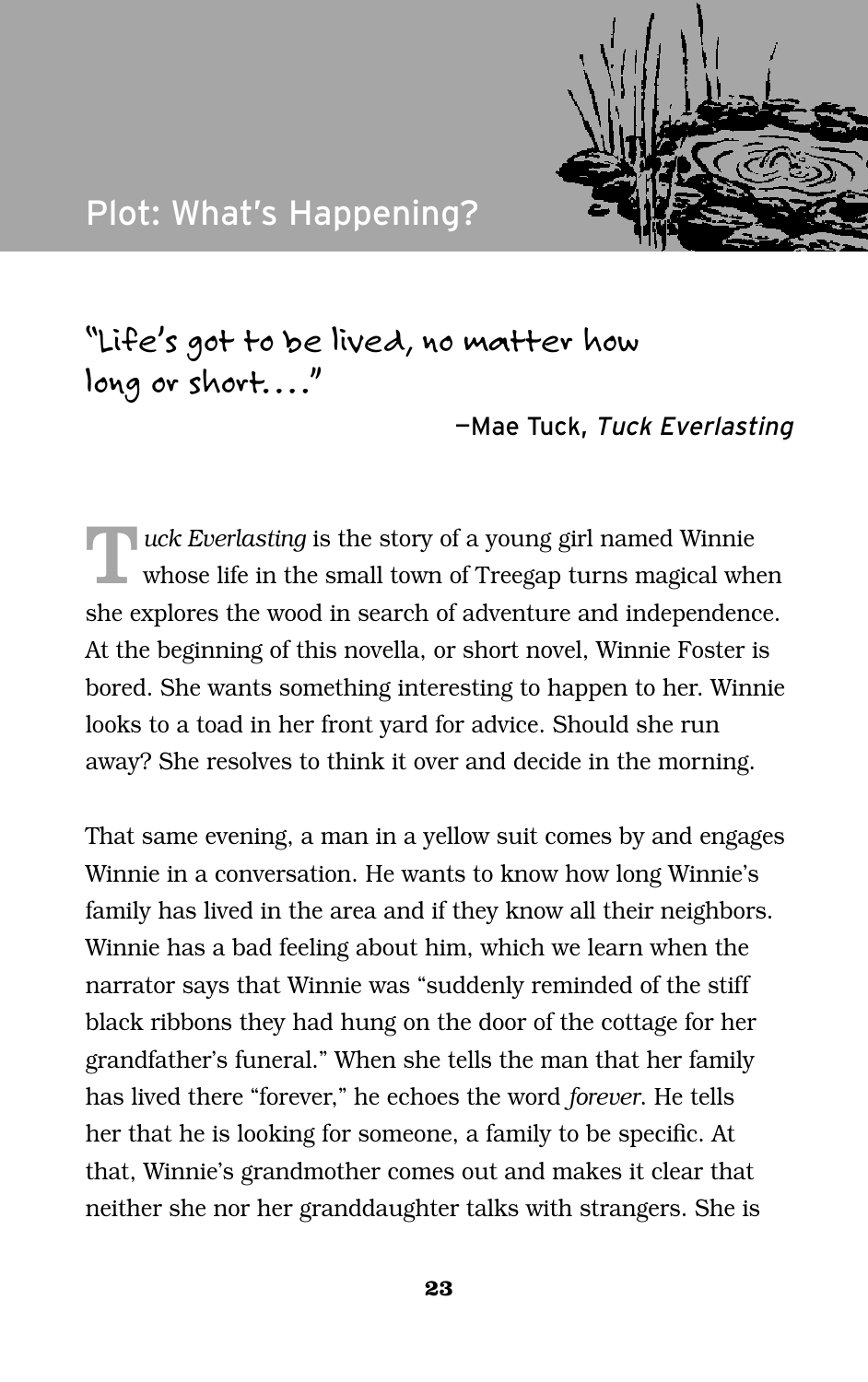

*"Life's got to be lived, no matter how long or short. . . ."*

—Mae Tuck, Tuck Everlasting

**T** uck Everlasting is the story of a young girl named Winnie whose life in the small town of Treegap turns magical when she explores the wood in search of adventure and independence. At the beginning of this novella, or short novel, Winnie Foster is bored. She wants something interesting to happen to her. Winnie looks to a toad in her front yard for advice. Should she run away? She resolves to think it over and decide in the morning.

That same evening, a man in a yellow suit comes by and engages Winnie in a conversation. He wants to know how long Winnie's family has lived in the area and if they know all their neighbors. Winnie has a bad feeling about him, which we learn when the narrator says that Winnie was "suddenly reminded of the stiff black ribbons they had hung on the door of the cottage for her grandfather's funeral." When she tells the man that her family has lived there "forever," he echoes the word *forever*. He tells her that he is looking for someone, a family to be specific. At that, Winnie's grandmother comes out and makes it clear that neither she nor her granddaughter talks with strangers. She is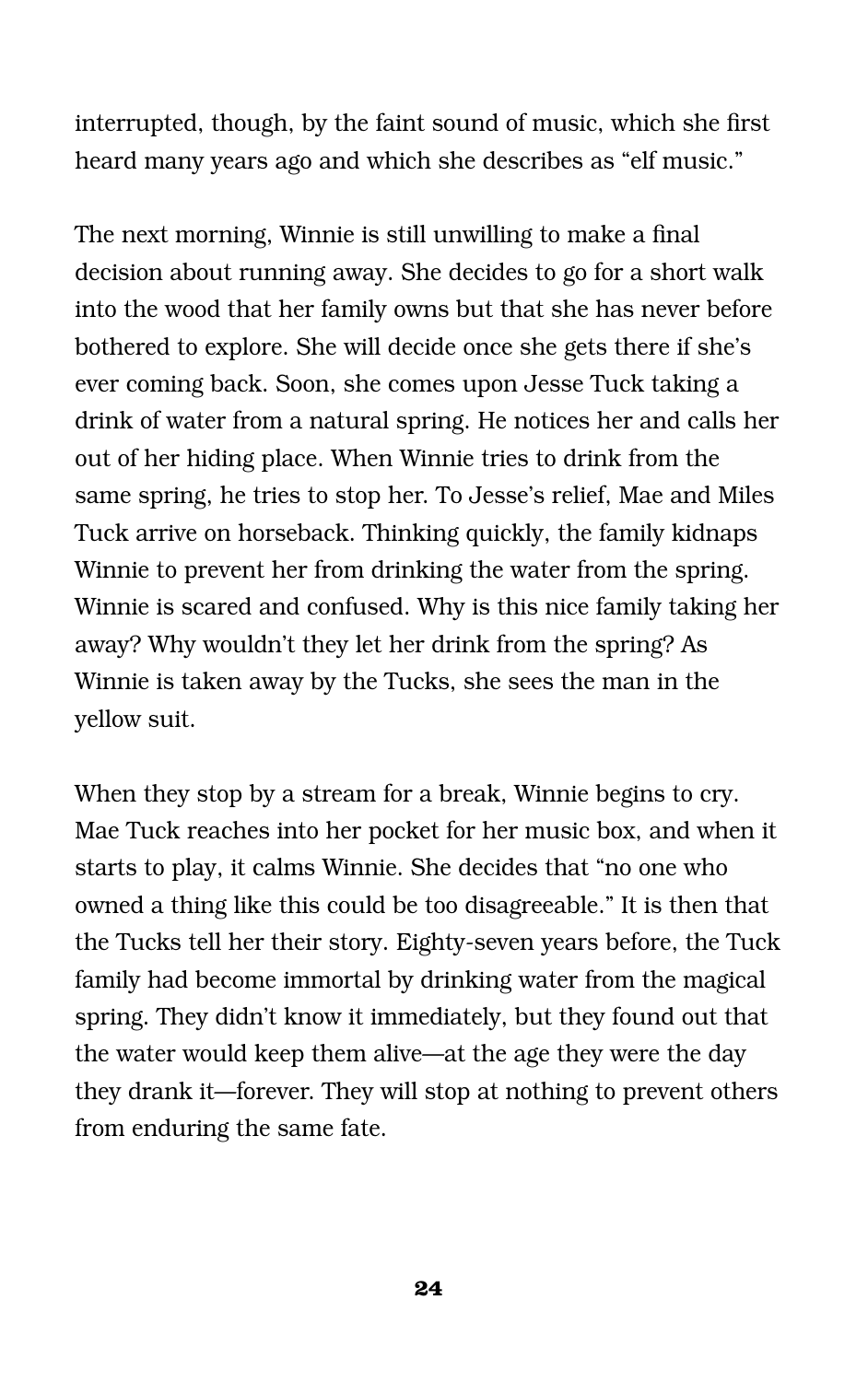interrupted, though, by the faint sound of music, which she first heard many years ago and which she describes as "elf music."

The next morning, Winnie is still unwilling to make a final decision about running away. She decides to go for a short walk into the wood that her family owns but that she has never before bothered to explore. She will decide once she gets there if she's ever coming back. Soon, she comes upon Jesse Tuck taking a drink of water from a natural spring. He notices her and calls her out of her hiding place. When Winnie tries to drink from the same spring, he tries to stop her. To Jesse's relief, Mae and Miles Tuck arrive on horseback. Thinking quickly, the family kidnaps Winnie to prevent her from drinking the water from the spring. Winnie is scared and confused. Why is this nice family taking her away? Why wouldn't they let her drink from the spring? As Winnie is taken away by the Tucks, she sees the man in the yellow suit.

When they stop by a stream for a break, Winnie begins to cry. Mae Tuck reaches into her pocket for her music box, and when it starts to play, it calms Winnie. She decides that "no one who owned a thing like this could be too disagreeable." It is then that the Tucks tell her their story. Eighty-seven years before, the Tuck family had become immortal by drinking water from the magical spring. They didn't know it immediately, but they found out that the water would keep them alive—at the age they were the day they drank it—forever. They will stop at nothing to prevent others from enduring the same fate.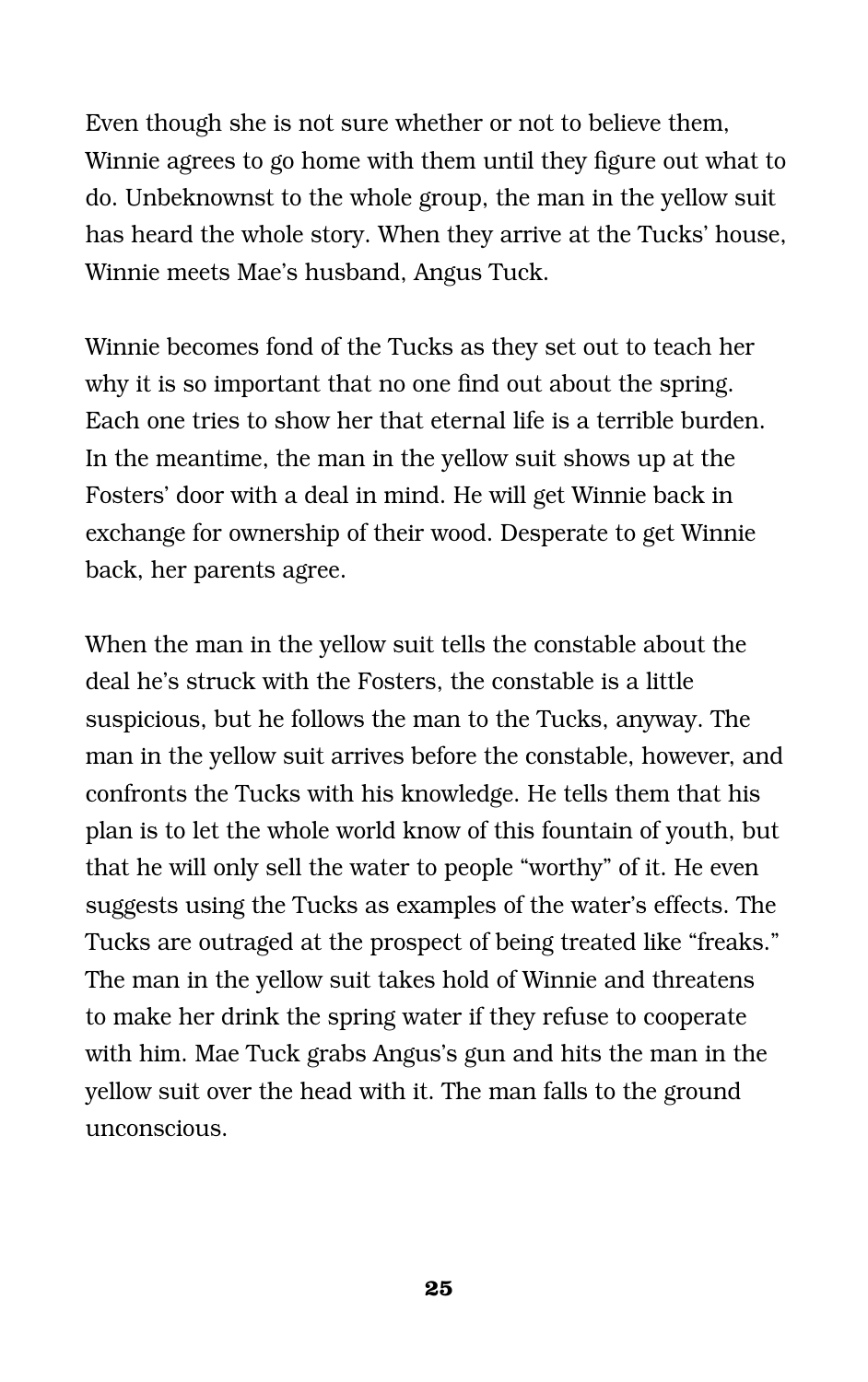Even though she is not sure whether or not to believe them, Winnie agrees to go home with them until they figure out what to do. Unbeknownst to the whole group, the man in the yellow suit has heard the whole story. When they arrive at the Tucks' house, Winnie meets Mae's husband, Angus Tuck.

Winnie becomes fond of the Tucks as they set out to teach her why it is so important that no one find out about the spring. Each one tries to show her that eternal life is a terrible burden. In the meantime, the man in the yellow suit shows up at the Fosters' door with a deal in mind. He will get Winnie back in exchange for ownership of their wood. Desperate to get Winnie back, her parents agree.

When the man in the yellow suit tells the constable about the deal he's struck with the Fosters, the constable is a little suspicious, but he follows the man to the Tucks, anyway. The man in the yellow suit arrives before the constable, however, and confronts the Tucks with his knowledge. He tells them that his plan is to let the whole world know of this fountain of youth, but that he will only sell the water to people "worthy" of it. He even suggests using the Tucks as examples of the water's effects. The Tucks are outraged at the prospect of being treated like "freaks." The man in the yellow suit takes hold of Winnie and threatens to make her drink the spring water if they refuse to cooperate with him. Mae Tuck grabs Angus's gun and hits the man in the yellow suit over the head with it. The man falls to the ground unconscious.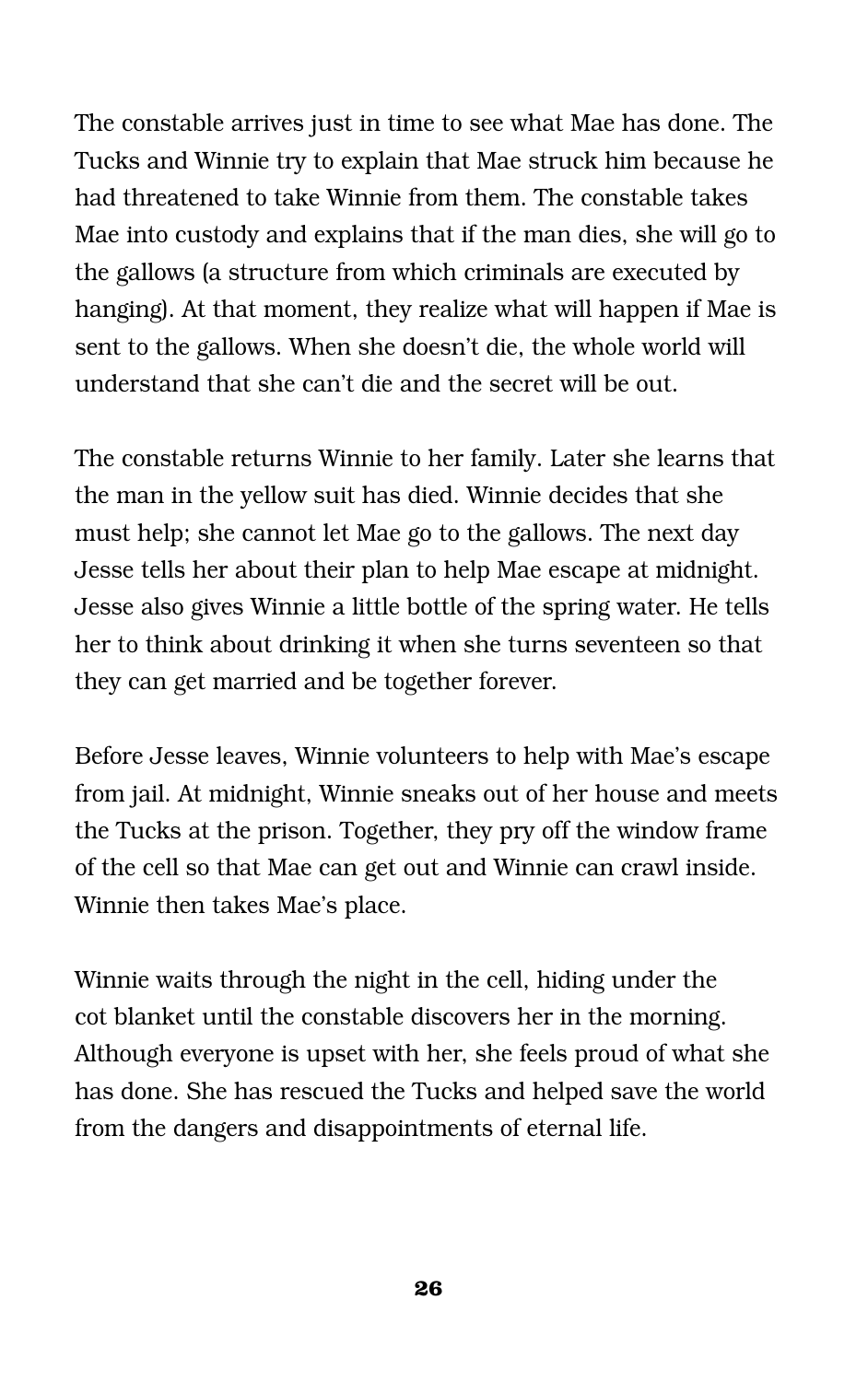The constable arrives just in time to see what Mae has done. The Tucks and Winnie try to explain that Mae struck him because he had threatened to take Winnie from them. The constable takes Mae into custody and explains that if the man dies, she will go to the gallows (a structure from which criminals are executed by hanging). At that moment, they realize what will happen if Mae is sent to the gallows. When she doesn't die, the whole world will understand that she can't die and the secret will be out.

The constable returns Winnie to her family. Later she learns that the man in the yellow suit has died. Winnie decides that she must help; she cannot let Mae go to the gallows. The next day Jesse tells her about their plan to help Mae escape at midnight. Jesse also gives Winnie a little bottle of the spring water. He tells her to think about drinking it when she turns seventeen so that they can get married and be together forever.

Before Jesse leaves, Winnie volunteers to help with Mae's escape from jail. At midnight, Winnie sneaks out of her house and meets the Tucks at the prison. Together, they pry off the window frame of the cell so that Mae can get out and Winnie can crawl inside. Winnie then takes Mae's place.

Winnie waits through the night in the cell, hiding under the cot blanket until the constable discovers her in the morning. Although everyone is upset with her, she feels proud of what she has done. She has rescued the Tucks and helped save the world from the dangers and disappointments of eternal life.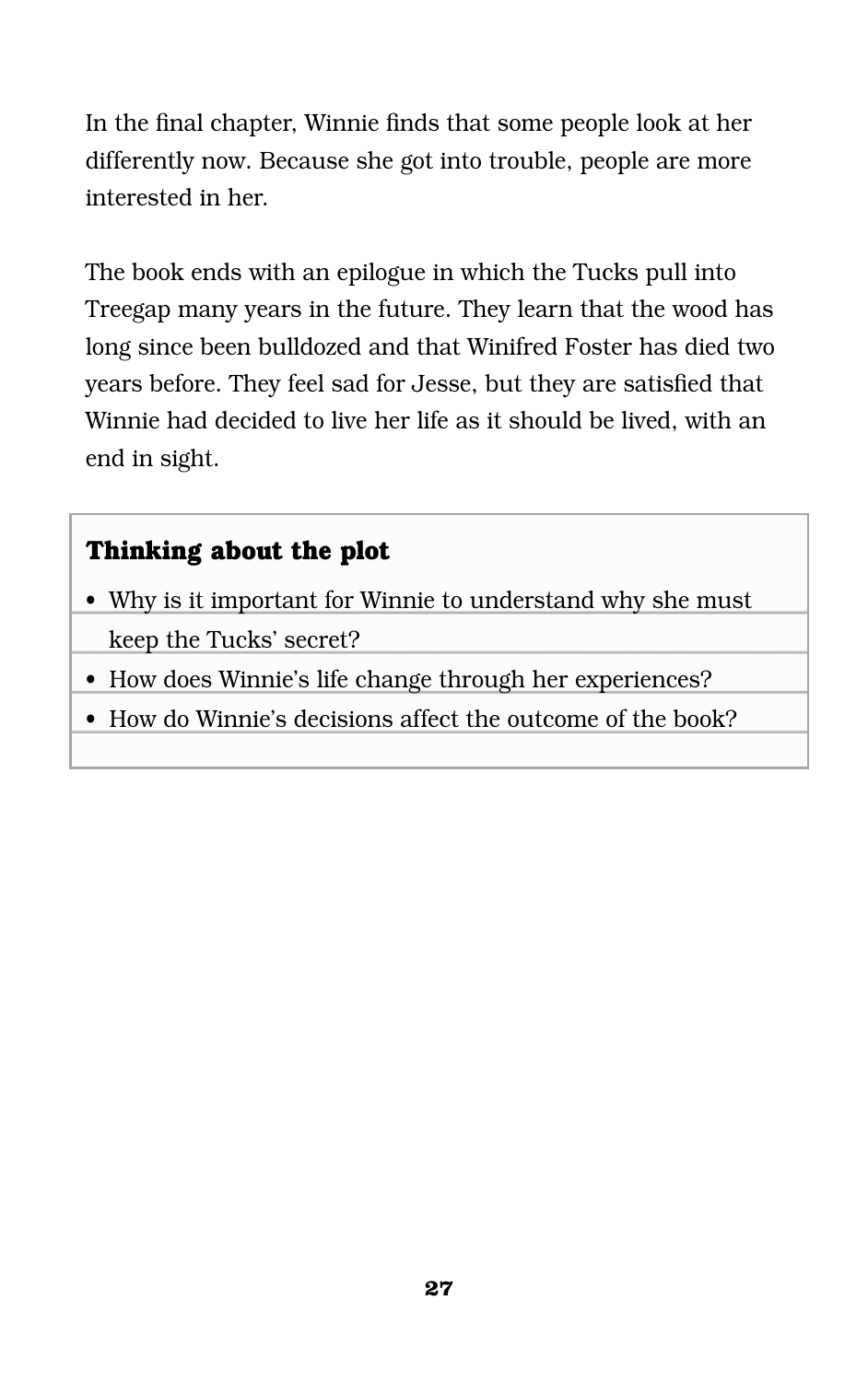In the final chapter, Winnie finds that some people look at her differently now. Because she got into trouble, people are more interested in her.

The book ends with an epilogue in which the Tucks pull into Treegap many years in the future. They learn that the wood has long since been bulldozed and that Winifred Foster has died two years before. They feel sad for Jesse, but they are satisfied that Winnie had decided to live her life as it should be lived, with an end in sight.

#### **Thinking about the plot**

- Why is it important for Winnie to understand why she must keep the Tucks' secret?
- How does Winnie's life change through her experiences?
- How do Winnie's decisions affect the outcome of the book?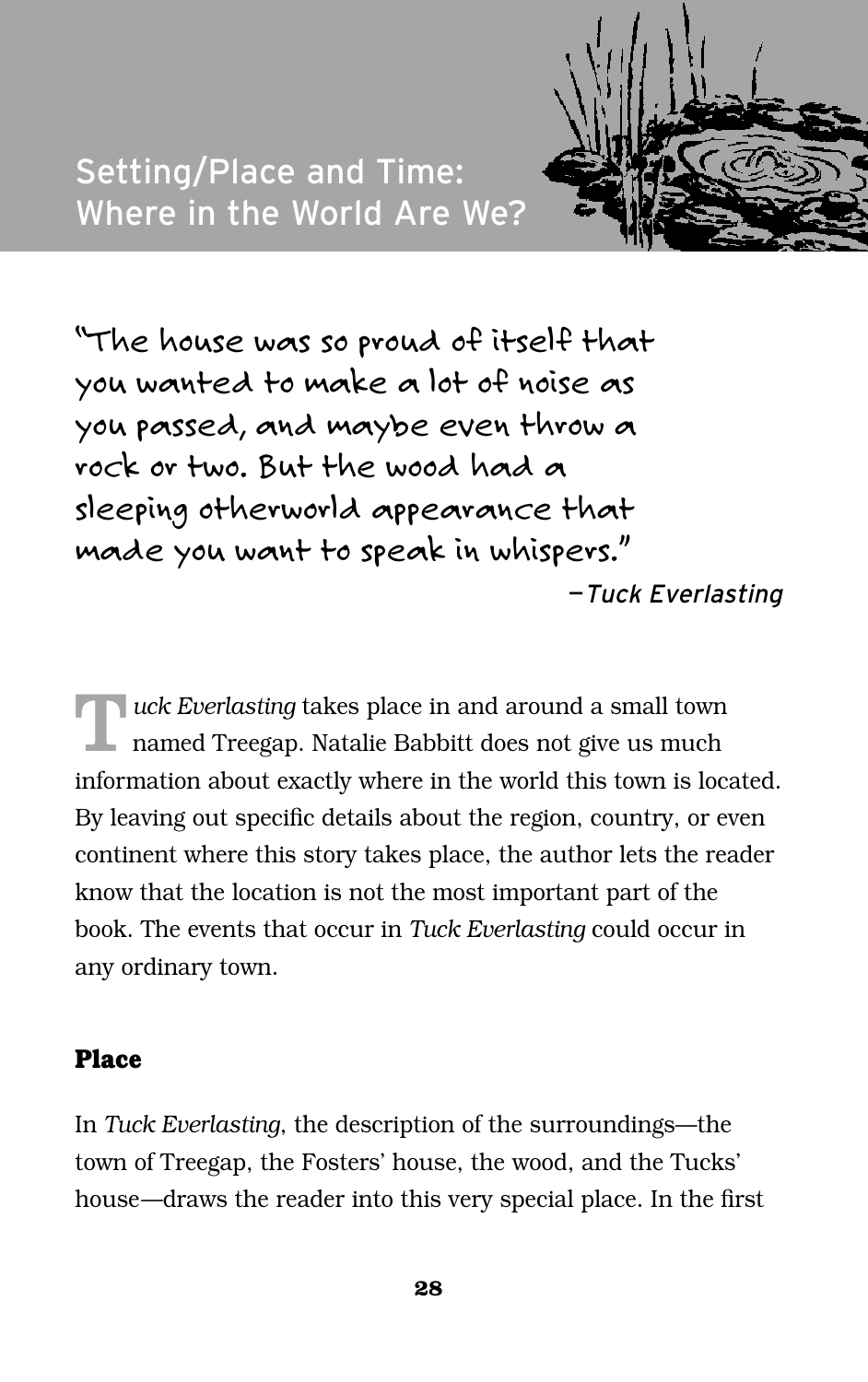Setting/Place and Time: Where in the World Are We?



*"The house was so proud of itself that you wanted to make a lot of noise as you passed, and maybe even throw a rock or two. But the wood had a sleeping otherworld appearance that made you want to speak in whispers."*

—Tuck Everlasting

T*uck Everlasting* takes place in and around a small town named Treegap. Natalie Babbitt does not give us much information about exactly where in the world this town is located. By leaving out specific details about the region, country, or even continent where this story takes place, the author lets the reader know that the location is not the most important part of the book. The events that occur in *Tuck Everlasting* could occur in any ordinary town.

#### **Place**

In *Tuck Everlasting*, the description of the surroundings—the town of Treegap, the Fosters' house, the wood, and the Tucks' house—draws the reader into this very special place. In the first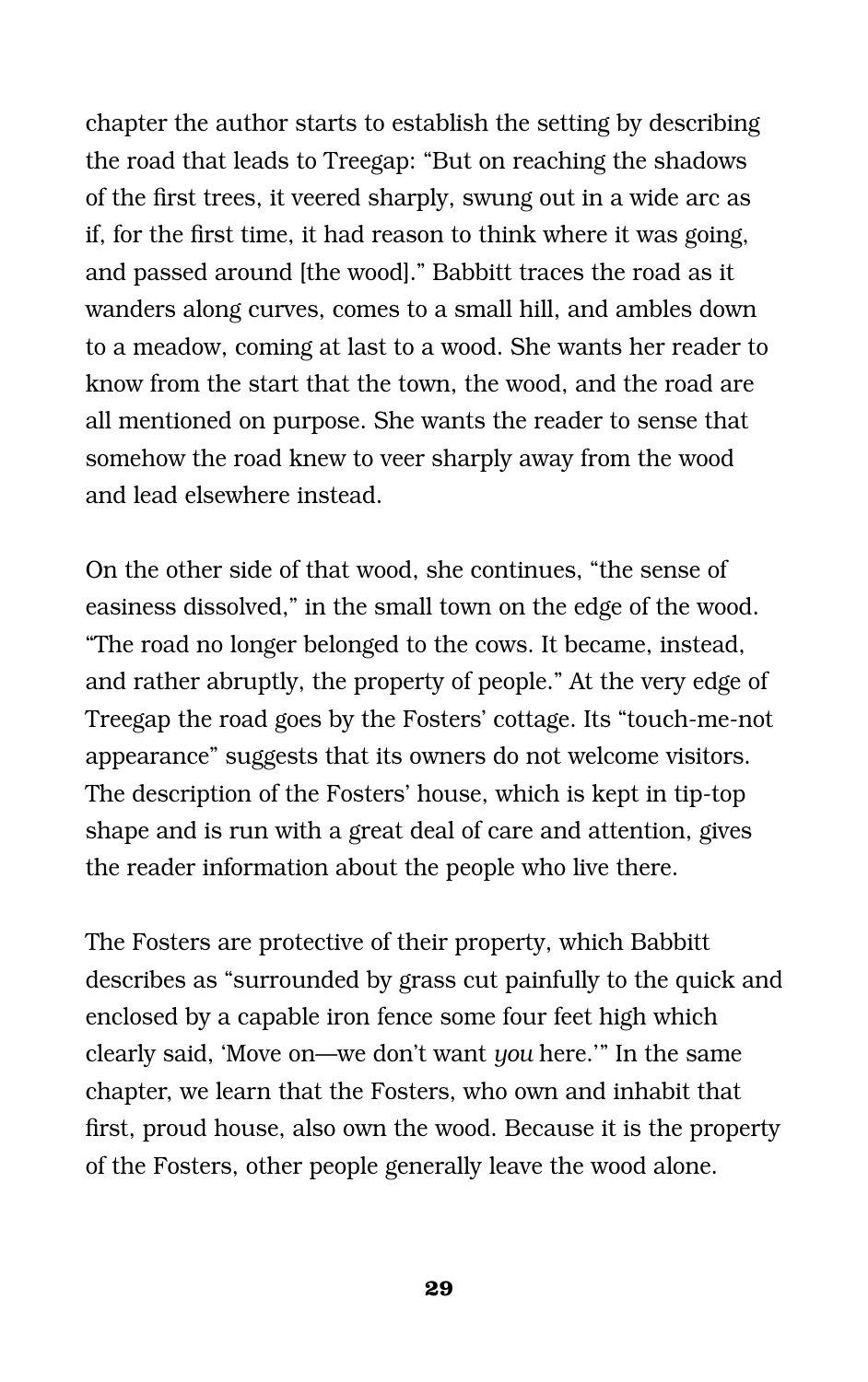chapter the author starts to establish the setting by describing the road that leads to Treegap: "But on reaching the shadows of the first trees, it veered sharply, swung out in a wide arc as if, for the first time, it had reason to think where it was going, and passed around [the wood]." Babbitt traces the road as it wanders along curves, comes to a small hill, and ambles down to a meadow, coming at last to a wood. She wants her reader to know from the start that the town, the wood, and the road are all mentioned on purpose. She wants the reader to sense that somehow the road knew to veer sharply away from the wood and lead elsewhere instead.

On the other side of that wood, she continues, "the sense of easiness dissolved," in the small town on the edge of the wood. "The road no longer belonged to the cows. It became, instead, and rather abruptly, the property of people." At the very edge of Treegap the road goes by the Fosters' cottage. Its "touch-me-not appearance" suggests that its owners do not welcome visitors. The description of the Fosters' house, which is kept in tip-top shape and is run with a great deal of care and attention, gives the reader information about the people who live there.

The Fosters are protective of their property, which Babbitt describes as "surrounded by grass cut painfully to the quick and enclosed by a capable iron fence some four feet high which clearly said, 'Move on—we don't want *you* here.'" In the same chapter, we learn that the Fosters, who own and inhabit that first, proud house, also own the wood. Because it is the property of the Fosters, other people generally leave the wood alone.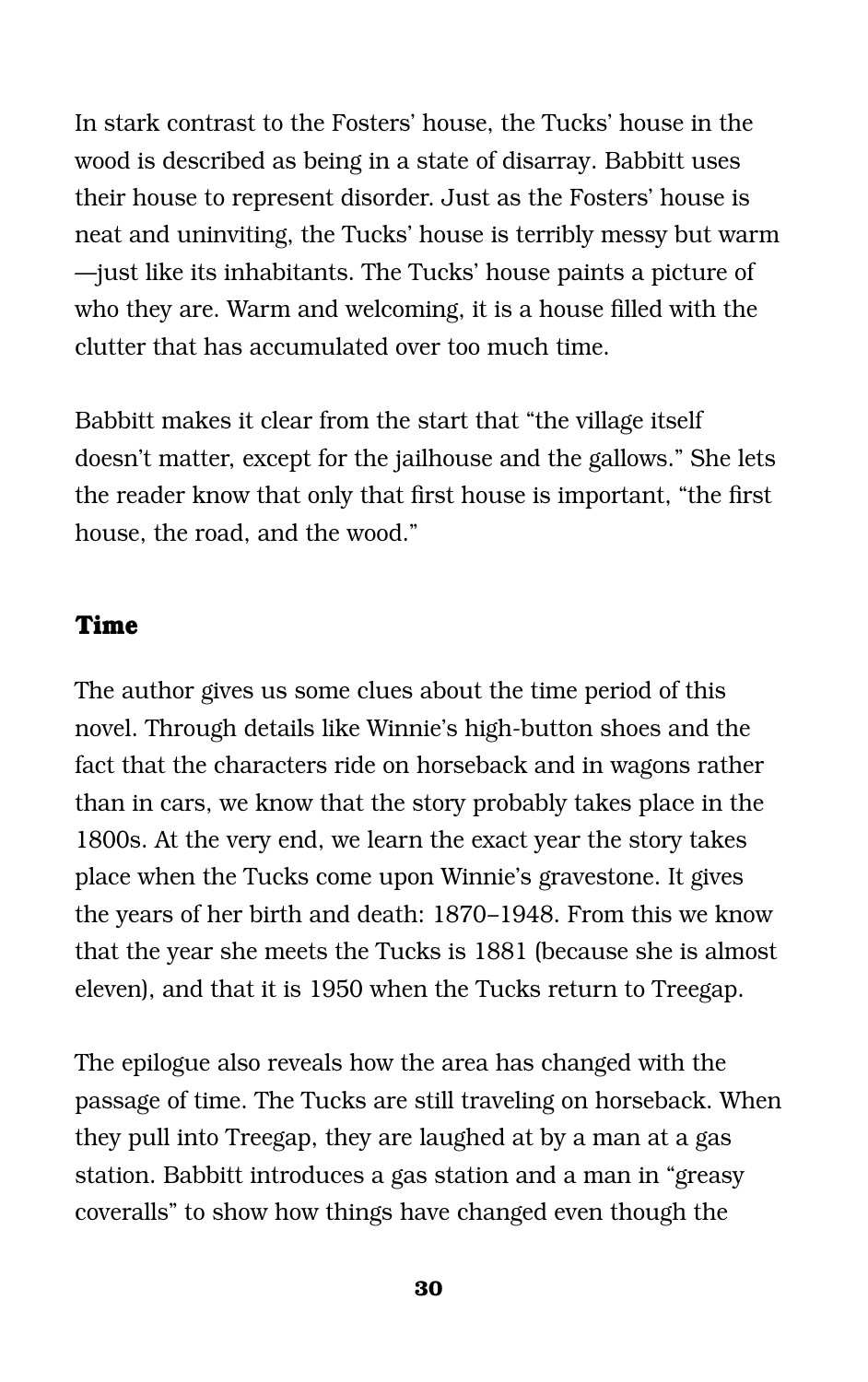In stark contrast to the Fosters' house, the Tucks' house in the wood is described as being in a state of disarray. Babbitt uses their house to represent disorder. Just as the Fosters' house is neat and uninviting, the Tucks' house is terribly messy but warm —just like its inhabitants. The Tucks' house paints a picture of who they are. Warm and welcoming, it is a house filled with the clutter that has accumulated over too much time.

Babbitt makes it clear from the start that "the village itself doesn't matter, except for the jailhouse and the gallows." She lets the reader know that only that first house is important, "the first house, the road, and the wood."

#### **Time**

The author gives us some clues about the time period of this novel. Through details like Winnie's high-button shoes and the fact that the characters ride on horseback and in wagons rather than in cars, we know that the story probably takes place in the 1800s. At the very end, we learn the exact year the story takes place when the Tucks come upon Winnie's gravestone. It gives the years of her birth and death: 1870–1948. From this we know that the year she meets the Tucks is 1881 (because she is almost eleven), and that it is 1950 when the Tucks return to Treegap.

The epilogue also reveals how the area has changed with the passage of time. The Tucks are still traveling on horseback. When they pull into Treegap, they are laughed at by a man at a gas station. Babbitt introduces a gas station and a man in "greasy coveralls" to show how things have changed even though the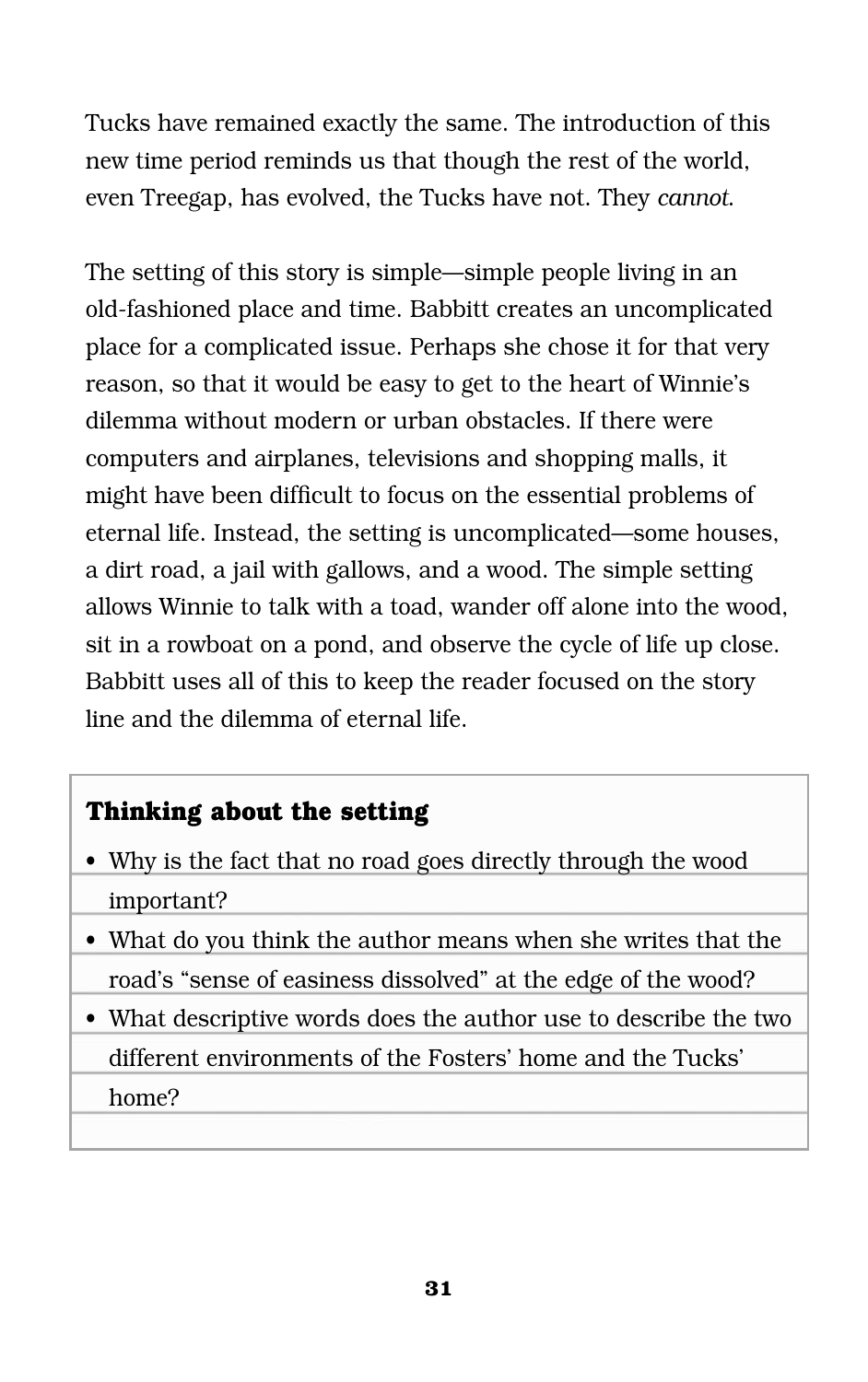Tucks have remained exactly the same. The introduction of this new time period reminds us that though the rest of the world, even Treegap, has evolved, the Tucks have not. They *cannot*.

The setting of this story is simple—simple people living in an old-fashioned place and time. Babbitt creates an uncomplicated place for a complicated issue. Perhaps she chose it for that very reason, so that it would be easy to get to the heart of Winnie's dilemma without modern or urban obstacles. If there were computers and airplanes, televisions and shopping malls, it might have been difficult to focus on the essential problems of eternal life. Instead, the setting is uncomplicated—some houses, a dirt road, a jail with gallows, and a wood. The simple setting allows Winnie to talk with a toad, wander off alone into the wood, sit in a rowboat on a pond, and observe the cycle of life up close. Babbitt uses all of this to keep the reader focused on the story line and the dilemma of eternal life.

#### **Thinking about the setting**

- Why is the fact that no road goes directly through the wood important?
- What do you think the author means when she writes that the road's "sense of easiness dissolved" at the edge of the wood?
- What descriptive words does the author use to describe the two different environments of the Fosters' home and the Tucks' home?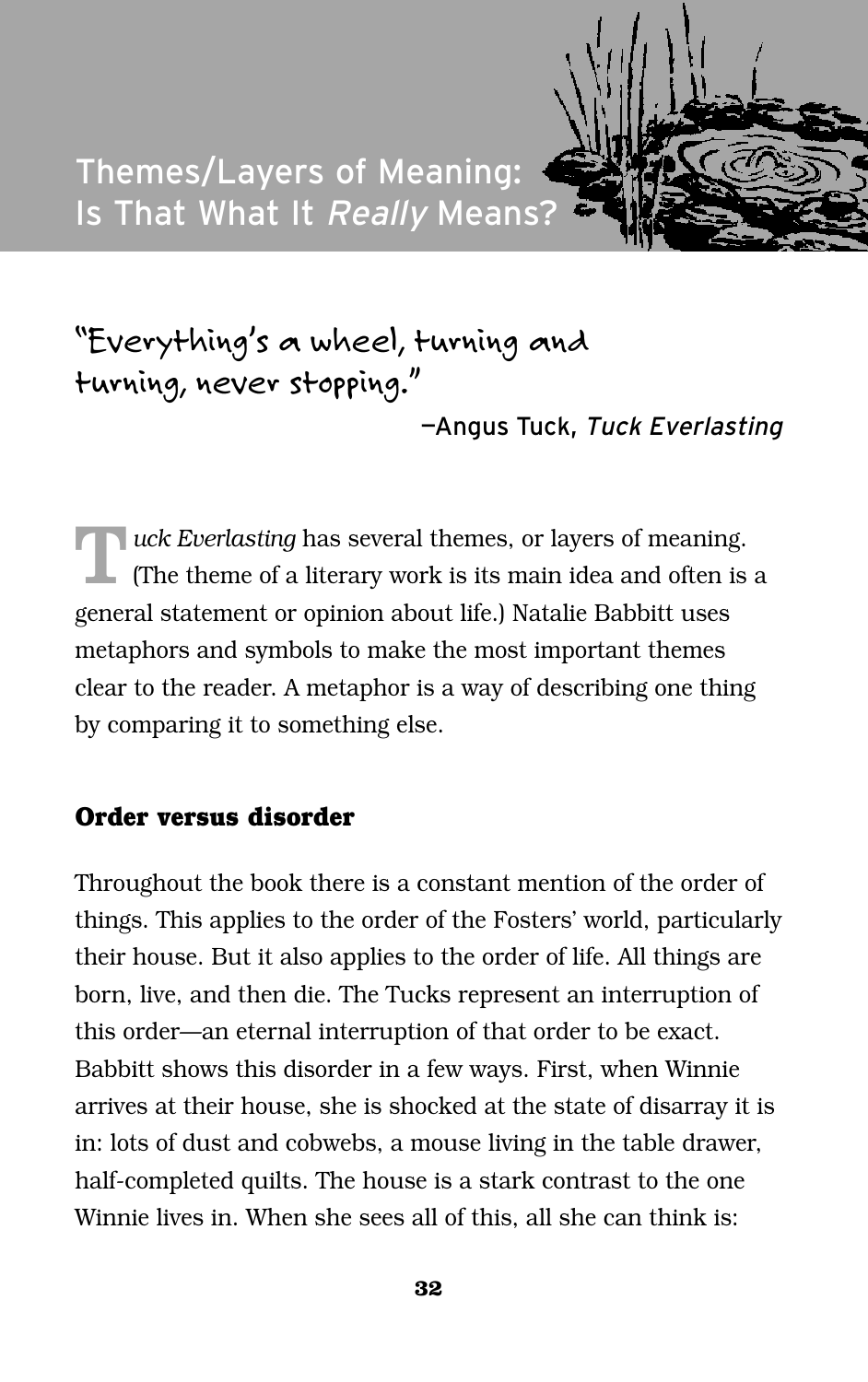Themes/Layers of Meaning: Is That What It Really Means?



*"Everything's a wheel, turning and turning, never stopping."*

—Angus Tuck, Tuck Everlasting

**T** *uck Everlasting* has several themes, or layers of meaning. (The theme of a literary work is its main idea and often is a general statement or opinion about life.) Natalie Babbitt uses metaphors and symbols to make the most important themes clear to the reader. A metaphor is a way of describing one thing by comparing it to something else.

#### **Order versus disorder**

Throughout the book there is a constant mention of the order of things. This applies to the order of the Fosters' world, particularly their house. But it also applies to the order of life. All things are born, live, and then die. The Tucks represent an interruption of this order—an eternal interruption of that order to be exact. Babbitt shows this disorder in a few ways. First, when Winnie arrives at their house, she is shocked at the state of disarray it is in: lots of dust and cobwebs, a mouse living in the table drawer, half-completed quilts. The house is a stark contrast to the one Winnie lives in. When she sees all of this, all she can think is: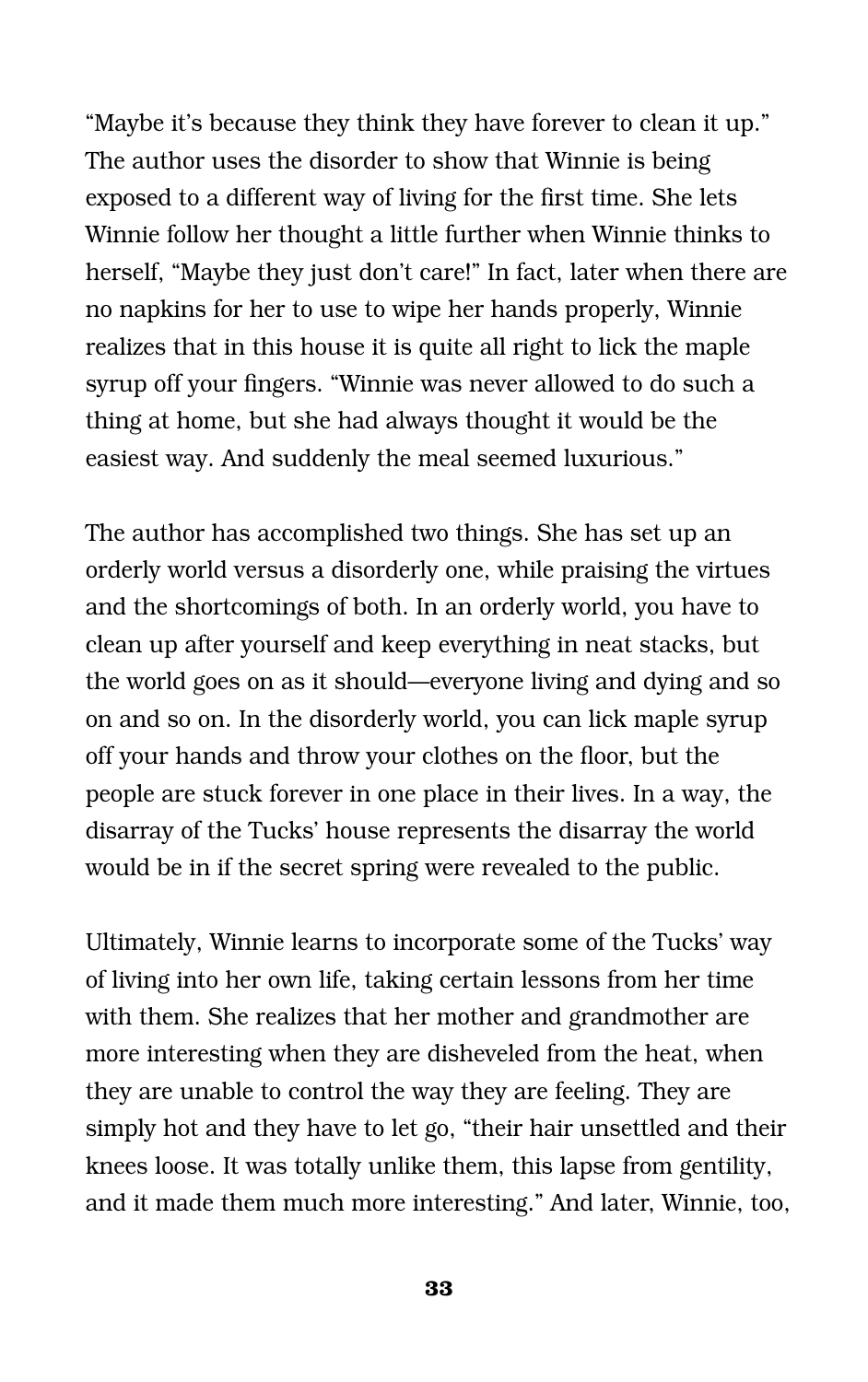"Maybe it's because they think they have forever to clean it up." The author uses the disorder to show that Winnie is being exposed to a different way of living for the first time. She lets Winnie follow her thought a little further when Winnie thinks to herself, "Maybe they just don't care!" In fact, later when there are no napkins for her to use to wipe her hands properly, Winnie realizes that in this house it is quite all right to lick the maple syrup off your fingers. "Winnie was never allowed to do such a thing at home, but she had always thought it would be the easiest way. And suddenly the meal seemed luxurious."

The author has accomplished two things. She has set up an orderly world versus a disorderly one, while praising the virtues and the shortcomings of both. In an orderly world, you have to clean up after yourself and keep everything in neat stacks, but the world goes on as it should—everyone living and dying and so on and so on. In the disorderly world, you can lick maple syrup off your hands and throw your clothes on the floor, but the people are stuck forever in one place in their lives. In a way, the disarray of the Tucks' house represents the disarray the world would be in if the secret spring were revealed to the public.

Ultimately, Winnie learns to incorporate some of the Tucks' way of living into her own life, taking certain lessons from her time with them. She realizes that her mother and grandmother are more interesting when they are disheveled from the heat, when they are unable to control the way they are feeling. They are simply hot and they have to let go, "their hair unsettled and their knees loose. It was totally unlike them, this lapse from gentility, and it made them much more interesting." And later, Winnie, too,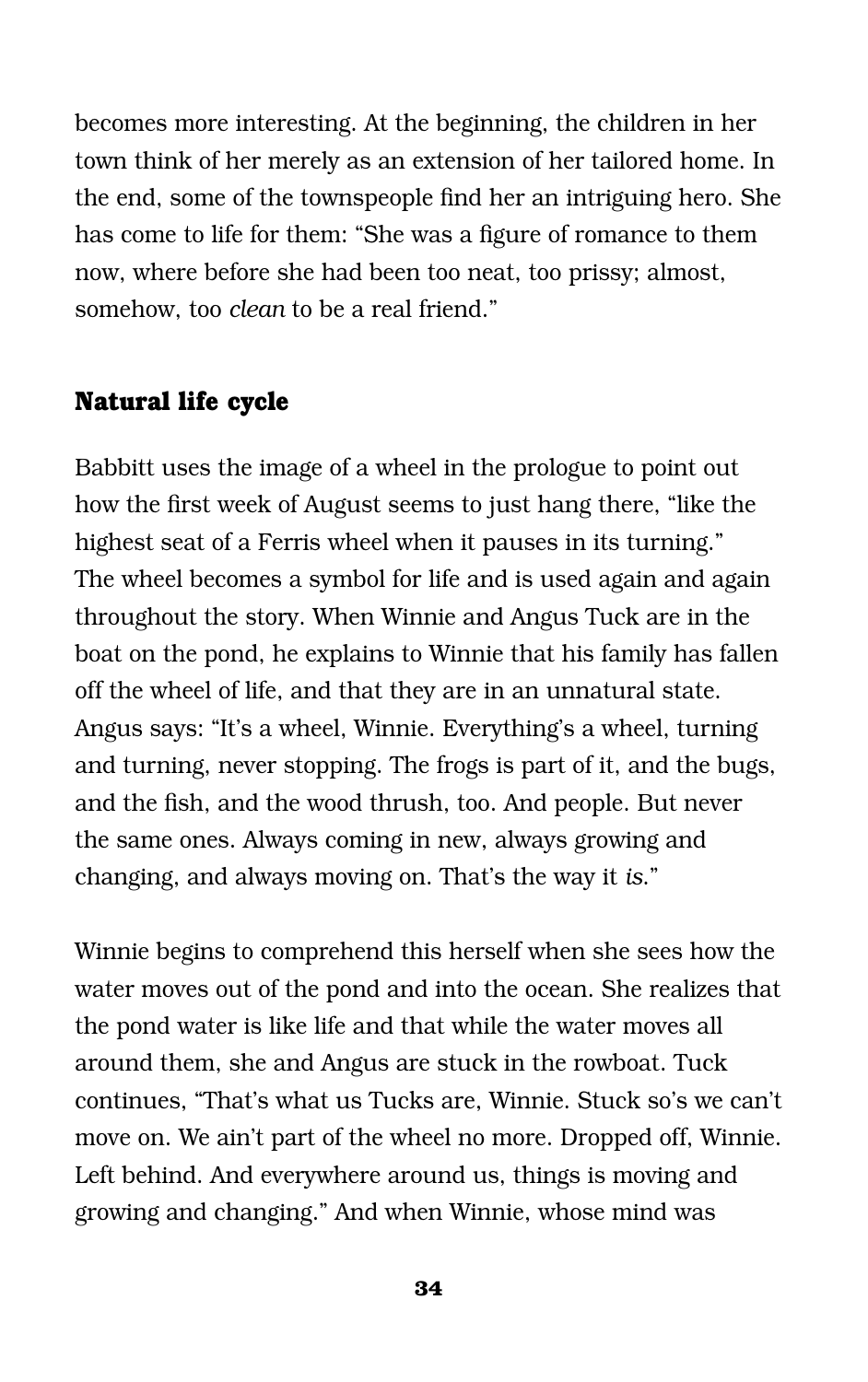becomes more interesting. At the beginning, the children in her town think of her merely as an extension of her tailored home. In the end, some of the townspeople find her an intriguing hero. She has come to life for them: "She was a figure of romance to them now, where before she had been too neat, too prissy; almost, somehow, too *clean* to be a real friend."

#### **Natural life cycle**

Babbitt uses the image of a wheel in the prologue to point out how the first week of August seems to just hang there, "like the highest seat of a Ferris wheel when it pauses in its turning." The wheel becomes a symbol for life and is used again and again throughout the story. When Winnie and Angus Tuck are in the boat on the pond, he explains to Winnie that his family has fallen off the wheel of life, and that they are in an unnatural state. Angus says: "It's a wheel, Winnie. Everything's a wheel, turning and turning, never stopping. The frogs is part of it, and the bugs, and the fish, and the wood thrush, too. And people. But never the same ones. Always coming in new, always growing and changing, and always moving on. That's the way it *is*."

Winnie begins to comprehend this herself when she sees how the water moves out of the pond and into the ocean. She realizes that the pond water is like life and that while the water moves all around them, she and Angus are stuck in the rowboat. Tuck continues, "That's what us Tucks are, Winnie. Stuck so's we can't move on. We ain't part of the wheel no more. Dropped off, Winnie. Left behind. And everywhere around us, things is moving and growing and changing." And when Winnie, whose mind was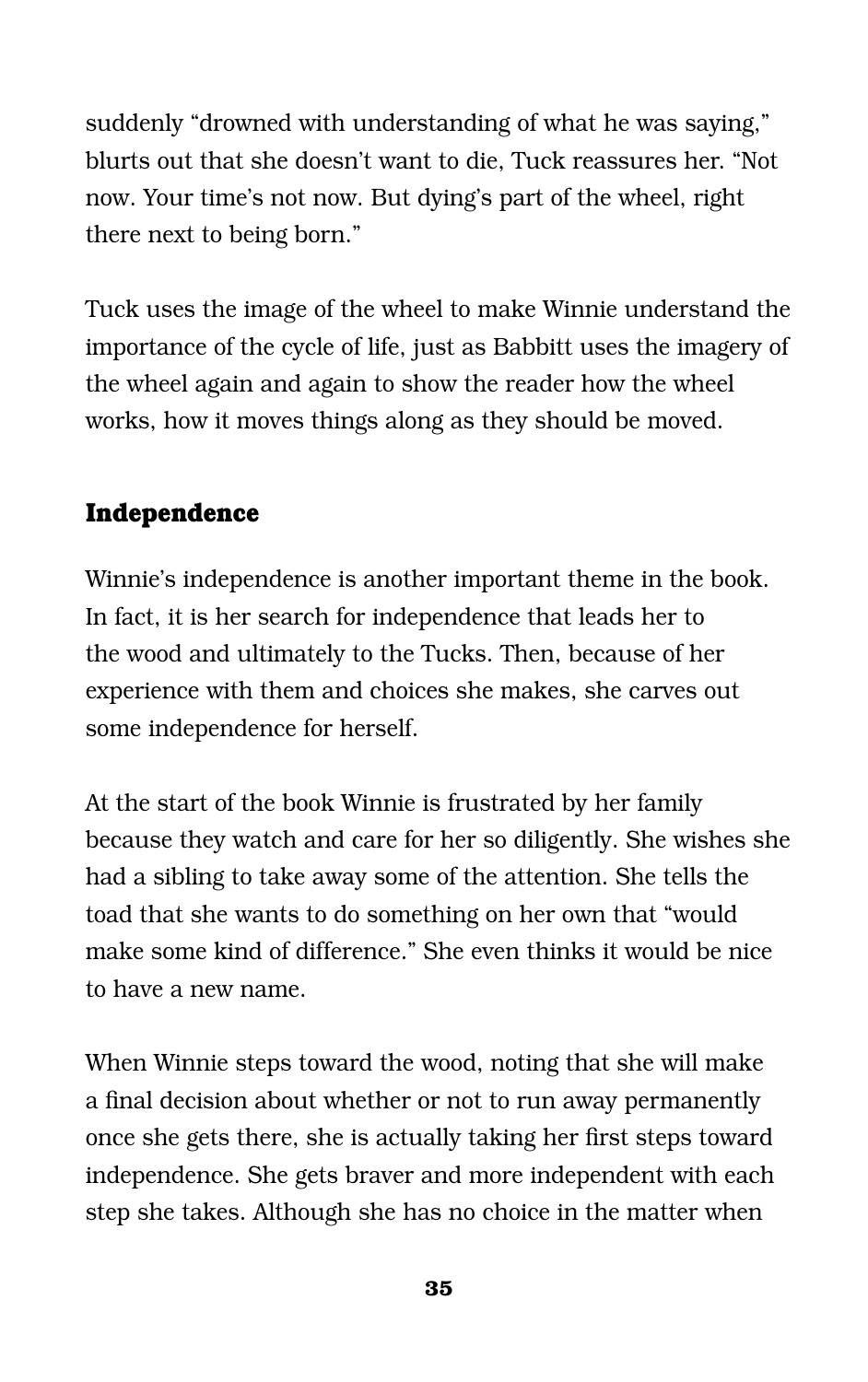suddenly "drowned with understanding of what he was saying," blurts out that she doesn't want to die, Tuck reassures her. "Not now. Your time's not now. But dying's part of the wheel, right there next to being born."

Tuck uses the image of the wheel to make Winnie understand the importance of the cycle of life, just as Babbitt uses the imagery of the wheel again and again to show the reader how the wheel works, how it moves things along as they should be moved.

#### **Independence**

Winnie's independence is another important theme in the book. In fact, it is her search for independence that leads her to the wood and ultimately to the Tucks. Then, because of her experience with them and choices she makes, she carves out some independence for herself.

At the start of the book Winnie is frustrated by her family because they watch and care for her so diligently. She wishes she had a sibling to take away some of the attention. She tells the toad that she wants to do something on her own that "would make some kind of difference." She even thinks it would be nice to have a new name.

When Winnie steps toward the wood, noting that she will make a final decision about whether or not to run away permanently once she gets there, she is actually taking her first steps toward independence. She gets braver and more independent with each step she takes. Although she has no choice in the matter when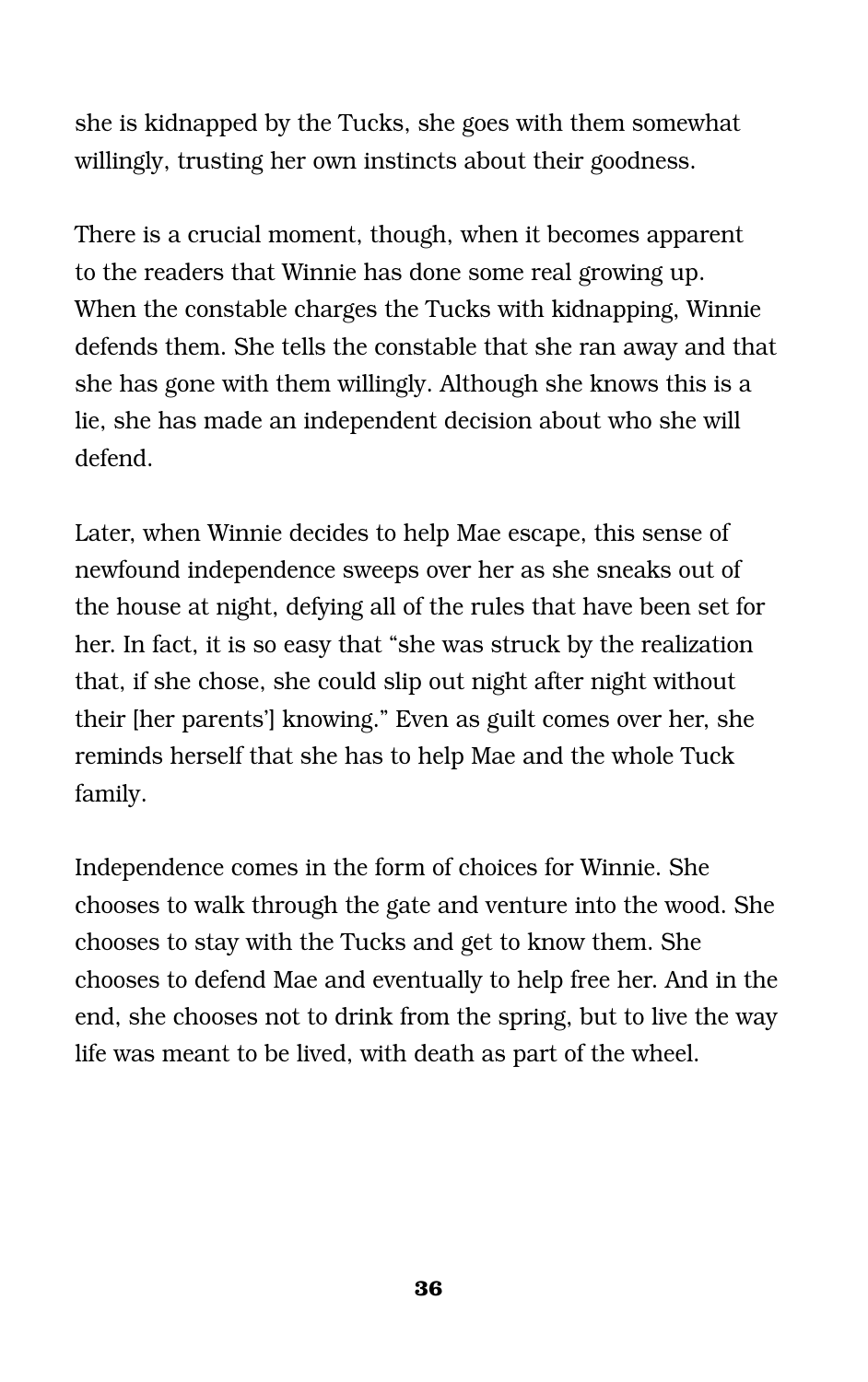she is kidnapped by the Tucks, she goes with them somewhat willingly, trusting her own instincts about their goodness.

There is a crucial moment, though, when it becomes apparent to the readers that Winnie has done some real growing up. When the constable charges the Tucks with kidnapping, Winnie defends them. She tells the constable that she ran away and that she has gone with them willingly. Although she knows this is a lie, she has made an independent decision about who she will defend.

Later, when Winnie decides to help Mae escape, this sense of newfound independence sweeps over her as she sneaks out of the house at night, defying all of the rules that have been set for her. In fact, it is so easy that "she was struck by the realization that, if she chose, she could slip out night after night without their [her parents'] knowing." Even as guilt comes over her, she reminds herself that she has to help Mae and the whole Tuck family.

Independence comes in the form of choices for Winnie. She chooses to walk through the gate and venture into the wood. She chooses to stay with the Tucks and get to know them. She chooses to defend Mae and eventually to help free her. And in the end, she chooses not to drink from the spring, but to live the way life was meant to be lived, with death as part of the wheel.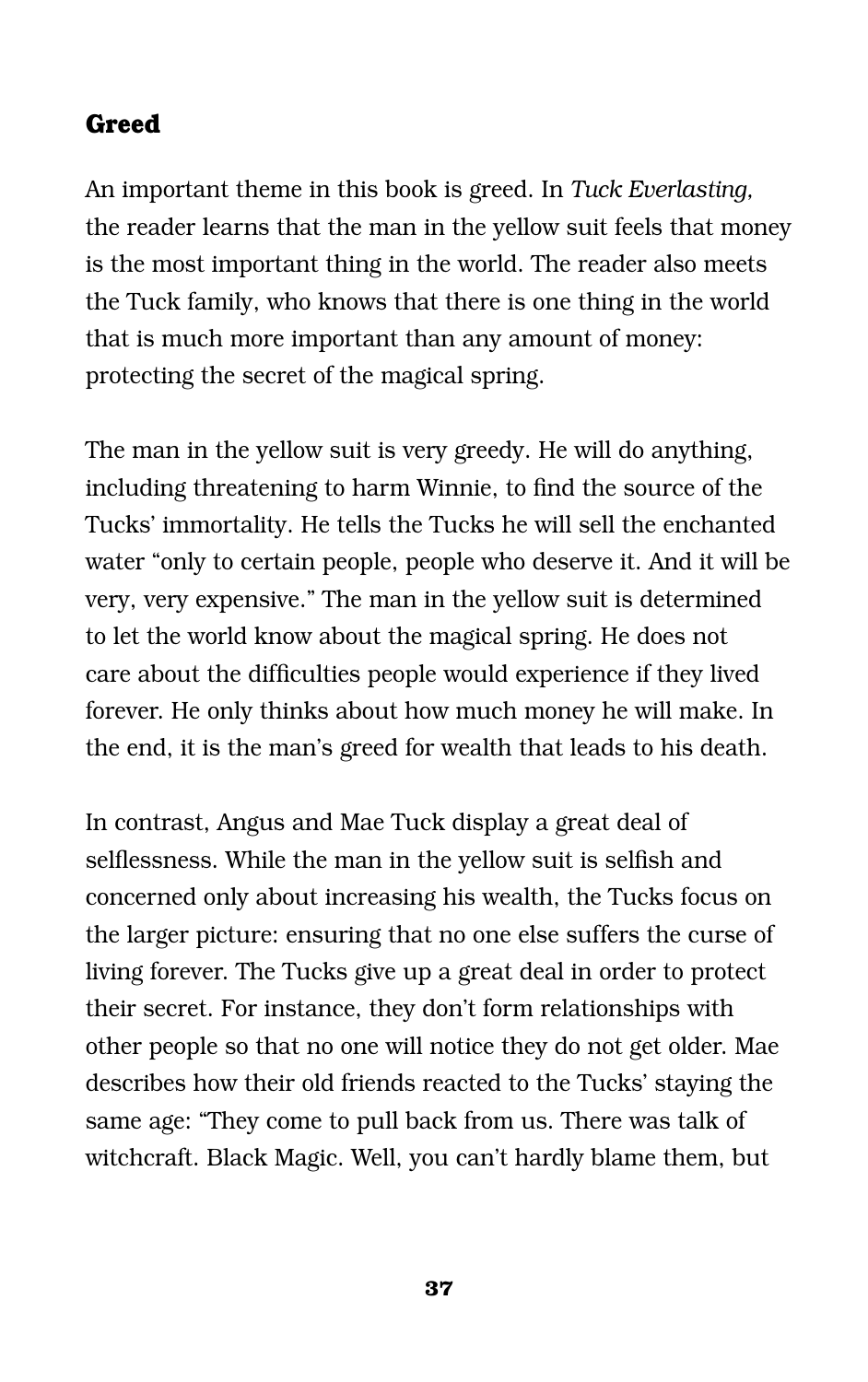#### **Greed**

An important theme in this book is greed. In *Tuck Everlasting,* the reader learns that the man in the yellow suit feels that money is the most important thing in the world. The reader also meets the Tuck family, who knows that there is one thing in the world that is much more important than any amount of money: protecting the secret of the magical spring.

The man in the yellow suit is very greedy. He will do anything, including threatening to harm Winnie, to find the source of the Tucks' immortality. He tells the Tucks he will sell the enchanted water "only to certain people, people who deserve it. And it will be very, very expensive." The man in the yellow suit is determined to let the world know about the magical spring. He does not care about the difficulties people would experience if they lived forever. He only thinks about how much money he will make. In the end, it is the man's greed for wealth that leads to his death.

In contrast, Angus and Mae Tuck display a great deal of selflessness. While the man in the yellow suit is selfish and concerned only about increasing his wealth, the Tucks focus on the larger picture: ensuring that no one else suffers the curse of living forever. The Tucks give up a great deal in order to protect their secret. For instance, they don't form relationships with other people so that no one will notice they do not get older. Mae describes how their old friends reacted to the Tucks' staying the same age: "They come to pull back from us. There was talk of witchcraft. Black Magic. Well, you can't hardly blame them, but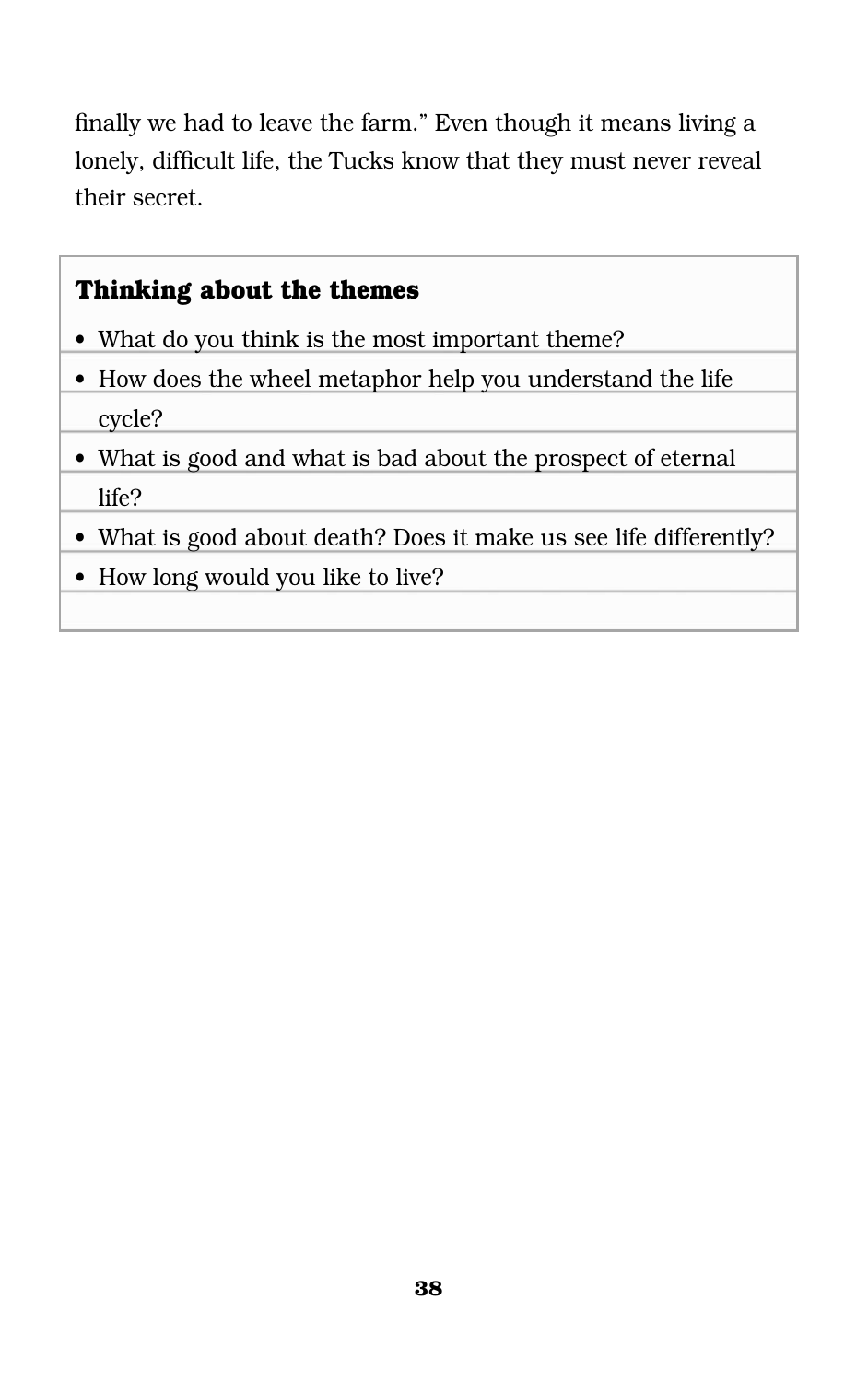finally we had to leave the farm." Even though it means living a lonely, difficult life, the Tucks know that they must never reveal their secret.

#### **Thinking about the themes**

- What do you think is the most important theme?
- How does the wheel metaphor help you understand the life cycle?
- What is good and what is bad about the prospect of eternal life?
- What is good about death? Does it make us see life differently?
- How long would you like to live?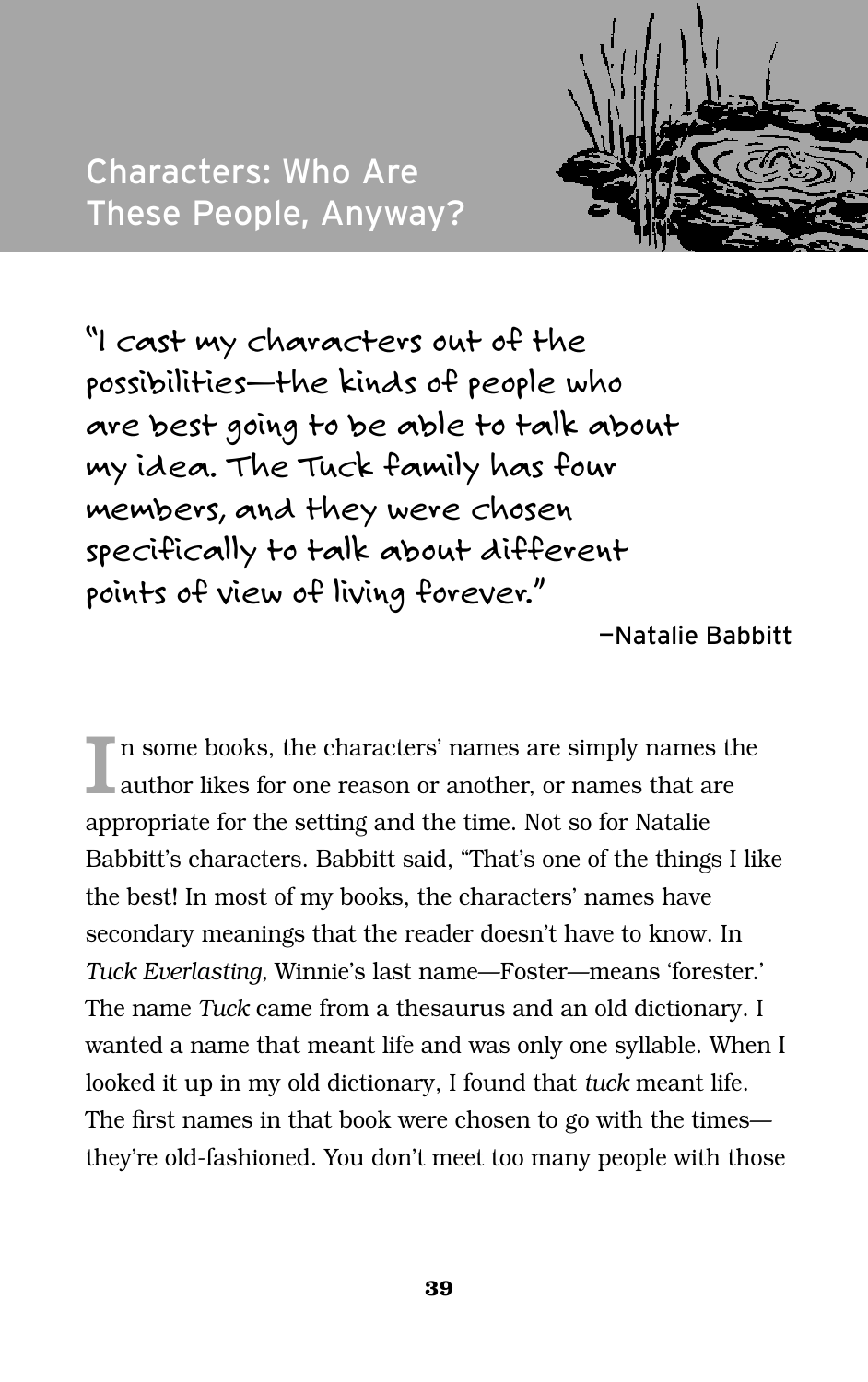Characters: Who Are These People, Anyway?



*"I cast my characters out of the possibilities—the kinds of people who are best going to be able to talk about my idea. The Tuck family has four members, and they were chosen specifically to talk about different points of view of living forever."*

—Natalie Babbitt

I n some books, the characters' names are simply names the author likes for one reason or another, or names that are appropriate for the setting and the time. Not so for Natalie Babbitt's characters. Babbitt said, "That's one of the things I like the best! In most of my books, the characters' names have secondary meanings that the reader doesn't have to know. In *Tuck Everlasting,* Winnie's last name—Foster—means 'forester.' The name *Tuck* came from a thesaurus and an old dictionary. I wanted a name that meant life and was only one syllable. When I looked it up in my old dictionary, I found that *tuck* meant life. The first names in that book were chosen to go with the times they're old-fashioned. You don't meet too many people with those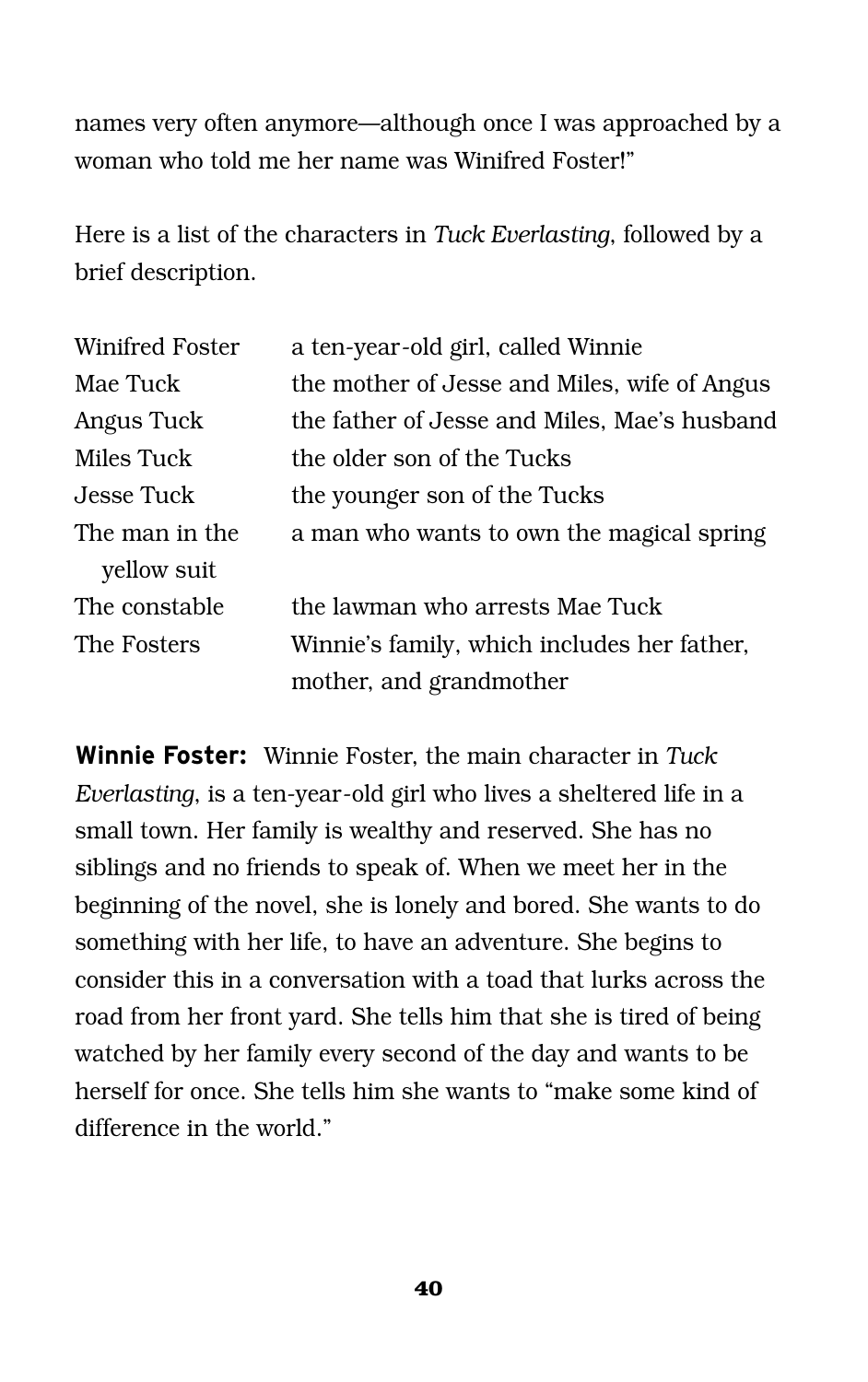names very often anymore—although once I was approached by a woman who told me her name was Winifred Foster!"

Here is a list of the characters in *Tuck Everlasting*, followed by a brief description.

| <b>Winifred Foster</b> | a ten-year-old girl, called Winnie           |
|------------------------|----------------------------------------------|
| Mae Tuck               | the mother of Jesse and Miles, wife of Angus |
| Angus Tuck             | the father of Jesse and Miles, Mae's husband |
| Miles Tuck             | the older son of the Tucks                   |
| Jesse Tuck             | the younger son of the Tucks                 |
| The man in the         | a man who wants to own the magical spring    |
| yellow suit            |                                              |
| The constable          | the lawman who arrests Mae Tuck              |
| The Fosters            | Winnie's family, which includes her father,  |
|                        | mother, and grandmother                      |

**Winnie Foster:** Winnie Foster, the main character in *Tuck Everlasting*, is a ten-year-old girl who lives a sheltered life in a small town. Her family is wealthy and reserved. She has no siblings and no friends to speak of. When we meet her in the beginning of the novel, she is lonely and bored. She wants to do something with her life, to have an adventure. She begins to consider this in a conversation with a toad that lurks across the road from her front yard. She tells him that she is tired of being watched by her family every second of the day and wants to be herself for once. She tells him she wants to "make some kind of difference in the world."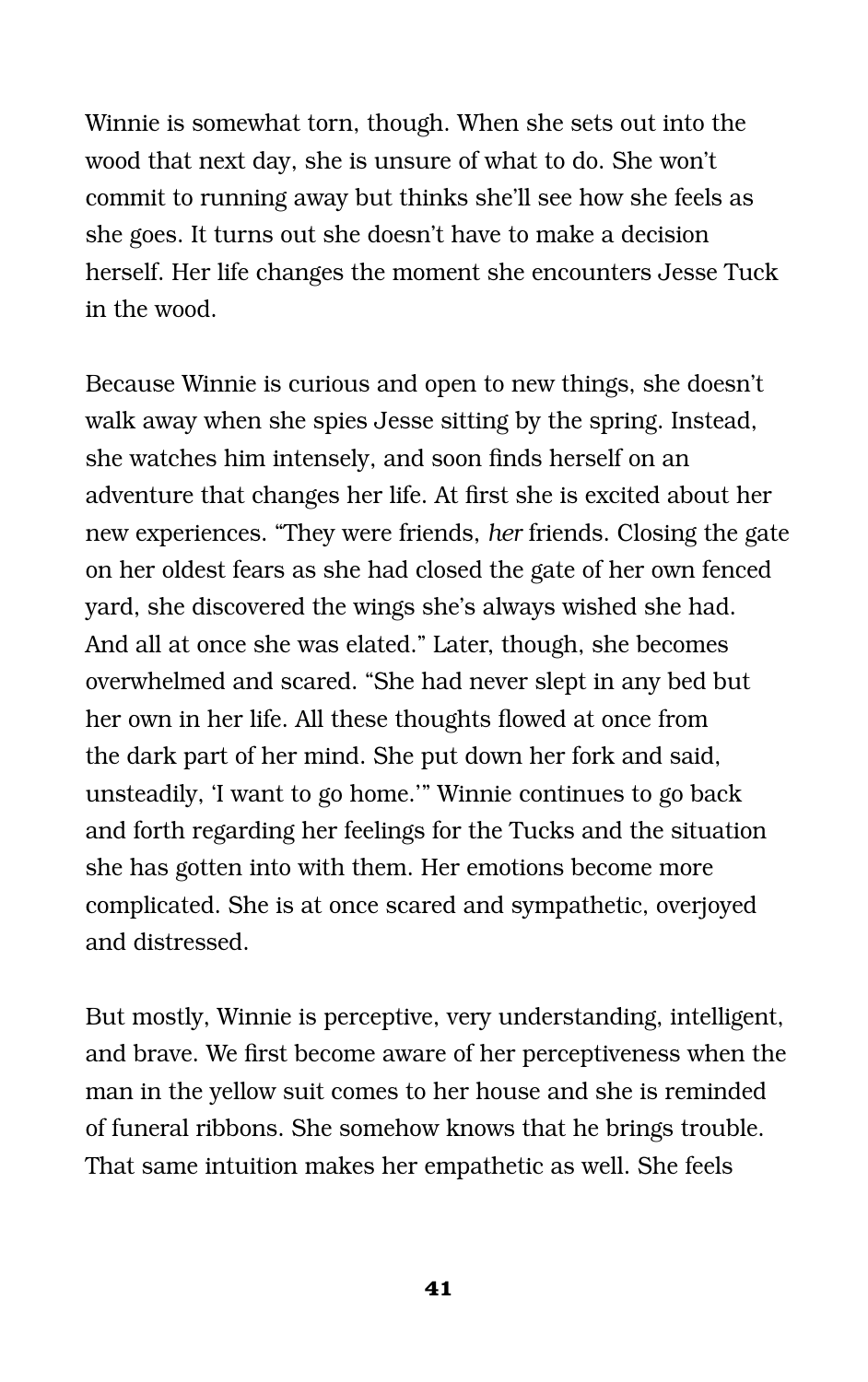Winnie is somewhat torn, though. When she sets out into the wood that next day, she is unsure of what to do. She won't commit to running away but thinks she'll see how she feels as she goes. It turns out she doesn't have to make a decision herself. Her life changes the moment she encounters Jesse Tuck in the wood.

Because Winnie is curious and open to new things, she doesn't walk away when she spies Jesse sitting by the spring. Instead, she watches him intensely, and soon finds herself on an adventure that changes her life. At first she is excited about her new experiences. "They were friends, *her* friends. Closing the gate on her oldest fears as she had closed the gate of her own fenced yard, she discovered the wings she's always wished she had. And all at once she was elated." Later, though, she becomes overwhelmed and scared. "She had never slept in any bed but her own in her life. All these thoughts flowed at once from the dark part of her mind. She put down her fork and said, unsteadily, 'I want to go home.'" Winnie continues to go back and forth regarding her feelings for the Tucks and the situation she has gotten into with them. Her emotions become more complicated. She is at once scared and sympathetic, overjoyed and distressed.

But mostly, Winnie is perceptive, very understanding, intelligent, and brave. We first become aware of her perceptiveness when the man in the yellow suit comes to her house and she is reminded of funeral ribbons. She somehow knows that he brings trouble. That same intuition makes her empathetic as well. She feels

**41**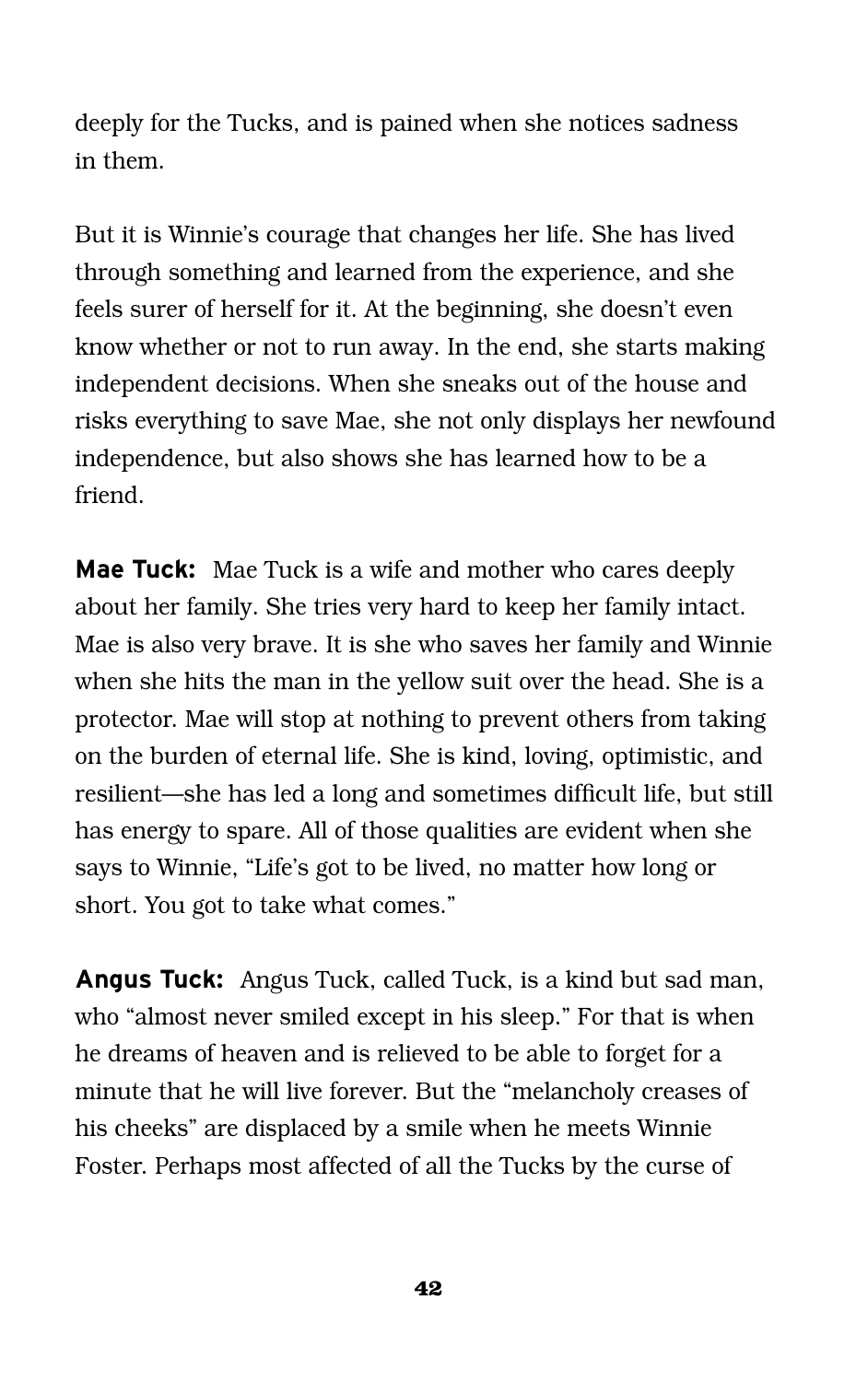deeply for the Tucks, and is pained when she notices sadness in them.

But it is Winnie's courage that changes her life. She has lived through something and learned from the experience, and she feels surer of herself for it. At the beginning, she doesn't even know whether or not to run away. In the end, she starts making independent decisions. When she sneaks out of the house and risks everything to save Mae, she not only displays her newfound independence, but also shows she has learned how to be a friend.

**Mae Tuck:** Mae Tuck is a wife and mother who cares deeply about her family. She tries very hard to keep her family intact. Mae is also very brave. It is she who saves her family and Winnie when she hits the man in the yellow suit over the head. She is a protector. Mae will stop at nothing to prevent others from taking on the burden of eternal life. She is kind, loving, optimistic, and resilient—she has led a long and sometimes difficult life, but still has energy to spare. All of those qualities are evident when she says to Winnie, "Life's got to be lived, no matter how long or short. You got to take what comes."

**Angus Tuck:** Angus Tuck, called Tuck, is a kind but sad man, who "almost never smiled except in his sleep." For that is when he dreams of heaven and is relieved to be able to forget for a minute that he will live forever. But the "melancholy creases of his cheeks" are displaced by a smile when he meets Winnie Foster. Perhaps most affected of all the Tucks by the curse of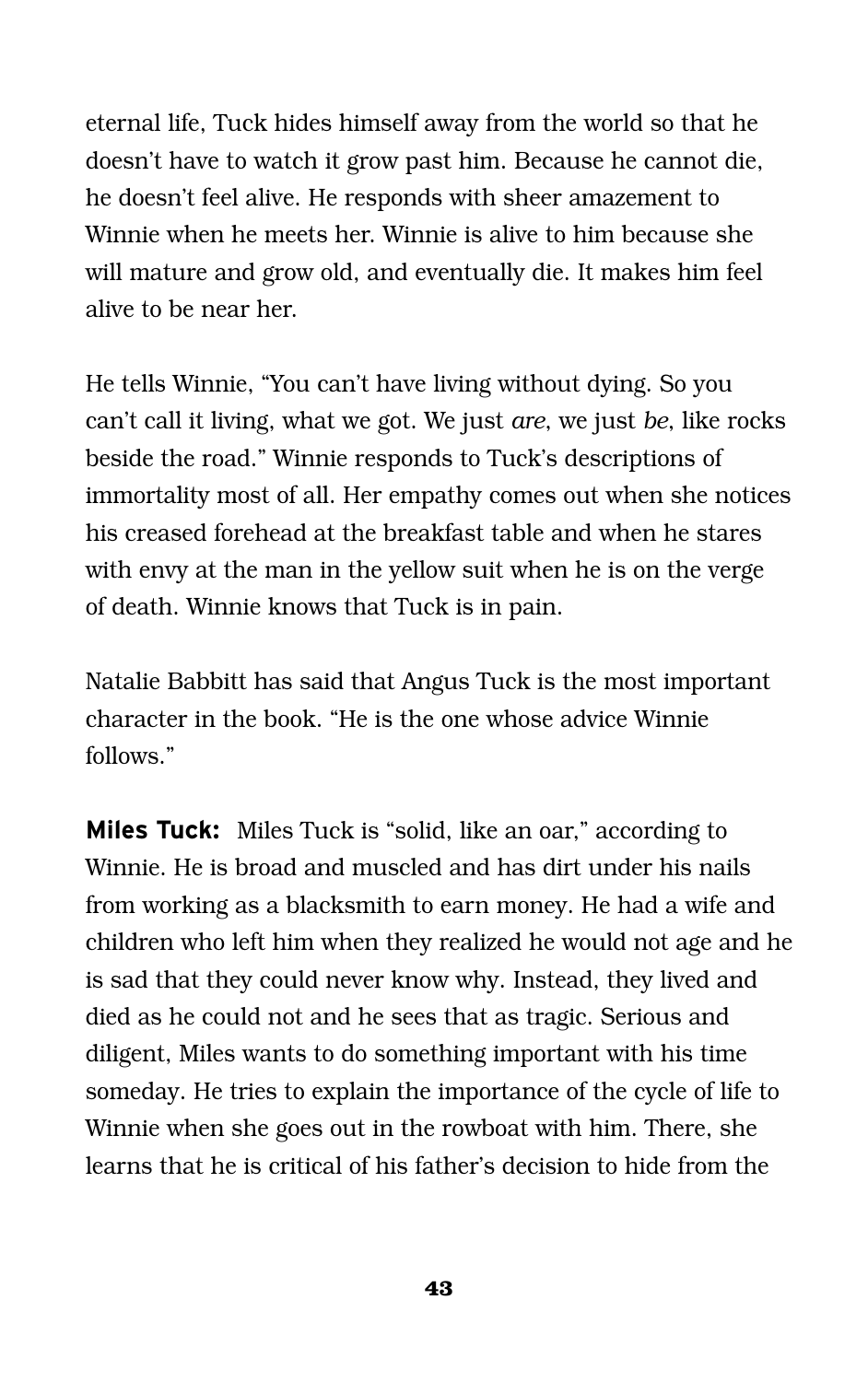eternal life, Tuck hides himself away from the world so that he doesn't have to watch it grow past him. Because he cannot die, he doesn't feel alive. He responds with sheer amazement to Winnie when he meets her. Winnie is alive to him because she will mature and grow old, and eventually die. It makes him feel alive to be near her.

He tells Winnie, "You can't have living without dying. So you can't call it living, what we got. We just *are*, we just *be*, like rocks beside the road." Winnie responds to Tuck's descriptions of immortality most of all. Her empathy comes out when she notices his creased forehead at the breakfast table and when he stares with envy at the man in the yellow suit when he is on the verge of death. Winnie knows that Tuck is in pain.

Natalie Babbitt has said that Angus Tuck is the most important character in the book. "He is the one whose advice Winnie follows."

**Miles Tuck:** Miles Tuck is "solid, like an oar," according to Winnie. He is broad and muscled and has dirt under his nails from working as a blacksmith to earn money. He had a wife and children who left him when they realized he would not age and he is sad that they could never know why. Instead, they lived and died as he could not and he sees that as tragic. Serious and diligent, Miles wants to do something important with his time someday. He tries to explain the importance of the cycle of life to Winnie when she goes out in the rowboat with him. There, she learns that he is critical of his father's decision to hide from the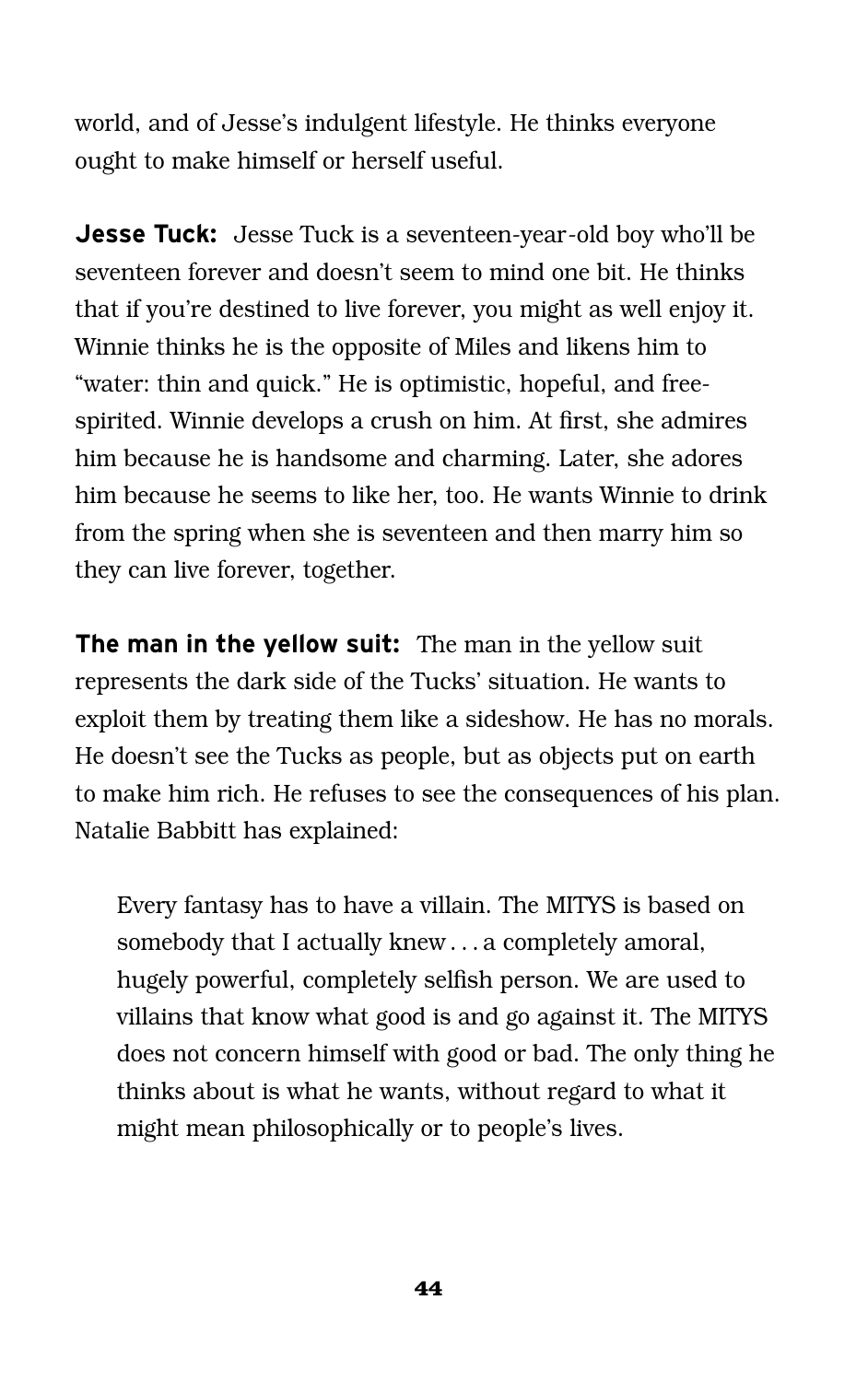world, and of Jesse's indulgent lifestyle. He thinks everyone ought to make himself or herself useful.

**Jesse Tuck:** Jesse Tuck is a seventeen-year-old boy who'll be seventeen forever and doesn't seem to mind one bit. He thinks that if you're destined to live forever, you might as well enjoy it. Winnie thinks he is the opposite of Miles and likens him to "water: thin and quick." He is optimistic, hopeful, and freespirited. Winnie develops a crush on him. At first, she admires him because he is handsome and charming. Later, she adores him because he seems to like her, too. He wants Winnie to drink from the spring when she is seventeen and then marry him so they can live forever, together.

**The man in the yellow suit:** The man in the yellow suit represents the dark side of the Tucks' situation. He wants to exploit them by treating them like a sideshow. He has no morals. He doesn't see the Tucks as people, but as objects put on earth to make him rich. He refuses to see the consequences of his plan. Natalie Babbitt has explained:

Every fantasy has to have a villain. The MITYS is based on somebody that I actually knew . . . a completely amoral, hugely powerful, completely selfish person. We are used to villains that know what good is and go against it. The MITYS does not concern himself with good or bad. The only thing he thinks about is what he wants, without regard to what it might mean philosophically or to people's lives.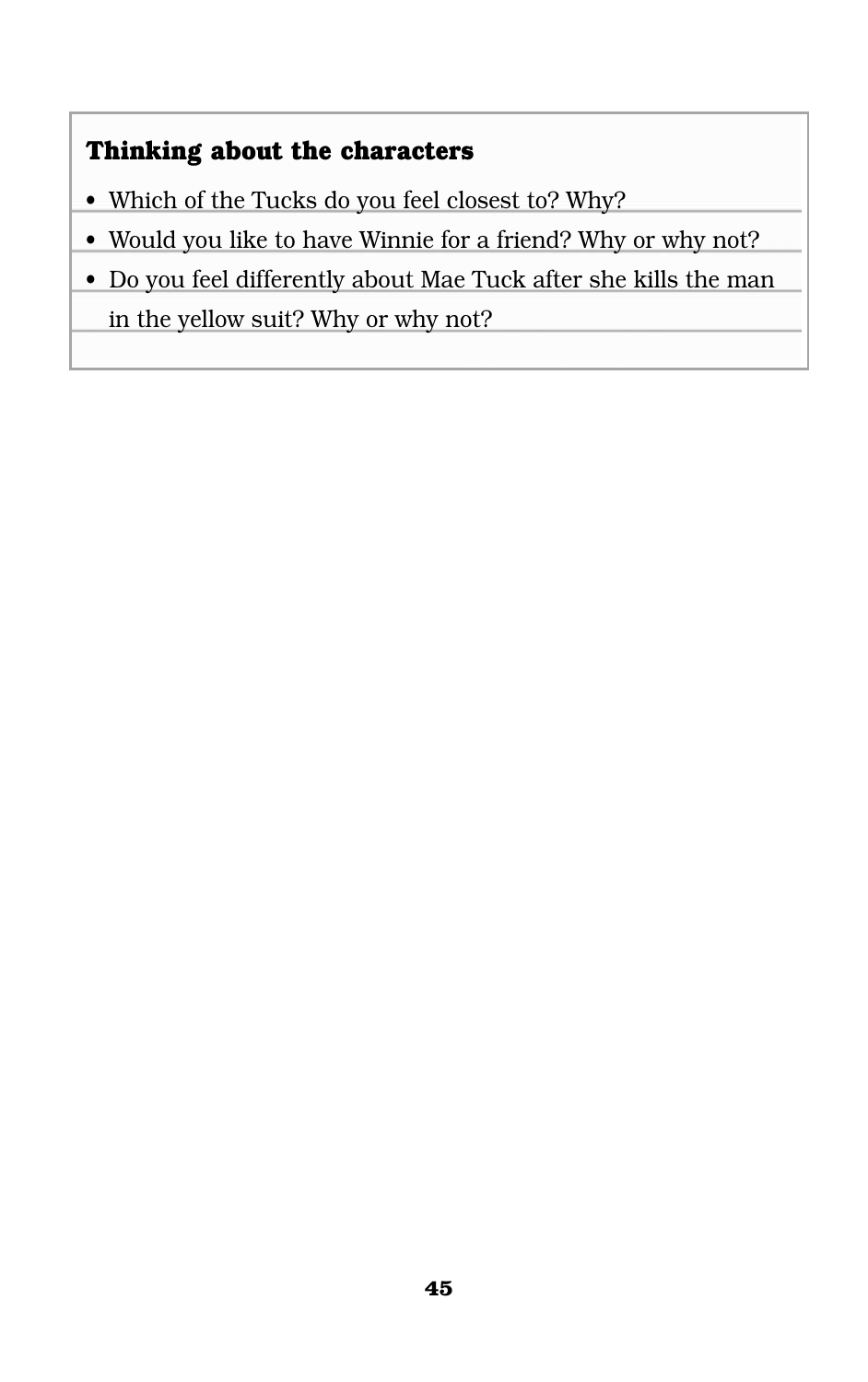#### **Thinking about the characters**

- Which of the Tucks do you feel closest to? Why?
- Would you like to have Winnie for a friend? Why or why not?
- Do you feel differently about Mae Tuck after she kills the man in the yellow suit? Why or why not?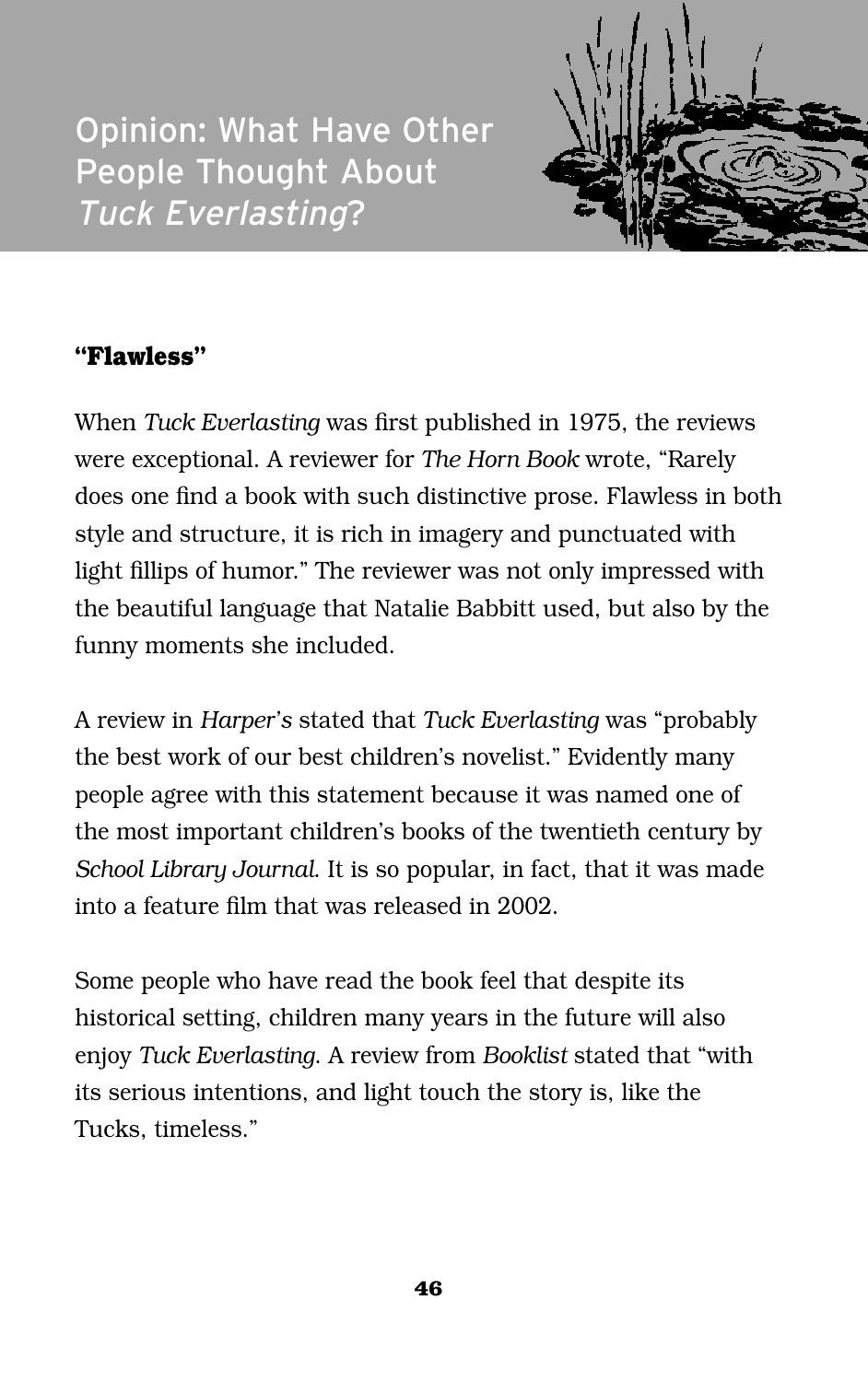Opinion: What Have Other People Thought About Tuck Everlasting?



#### **"Flawless"**

When *Tuck Everlasting* was first published in 1975, the reviews were exceptional. A reviewer for *The Horn Book* wrote, "Rarely does one find a book with such distinctive prose. Flawless in both style and structure, it is rich in imagery and punctuated with light fillips of humor." The reviewer was not only impressed with the beautiful language that Natalie Babbitt used, but also by the funny moments she included.

A review in *Harper's* stated that *Tuck Everlasting* was "probably the best work of our best children's novelist." Evidently many people agree with this statement because it was named one of the most important children's books of the twentieth century by *School Library Journal*. It is so popular, in fact, that it was made into a feature film that was released in 2002.

Some people who have read the book feel that despite its historical setting, children many years in the future will also enjoy *Tuck Everlasting*. A review from *Booklist* stated that "with its serious intentions, and light touch the story is, like the Tucks, timeless."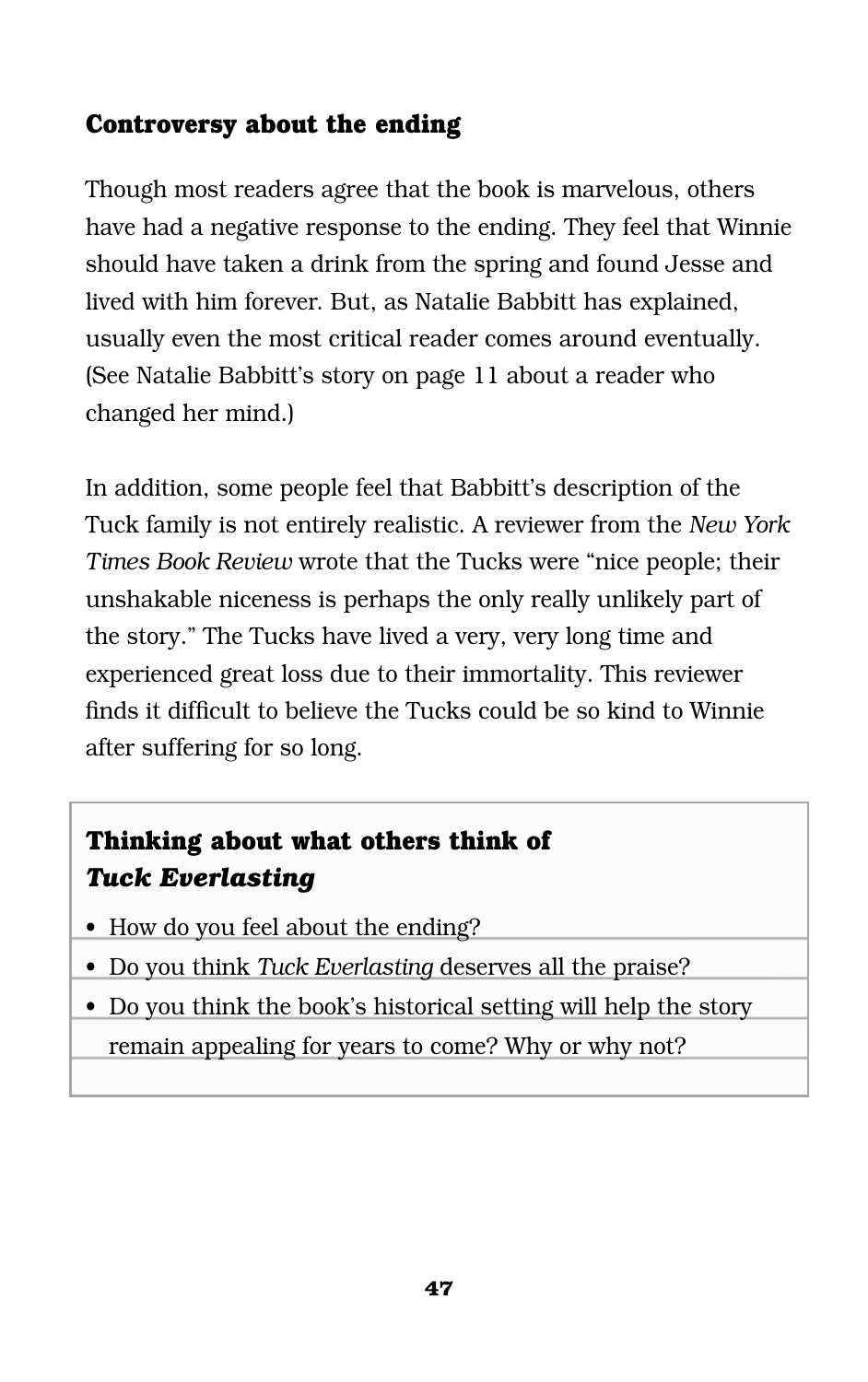#### **Controversy about the ending**

Though most readers agree that the book is marvelous, others have had a negative response to the ending. They feel that Winnie should have taken a drink from the spring and found Jesse and lived with him forever. But, as Natalie Babbitt has explained, usually even the most critical reader comes around eventually. (See Natalie Babbitt's story on page 11 about a reader who changed her mind.)

In addition, some people feel that Babbitt's description of the Tuck family is not entirely realistic. A reviewer from the *New York Times Book Review* wrote that the Tucks were "nice people; their unshakable niceness is perhaps the only really unlikely part of the story." The Tucks have lived a very, very long time and experienced great loss due to their immortality. This reviewer finds it difficult to believe the Tucks could be so kind to Winnie after suffering for so long.

#### **Thinking about what others think of**  *Tuck Everlasting*

- How do you feel about the ending?
- Do you think *Tuck Everlasting* deserves all the praise?
- Do you think the book's historical setting will help the story remain appealing for years to come? Why or why not?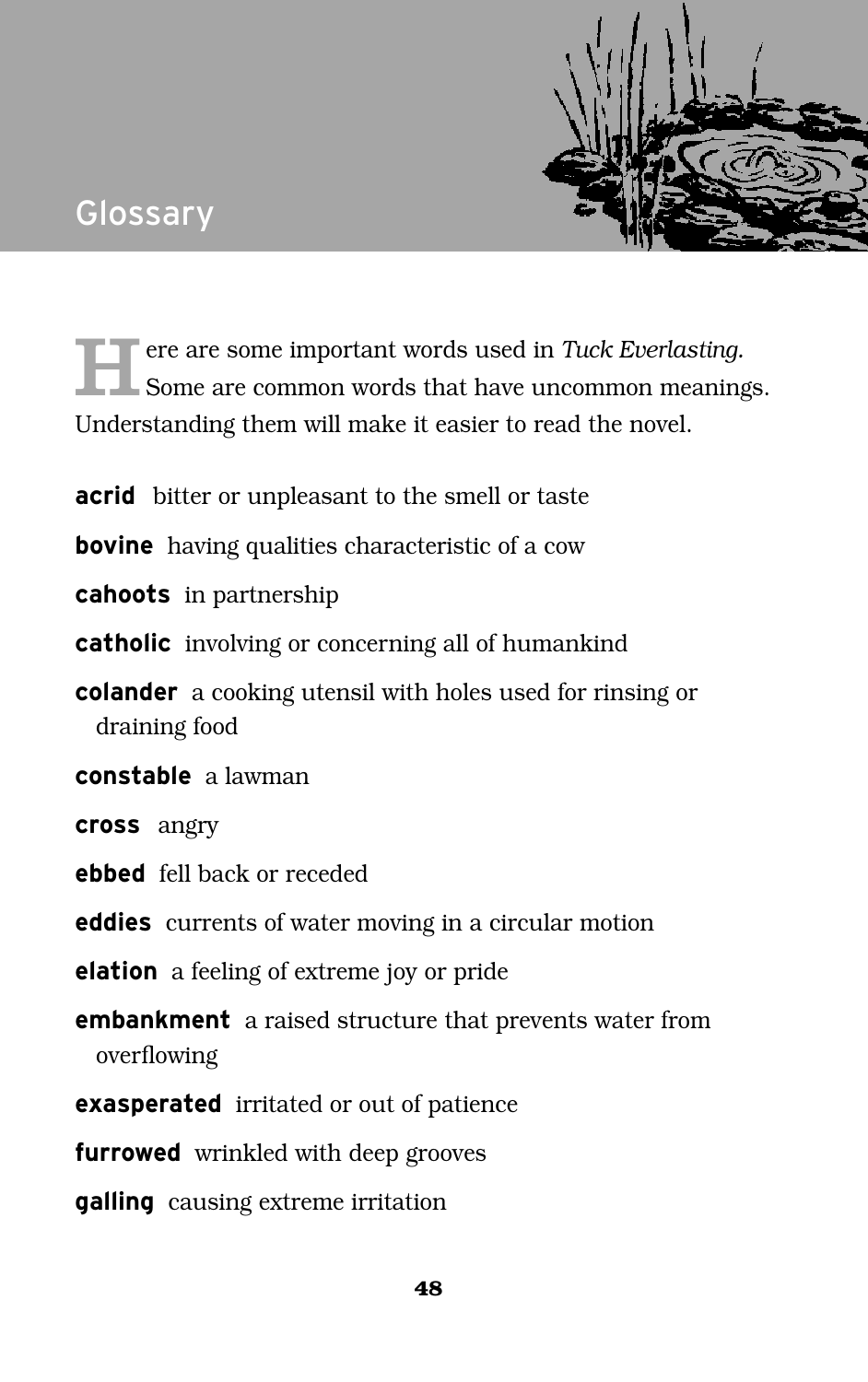

### Glossary

Fere are some important words used in *Tuck Everlasting.*<br>Some are common words that have uncommon meanings. Understanding them will make it easier to read the novel.

**acrid** bitter or unpleasant to the smell or taste

**bovine** having qualities characteristic of a cow

**cahoots** in partnership

**catholic** involving or concerning all of humankind

- **colander** a cooking utensil with holes used for rinsing or draining food
- **constable** a lawman
- **cross** angry
- **ebbed** fell back or receded
- **eddies** currents of water moving in a circular motion
- **elation** a feeling of extreme joy or pride
- **embankment** a raised structure that prevents water from overflowing
- **exasperated** irritated or out of patience
- **furrowed** wrinkled with deep grooves
- **galling** causing extreme irritation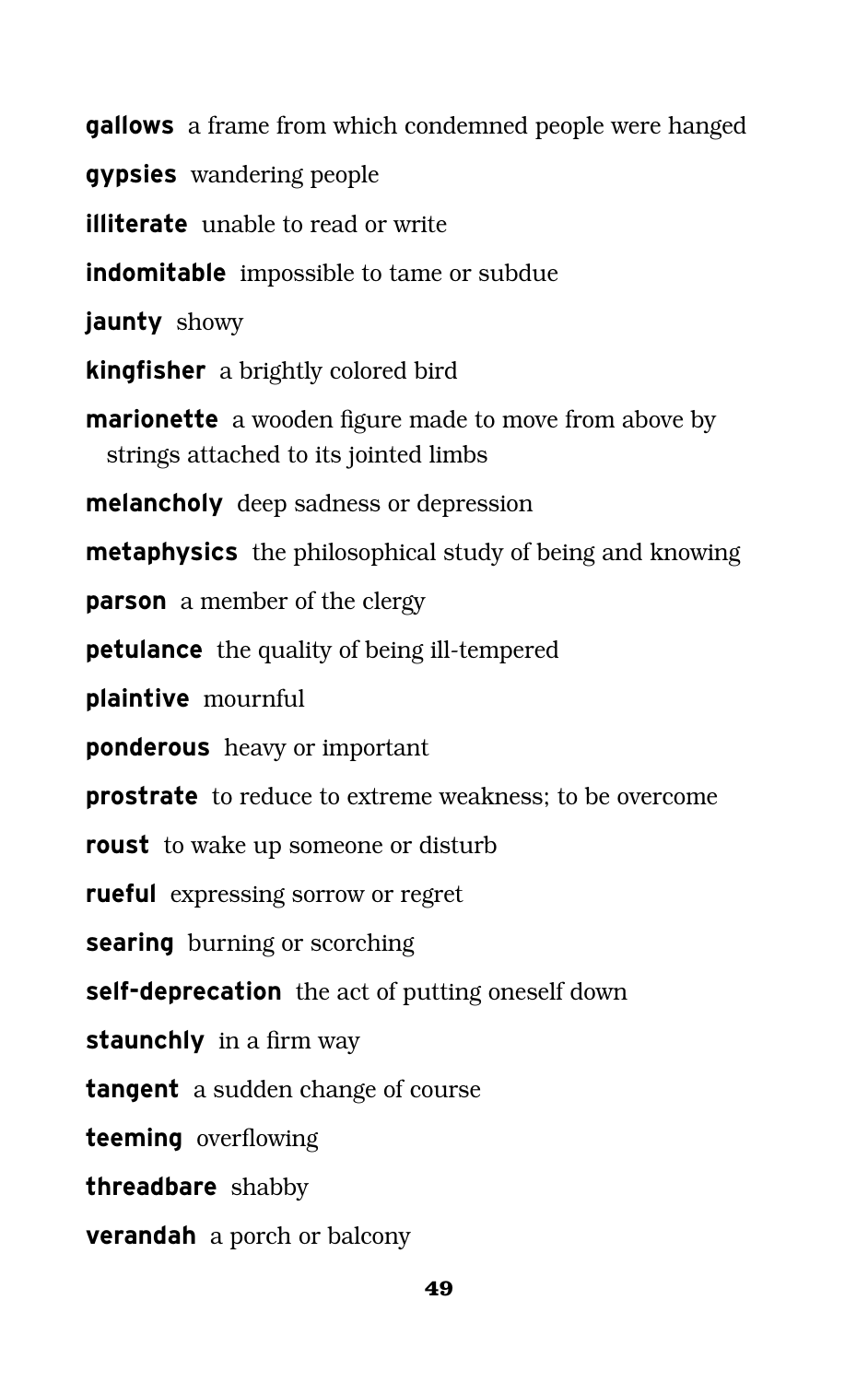**gallows** a frame from which condemned people were hanged

**gypsies** wandering people

**illiterate** unable to read or write

**indomitable** impossible to tame or subdue

**jaunty** showy

**kingfisher** a brightly colored bird

**marionette** a wooden figure made to move from above by strings attached to its jointed limbs

**melancholy** deep sadness or depression

**metaphysics** the philosophical study of being and knowing

**parson** a member of the clergy

**petulance** the quality of being ill-tempered

**plaintive** mournful

**ponderous** heavy or important

**prostrate** to reduce to extreme weakness; to be overcome

**roust** to wake up someone or disturb

**rueful** expressing sorrow or regret

**searing** burning or scorching

**self-deprecation** the act of putting oneself down

**staunchly** in a firm way

**tangent** a sudden change of course

**teeming** overflowing

**threadbare** shabby

**verandah** a porch or balcony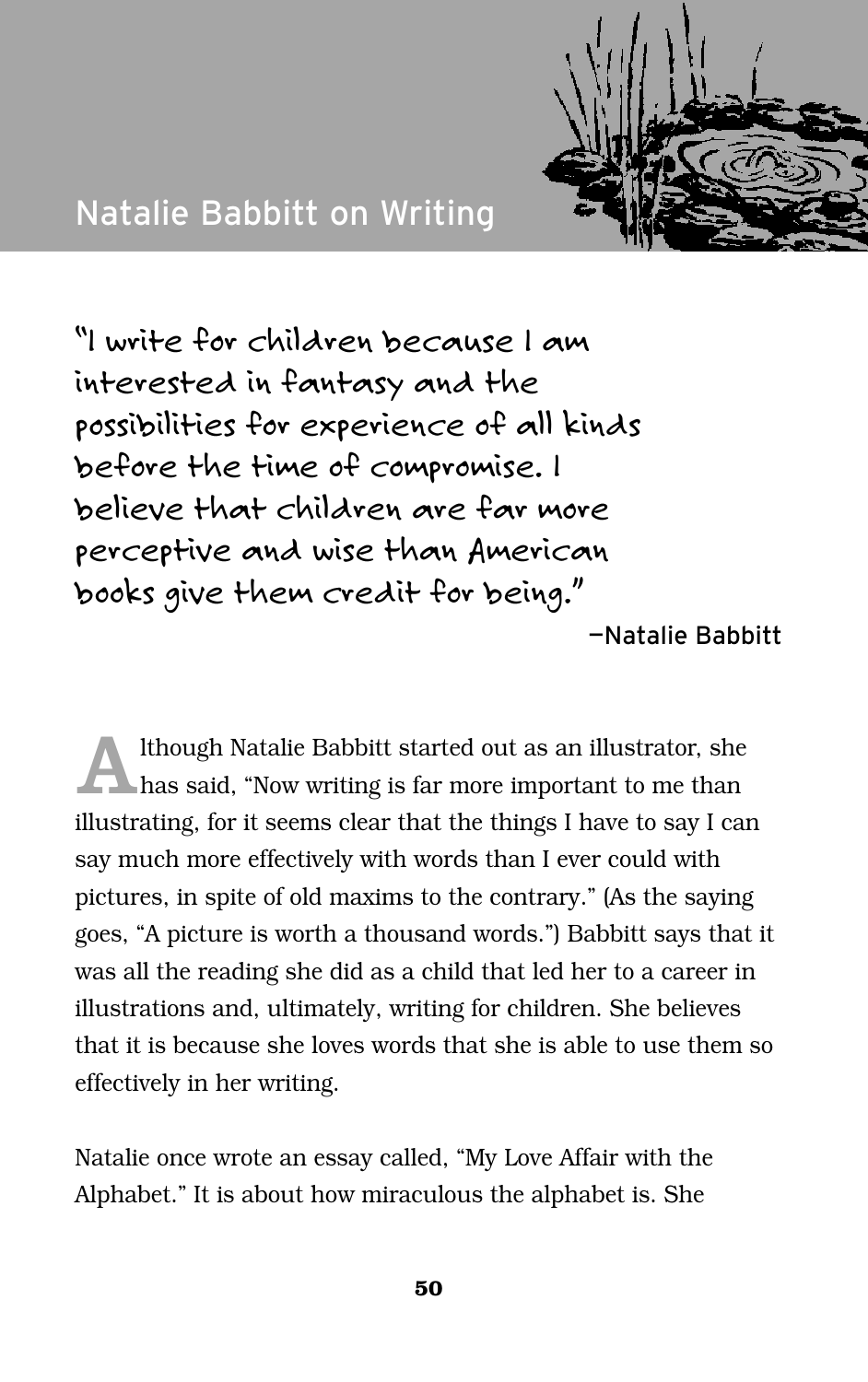

# Natalie Babbitt on Writing

*"I write for children because I am interested in fantasy and the possibilities for experience of all kinds before the time of compromise. I believe that children are far more perceptive and wise than American books give them credit for being."*  —Natalie Babbitt

Although Natalie Babbitt started out as an illustrator, she has said, "Now writing is far more important to me than illustrating, for it seems clear that the things I have to say I can say much more effectively with words than I ever could with pictures, in spite of old maxims to the contrary." (As the saying goes, "A picture is worth a thousand words.") Babbitt says that it was all the reading she did as a child that led her to a career in illustrations and, ultimately, writing for children. She believes that it is because she loves words that she is able to use them so effectively in her writing.

Natalie once wrote an essay called, "My Love Affair with the Alphabet." It is about how miraculous the alphabet is. She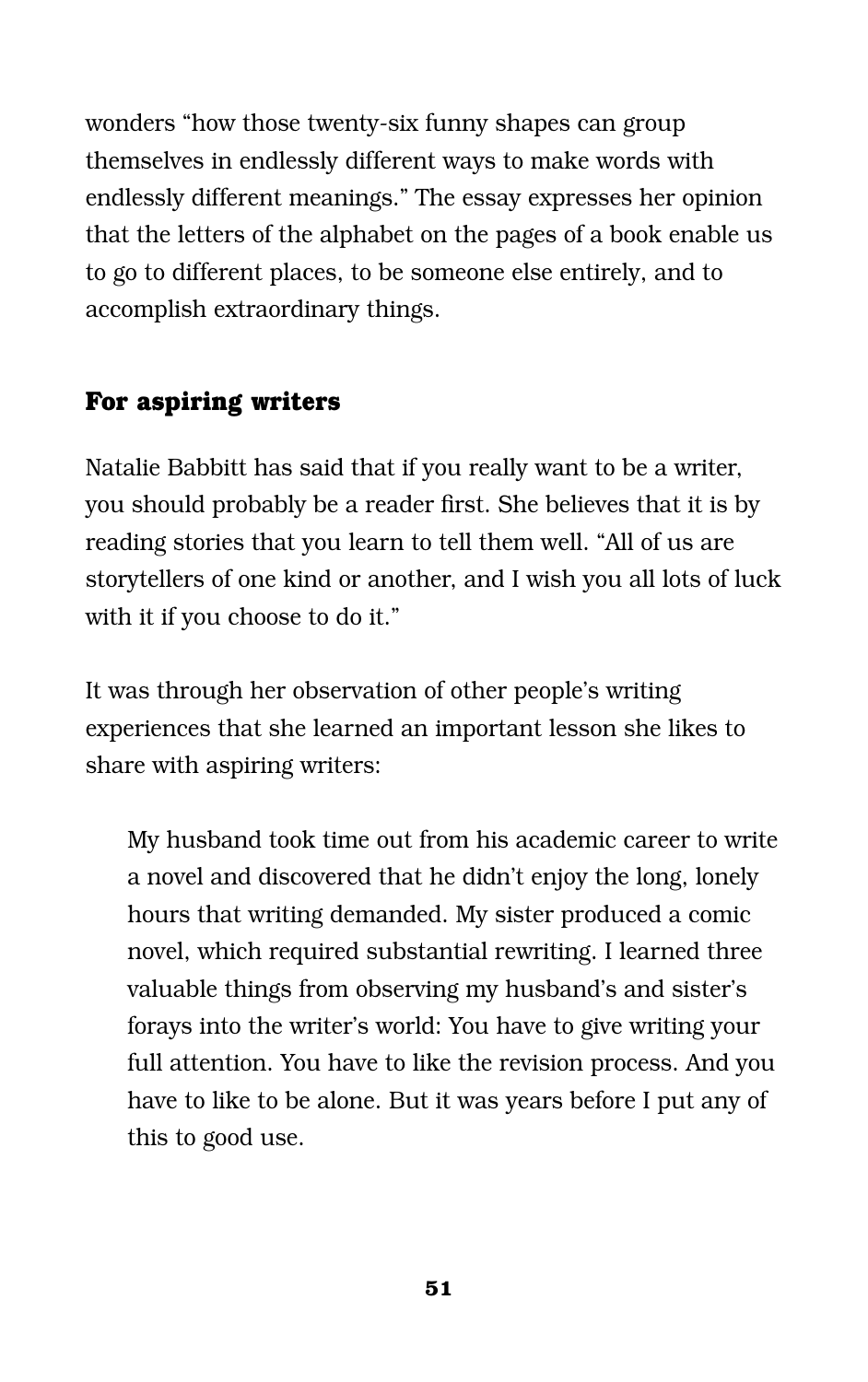wonders "how those twenty-six funny shapes can group themselves in endlessly different ways to make words with endlessly different meanings." The essay expresses her opinion that the letters of the alphabet on the pages of a book enable us to go to different places, to be someone else entirely, and to accomplish extraordinary things.

#### **For aspiring writers**

Natalie Babbitt has said that if you really want to be a writer, you should probably be a reader first. She believes that it is by reading stories that you learn to tell them well. "All of us are storytellers of one kind or another, and I wish you all lots of luck with it if you choose to do it."

It was through her observation of other people's writing experiences that she learned an important lesson she likes to share with aspiring writers:

My husband took time out from his academic career to write a novel and discovered that he didn't enjoy the long, lonely hours that writing demanded. My sister produced a comic novel, which required substantial rewriting. I learned three valuable things from observing my husband's and sister's forays into the writer's world: You have to give writing your full attention. You have to like the revision process. And you have to like to be alone. But it was years before I put any of this to good use.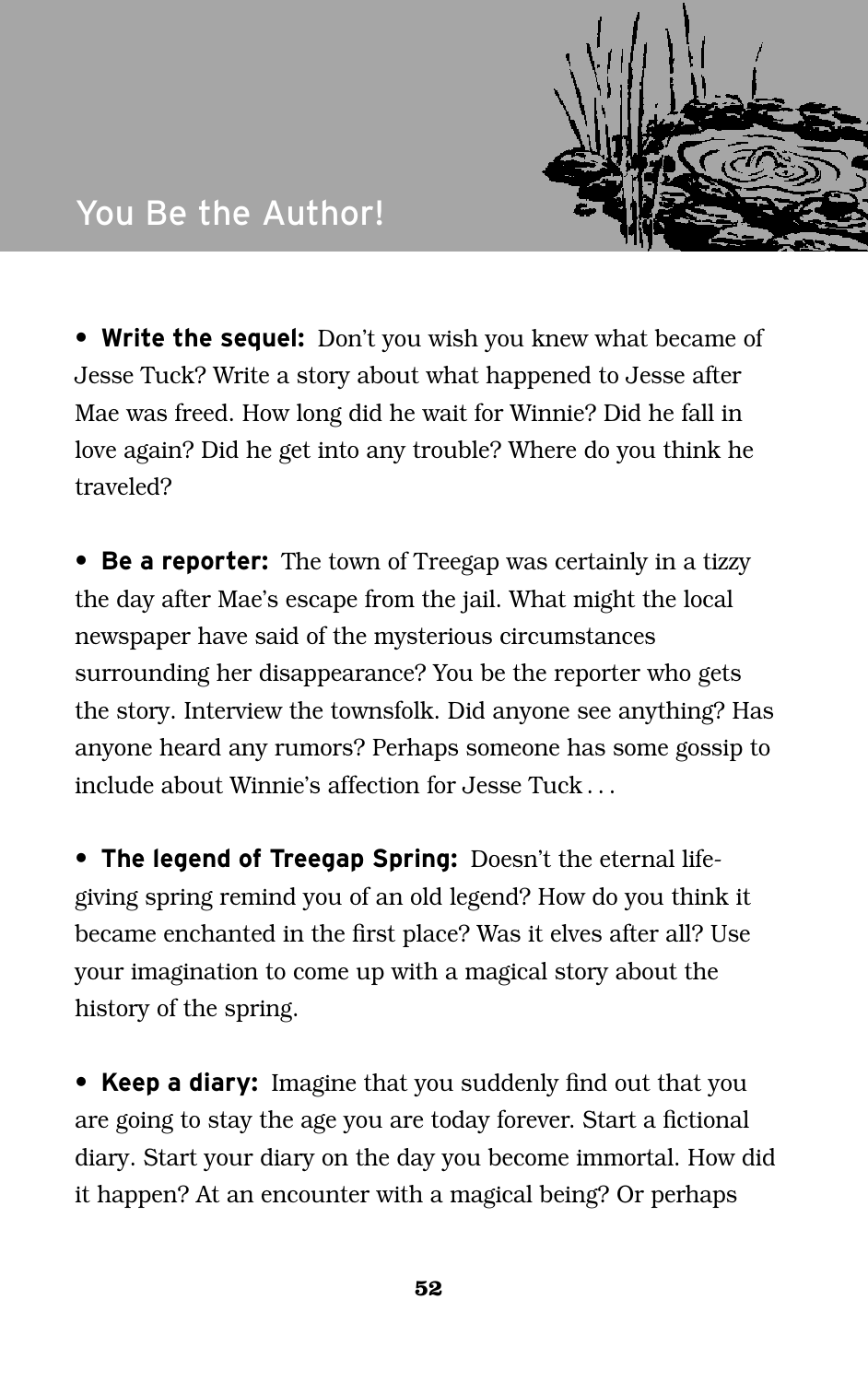

**• Write the sequel:** Don't you wish you knew what became of Jesse Tuck? Write a story about what happened to Jesse after Mae was freed. How long did he wait for Winnie? Did he fall in love again? Did he get into any trouble? Where do you think he traveled?

**• Be a reporter:** The town of Treegap was certainly in a tizzy the day after Mae's escape from the jail. What might the local newspaper have said of the mysterious circumstances surrounding her disappearance? You be the reporter who gets the story. Interview the townsfolk. Did anyone see anything? Has anyone heard any rumors? Perhaps someone has some gossip to include about Winnie's affection for Jesse Tuck . . .

**• The legend of Treegap Spring:** Doesn't the eternal lifegiving spring remind you of an old legend? How do you think it became enchanted in the first place? Was it elves after all? Use your imagination to come up with a magical story about the history of the spring.

**• Keep a diary:** Imagine that you suddenly find out that you are going to stay the age you are today forever. Start a fictional diary. Start your diary on the day you become immortal. How did it happen? At an encounter with a magical being? Or perhaps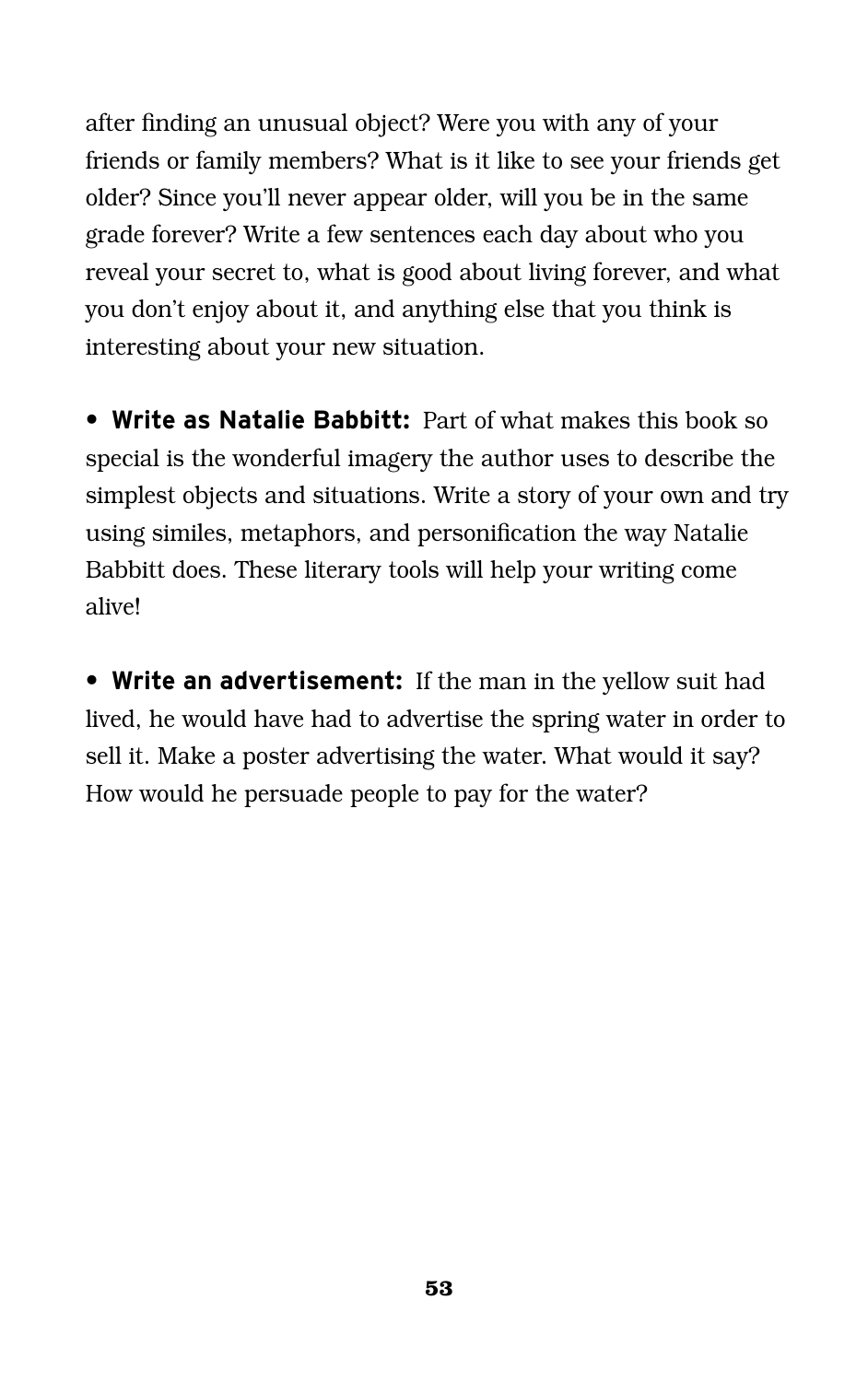after finding an unusual object? Were you with any of your friends or family members? What is it like to see your friends get older? Since you'll never appear older, will you be in the same grade forever? Write a few sentences each day about who you reveal your secret to, what is good about living forever, and what you don't enjoy about it, and anything else that you think is interesting about your new situation.

**• Write as Natalie Babbitt:** Part of what makes this book so special is the wonderful imagery the author uses to describe the simplest objects and situations. Write a story of your own and try using similes, metaphors, and personification the way Natalie Babbitt does. These literary tools will help your writing come alive!

**• Write an advertisement:** If the man in the yellow suit had lived, he would have had to advertise the spring water in order to sell it. Make a poster advertising the water. What would it say? How would he persuade people to pay for the water?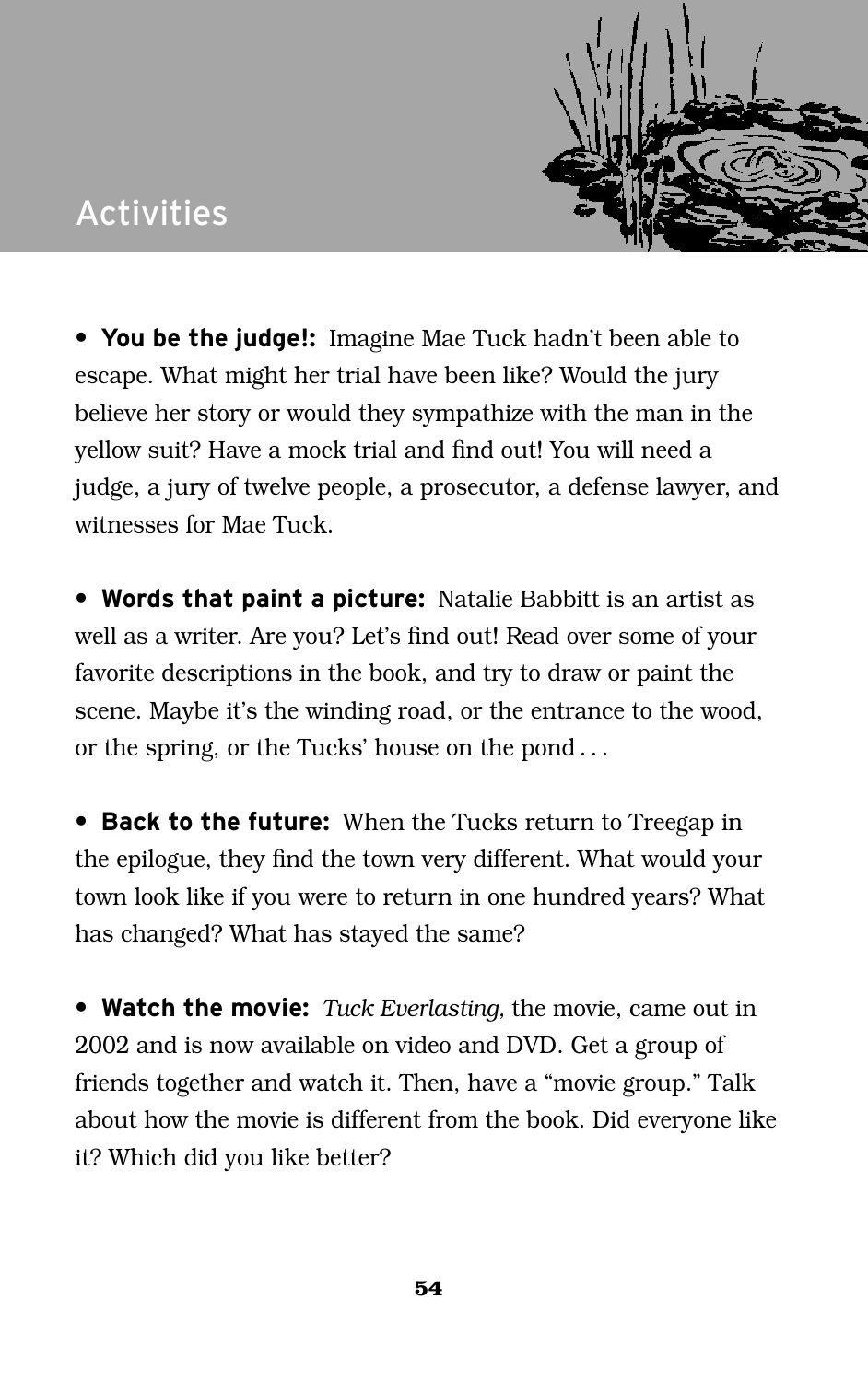# Activities



**• You be the judge!:** Imagine Mae Tuck hadn't been able to escape. What might her trial have been like? Would the jury believe her story or would they sympathize with the man in the yellow suit? Have a mock trial and find out! You will need a judge, a jury of twelve people, a prosecutor, a defense lawyer, and witnesses for Mae Tuck.

**• Words that paint a picture:** Natalie Babbitt is an artist as well as a writer. Are you? Let's find out! Read over some of your favorite descriptions in the book, and try to draw or paint the scene. Maybe it's the winding road, or the entrance to the wood, or the spring, or the Tucks' house on the pond . . .

**• Back to the future:** When the Tucks return to Treegap in the epilogue, they find the town very different. What would your town look like if you were to return in one hundred years? What has changed? What has stayed the same?

**• Watch the movie:** *Tuck Everlasting,* the movie, came out in 2002 and is now available on video and DVD. Get a group of friends together and watch it. Then, have a "movie group." Talk about how the movie is different from the book. Did everyone like it? Which did you like better?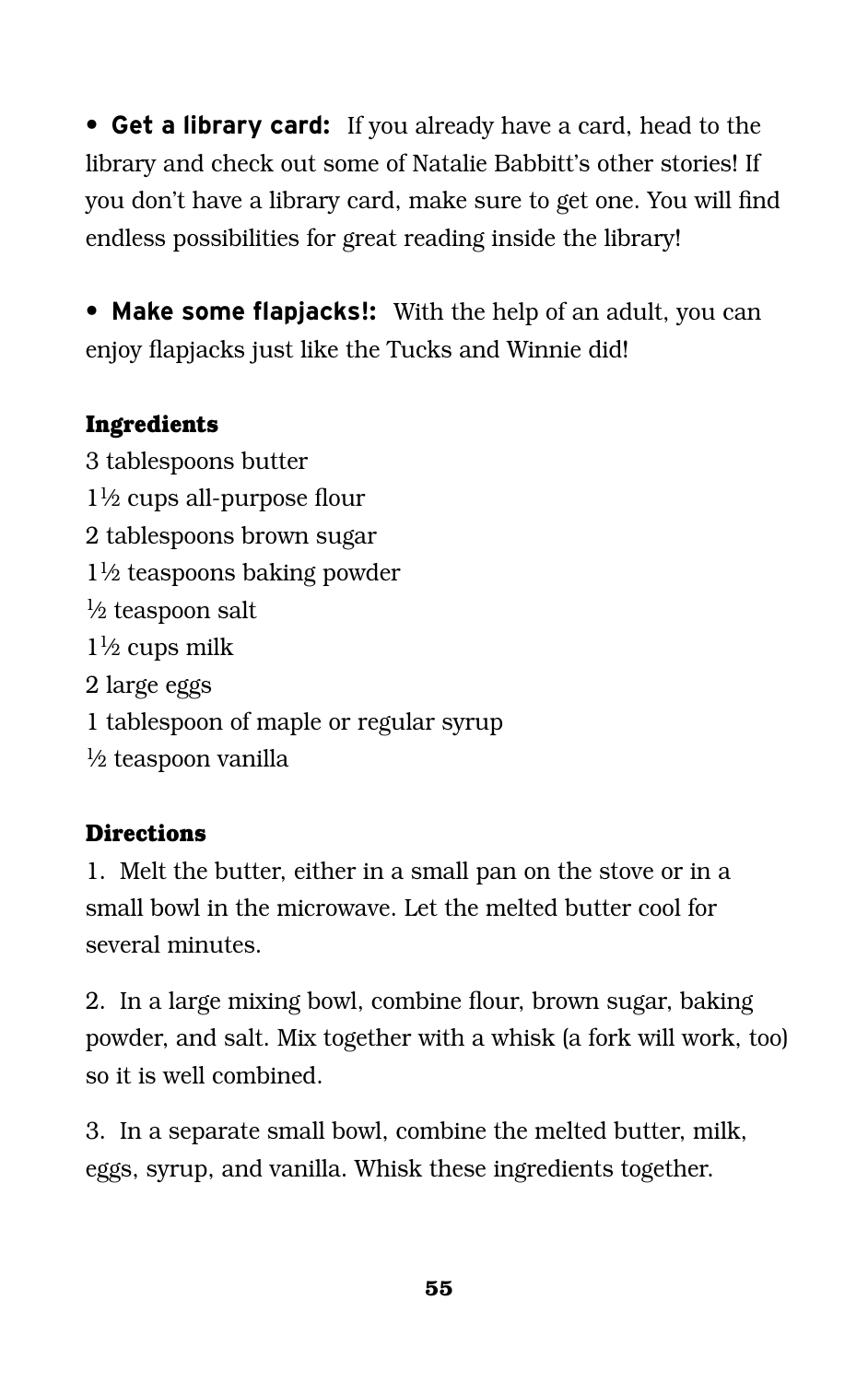**• Get a library card:** If you already have a card, head to the library and check out some of Natalie Babbitt's other stories! If you don't have a library card, make sure to get one. You will find endless possibilities for great reading inside the library!

**• Make some flapjacks!:** With the help of an adult, you can enjoy flapjacks just like the Tucks and Winnie did!

#### **Ingredients**

3 tablespoons butter  $1\frac{1}{2}$  cups all-purpose flour 2 tablespoons brown sugar  $1\frac{1}{2}$  teaspoons baking powder  $\frac{1}{2}$  teaspoon salt  $1\frac{1}{2}$  cups milk 2 large eggs 1 tablespoon of maple or regular syrup 1⁄2 teaspoon vanilla

#### **Directions**

1. Melt the butter, either in a small pan on the stove or in a small bowl in the microwave. Let the melted butter cool for several minutes.

2. In a large mixing bowl, combine flour, brown sugar, baking powder, and salt. Mix together with a whisk (a fork will work, too) so it is well combined.

3. In a separate small bowl, combine the melted butter, milk, eggs, syrup, and vanilla. Whisk these ingredients together.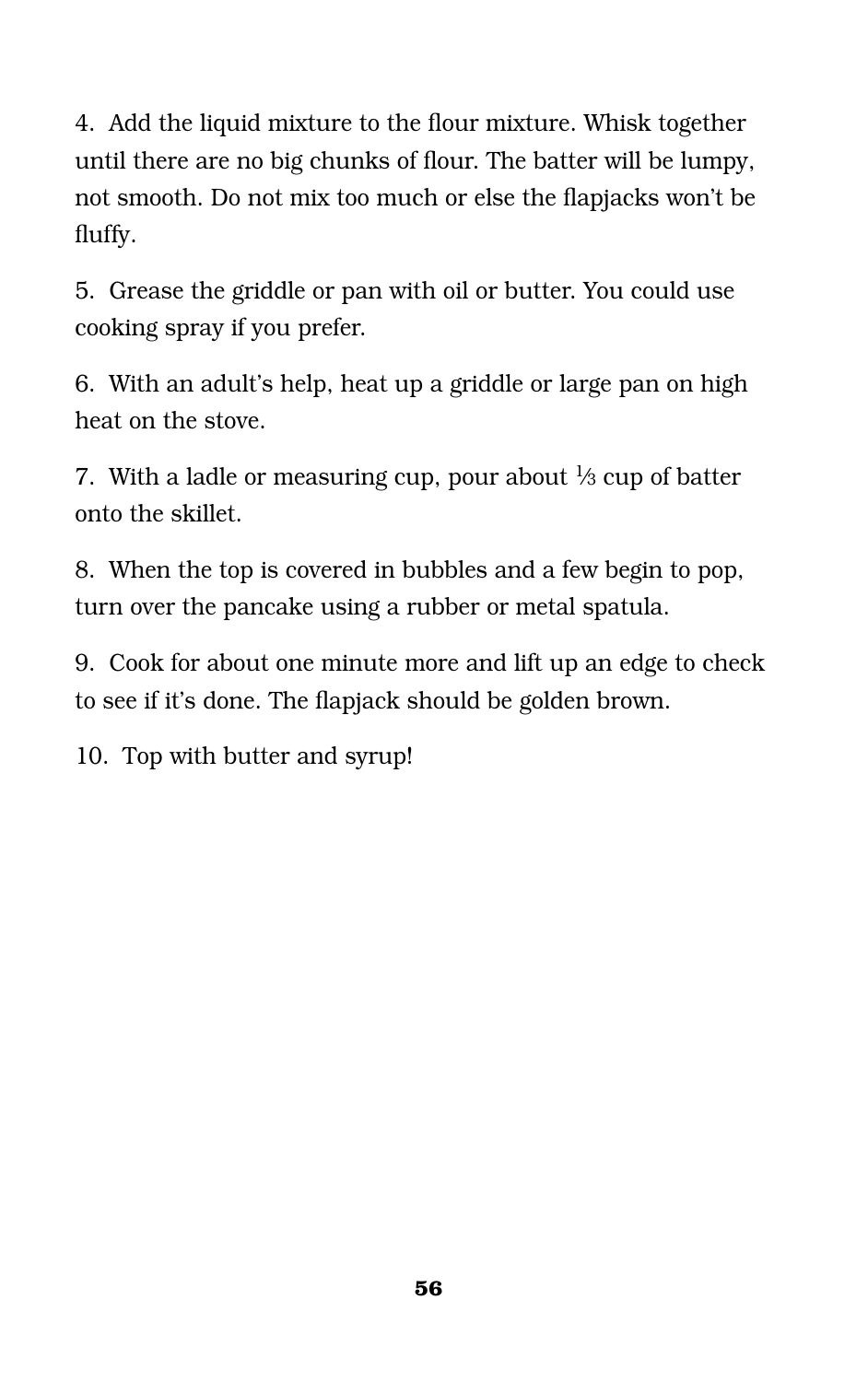4. Add the liquid mixture to the flour mixture. Whisk together until there are no big chunks of flour. The batter will be lumpy, not smooth. Do not mix too much or else the flapjacks won't be fluffy.

5. Grease the griddle or pan with oil or butter. You could use cooking spray if you prefer.

6. With an adult's help, heat up a griddle or large pan on high heat on the stove.

7. With a ladle or measuring cup, pour about  $\frac{1}{3}$  cup of batter onto the skillet.

8. When the top is covered in bubbles and a few begin to pop, turn over the pancake using a rubber or metal spatula.

9. Cook for about one minute more and lift up an edge to check to see if it's done. The flapjack should be golden brown.

10. Top with butter and syrup!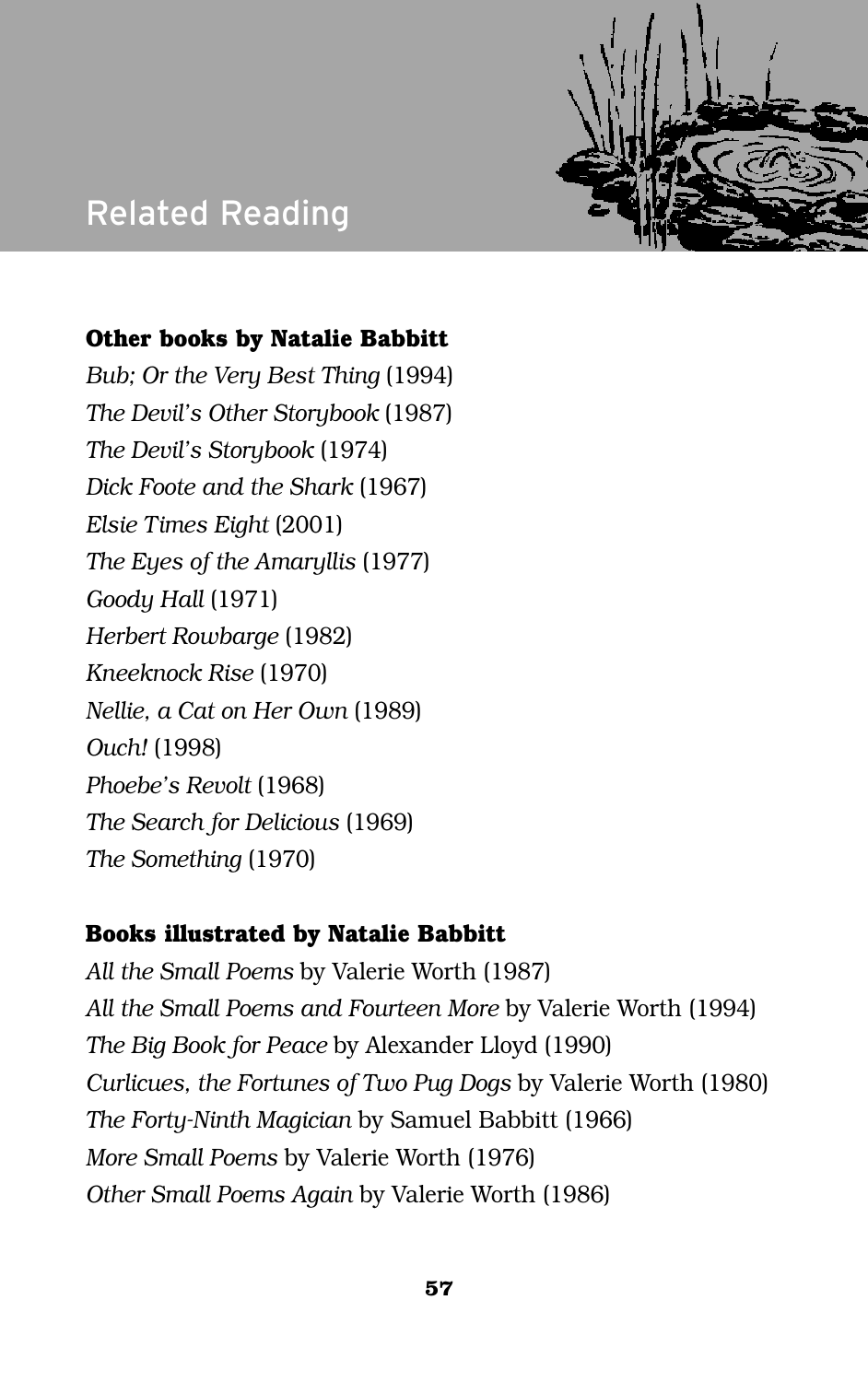

# Related Reading

#### **Other books by Natalie Babbitt**

*Bub; Or the Very Best Thing* (1994) *The Devil's Other Storybook* (1987) *The Devil's Storybook* (1974) *Dick Foote and the Shark* (1967) *Elsie Times Eight* (2001) *The Eyes of the Amaryllis* (1977) *Goody Hall* (1971) *Herbert Rowbarge* (1982) *Kneeknock Rise* (1970) *Nellie, a Cat on Her Own* (1989) *Ouch!* (1998) *Phoebe's Revolt* (1968) *The Search for Delicious* (1969) *The Something* (1970)

#### **Books illustrated by Natalie Babbitt**

*All the Small Poems* by Valerie Worth (1987) *All the Small Poems and Fourteen More* by Valerie Worth (1994) *The Big Book for Peace* by Alexander Lloyd (1990) *Curlicues, the Fortunes of Two Pug Dogs* by Valerie Worth (1980) *The Forty-Ninth Magician* by Samuel Babbitt (1966) *More Small Poems* by Valerie Worth (1976) *Other Small Poems Again* by Valerie Worth (1986)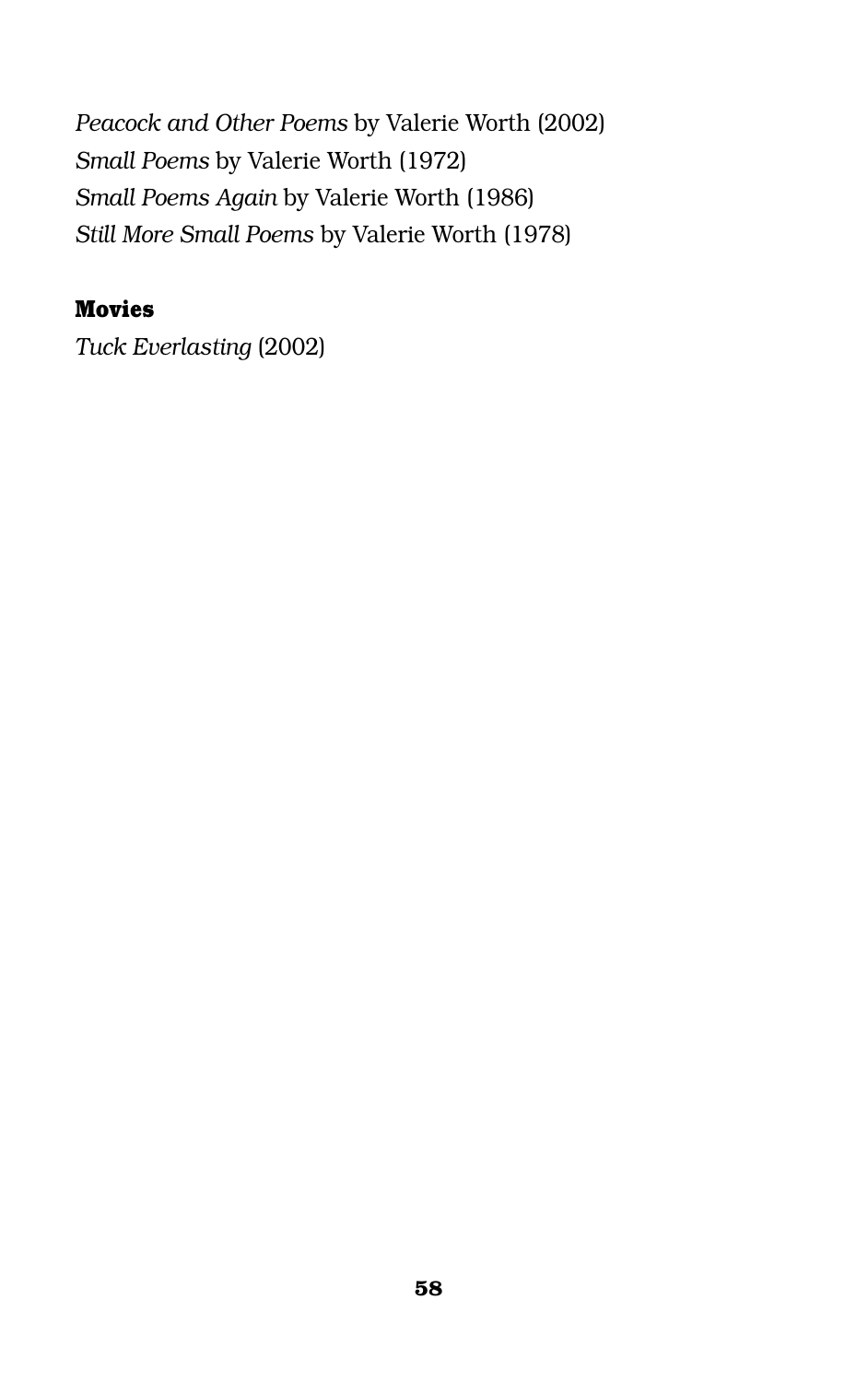*Peacock and Other Poems* by Valerie Worth (2002) *Small Poems* by Valerie Worth (1972) *Small Poems Again* by Valerie Worth (1986) *Still More Small Poems* by Valerie Worth (1978)

#### **Movies**

*Tuck Everlasting* (2002)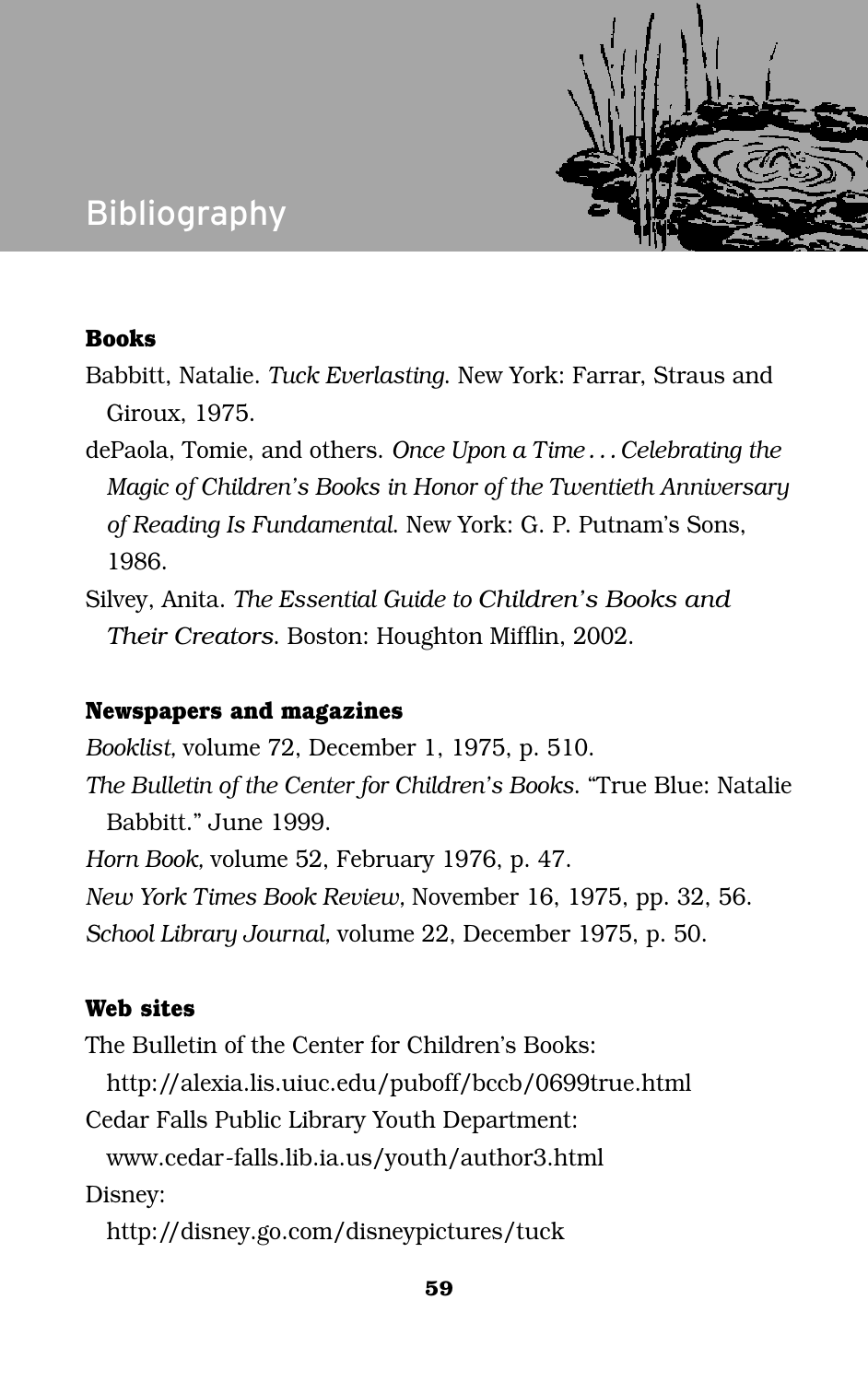# Bibliography



#### **Books**

- Babbitt, Natalie. *Tuck Everlasting*. New York: Farrar, Straus and Giroux, 1975.
- dePaola, Tomie, and others. *Once Upon a Time... Celebrating the Magic of Children's Books in Honor of the Twentieth Anniversary of Reading Is Fundamental*. New York: G. P. Putnam's Sons, 1986.
- Silvey, Anita. *The Essential Guide to Children's Books and Their Creators*. Boston: Houghton Mifflin, 2002.

#### **Newspapers and magazines**

*Booklist,* volume 72, December 1, 1975, p. 510.

*The Bulletin of the Center for Children's Books*. "True Blue: Natalie Babbitt." June 1999.

*Horn Book,* volume 52, February 1976, p. 47.

*New York Times Book Review,* November 16, 1975, pp. 32, 56.

*School Library Journal,* volume 22, December 1975, p. 50.

#### **Web sites**

The Bulletin of the Center for Children's Books: http://alexia.lis.uiuc.edu/puboff/bccb/0699true.html Cedar Falls Public Library Youth Department: www.cedar-falls.lib.ia.us/youth/author3.html Disney:

http://disney.go.com/disneypictures/tuck